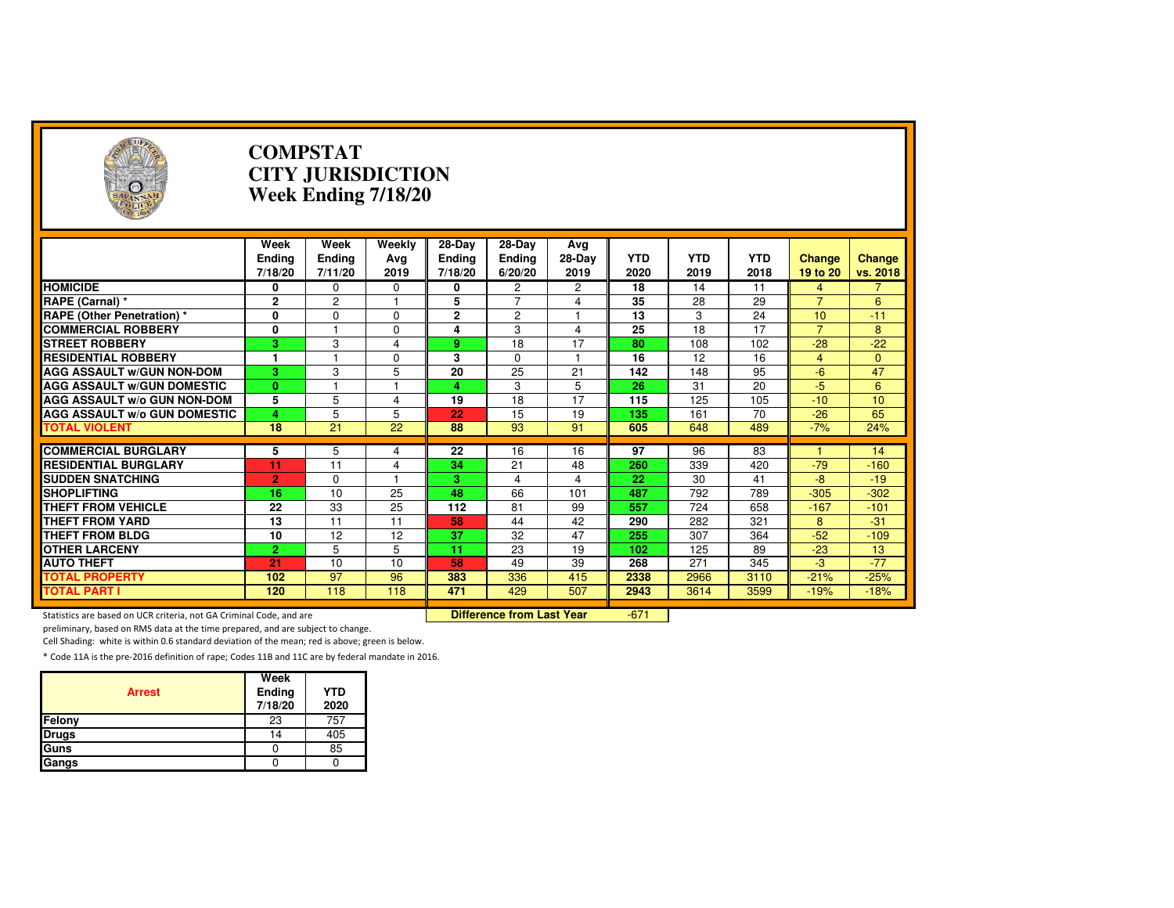| $(\neg)$                                                            |                           | <b>COMPSTAT</b><br><b>CITY JURISDICTION</b><br>Week Ending 7/18/20 |                              |                                    |                                    |                       |                    |                    |                    |                    |                    |
|---------------------------------------------------------------------|---------------------------|--------------------------------------------------------------------|------------------------------|------------------------------------|------------------------------------|-----------------------|--------------------|--------------------|--------------------|--------------------|--------------------|
|                                                                     | Week<br>Ending<br>7/18/20 | Week<br><b>Ending</b><br>7/11/20                                   | Weekly<br>Avg<br>2019        | 28-Day<br><b>Ending</b><br>7/18/20 | 28-Day<br><b>Ending</b><br>6/20/20 | Avg<br>28-Day<br>2019 | <b>YTD</b><br>2020 | <b>YTD</b><br>2019 | <b>YTD</b><br>2018 | Change<br>19 to 20 | Change<br>vs. 2018 |
| <b>HOMICIDE</b>                                                     | 0                         | 0                                                                  | 0                            | 0                                  | 2                                  | 2                     | 18                 | 14                 | 11                 | 4                  | $\overline{7}$     |
| RAPE (Carnal) *                                                     | $\mathbf{2}$              | $\mathbf{2}$                                                       | 1                            | 5                                  | $\overline{7}$                     | 4                     | 35                 | 28                 | 29                 | $\overline{7}$     | 6                  |
| <b>RAPE (Other Penetration) *</b>                                   | 0                         | $\Omega$                                                           | $\Omega$                     | $\mathbf{2}$                       | $\overline{c}$                     | 1                     | 13                 | 3                  | 24                 | 10                 | $-11$              |
| <b>COMMERCIAL ROBBERY</b>                                           | 0                         |                                                                    | $\Omega$                     | 4                                  | 3                                  | 4                     | 25                 | 18                 | $\overline{17}$    | $\overline{7}$     | 8                  |
| <b>STREET ROBBERY</b>                                               | 3                         | 3                                                                  | $\overline{4}$               | 9                                  | 18                                 | 17                    | 80                 | 108                | 102                | $-28$              | $-22$              |
| <b>RESIDENTIAL ROBBERY</b>                                          | $\blacksquare$            |                                                                    | 0                            | 3                                  | 0                                  | 1                     | 16                 | 12                 | 16                 | $\overline{4}$     | $\mathbf{0}$       |
| <b>AGG ASSAULT W/GUN NON-DOM</b>                                    | 3                         | 3                                                                  | 5                            | $\overline{20}$                    | 25                                 | 21                    | 142                | 148                | 95                 | $-6$               | 47                 |
| <b>AGG ASSAULT W/GUN DOMESTIC</b>                                   | $\bf{0}$                  |                                                                    |                              | 4                                  | 3                                  | 5                     | 26                 | 31                 | 20                 | $-5$               | 6                  |
| AGG ASSAULT w/o GUN NON-DOM                                         | 5                         | 5                                                                  | 4                            | 19                                 | 18                                 | 17                    | 115                | 125                | 105                | $-10$              | 10                 |
| <b>AGG ASSAULT W/o GUN DOMESTIC</b>                                 | 4                         | 5                                                                  | 5                            | 22                                 | 15                                 | 19                    | 135                | 161                | 70                 | $-26$              | 65                 |
| <b>TOTAL VIOLENT</b>                                                | 18                        | $\overline{21}$                                                    | $\overline{22}$              | 88                                 | 93                                 | 91                    | 605                | 648                | 489                | $-7%$              | 24%                |
|                                                                     |                           |                                                                    |                              |                                    |                                    |                       |                    |                    |                    |                    |                    |
| <b>COMMERCIAL BURGLARY</b>                                          | 5                         | 5                                                                  | 4                            | 22                                 | 16                                 | 16                    | 97                 | 96                 | 83                 |                    | 14                 |
| <b>RESIDENTIAL BURGLARY</b>                                         | 11                        | 11                                                                 | $\overline{\mathbf{4}}$<br>1 | 34                                 | 21                                 | 48                    | 260                | 339                | 420                | $-79$              | $-160$             |
| <b>SUDDEN SNATCHING</b>                                             | $\overline{2}$            | $\Omega$                                                           |                              | 3<br>48                            | 4                                  | 4                     | 22                 | 30                 | 41                 | $-8$               | $-19$              |
| <b>SHOPLIFTING</b>                                                  | 16                        | 10                                                                 | 25                           |                                    | 66                                 | 101                   | 487                | 792                | 789                | $-305$             | $-302$             |
| <b>THEFT FROM VEHICLE</b>                                           | 22                        | 33<br>11                                                           | 25                           | 112                                | 81                                 | 99                    | 557                | 724                | 658                | $-167$             | $-101$             |
| <b>THEFT FROM YARD</b><br><b>THEFT FROM BLDG</b>                    | 13                        | 12                                                                 | 11                           | 58                                 | 44<br>$\overline{32}$              | 42<br>47              | 290                | 282                | 321                | 8<br>$-52$         | $-31$              |
|                                                                     | 10                        |                                                                    | 12                           | 37                                 |                                    |                       | 255                | 307                | 364                |                    | $-109$             |
| <b>OTHER LARCENY</b>                                                | $\overline{2}$            | 5                                                                  | 5                            | 11                                 | 23                                 | 19                    | 102                | 125                | 89                 | $-23$              | 13                 |
| <b>AUTO THEFT</b>                                                   | 21                        | 10<br>97                                                           | 10                           | 58                                 | 49                                 | 39                    | 268                | 271                | 345                | $-3$               | $-77$              |
| <b>TOTAL PROPERTY</b><br><b>TOTAL PART I</b>                        | 102<br>120                | 118                                                                | 96<br>118                    | 383<br>471                         | 336<br>429                         | 415<br>507            | 2338<br>2943       | 2966               | 3110               | $-21%$             | $-25%$<br>$-18%$   |
|                                                                     |                           |                                                                    |                              |                                    |                                    |                       |                    | 3614               | 3599               | $-19%$             |                    |
| Statistics are based on UCR criteria, not GA Criminal Code, and are |                           |                                                                    |                              |                                    | <b>Difference from Last Year</b>   |                       | $-671$             |                    |                    |                    |                    |

Statistics are based on UCR criteria, not GA Criminal Code, and are **Difference from Last Year** 

preliminary, based on RMS data at the time prepared, and are subject to change.

Cell Shading: white is within 0.6 standard deviation of the mean; red is above; green is below.

| <b>Arrest</b> | Week<br>Ending<br>7/18/20 | <b>YTD</b><br>2020 |
|---------------|---------------------------|--------------------|
| Felony        | 23                        | 757                |
| <b>Drugs</b>  | 14                        | 405                |
| Guns          |                           | 85                 |
| Gangs         |                           |                    |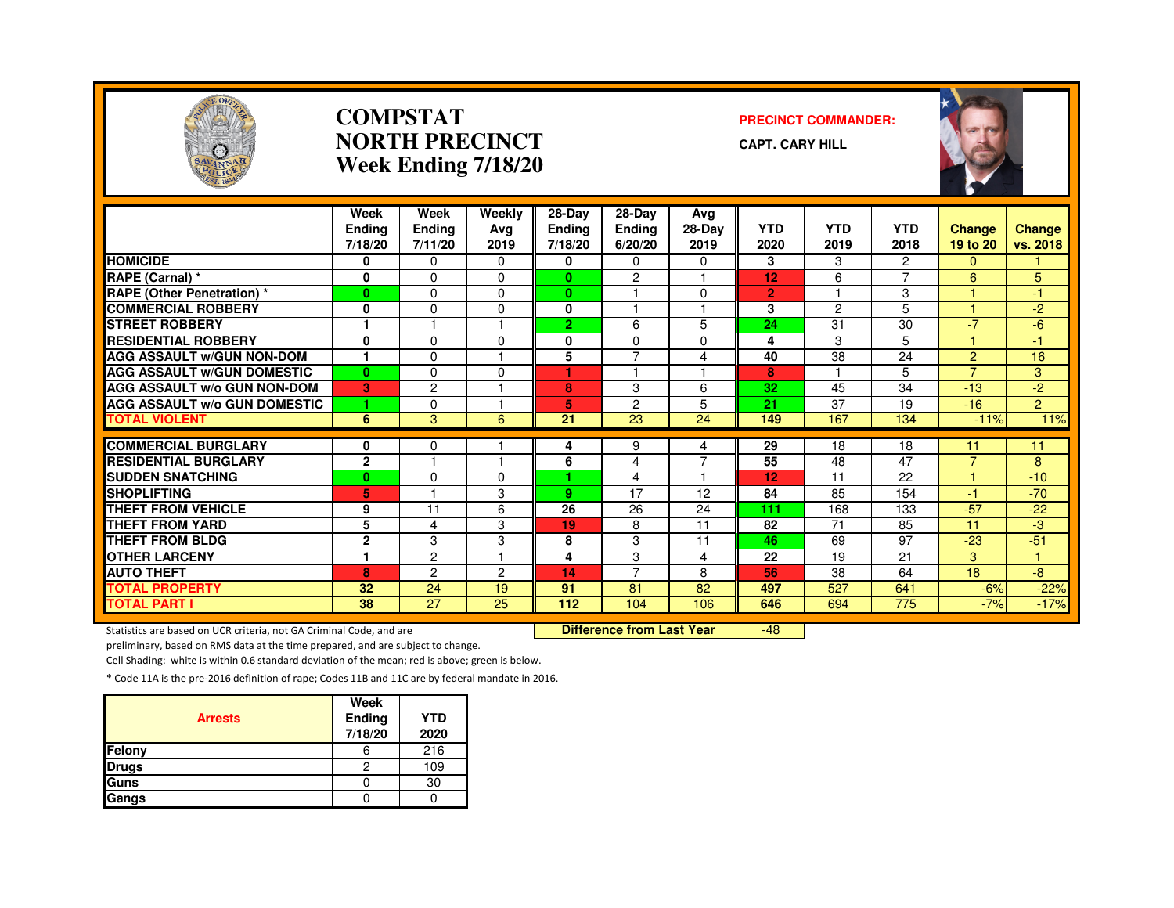

#### **COMPSTATNORTH PRECINCTWeek Ending 7/18/20**

#### **PRECINCT COMMANDER:**

**CAPT. CARY HILL**



|                                     | Week<br><b>Endina</b> | Week<br>Ending          | Weekly<br>Ava | 28-Day<br><b>Ending</b> | $28-Dav$<br>Ending       | Avg<br>28-Day  | <b>YTD</b>     | <b>YTD</b>              | <b>YTD</b>       | Change         | Change         |
|-------------------------------------|-----------------------|-------------------------|---------------|-------------------------|--------------------------|----------------|----------------|-------------------------|------------------|----------------|----------------|
|                                     | 7/18/20               | 7/11/20                 | 2019          | 7/18/20                 | 6/20/20                  | 2019           | 2020           | 2019                    | 2018             | 19 to 20       | vs. 2018       |
| <b>HOMICIDE</b>                     | 0                     | $\Omega$                | $\Omega$      | 0                       | $\Omega$                 | 0              | 3              | 3                       | $\overline{2}$   | 0              |                |
| RAPE (Carnal) *                     | 0                     | $\Omega$                | $\Omega$      | $\bf{0}$                | 2                        |                | 12             | 6                       | $\overline{ }$   | 6              | 5              |
| <b>RAPE</b> (Other Penetration) *   | $\bf{0}$              | $\Omega$                | $\Omega$      | $\mathbf{0}$            | $\overline{\phantom{a}}$ | $\Omega$       | $\overline{2}$ | $\overline{\mathbf{1}}$ | 3                |                | $-1$           |
| <b>COMMERCIAL ROBBERY</b>           | 0                     | $\Omega$                | <sup>0</sup>  | 0                       |                          |                | 3              | $\overline{c}$          | 5                |                | $-2$           |
| <b>STREET ROBBERY</b>               |                       |                         |               | $\overline{2}$          | 6                        | 5              | 24             | 31                      | 30               | $-7$           | $-6$           |
| <b>RESIDENTIAL ROBBERY</b>          | 0                     | $\Omega$                | $\Omega$      | 0                       | $\Omega$                 | $\Omega$       | 4              | 3                       | 5                |                | -1             |
| <b>AGG ASSAULT W/GUN NON-DOM</b>    | 1                     | $\Omega$                |               | 5                       | 7                        | 4              | 40             | 38                      | 24               | $\overline{2}$ | 16             |
| <b>AGG ASSAULT W/GUN DOMESTIC</b>   | $\bf{0}$              | $\Omega$                | $\Omega$      | ٠                       |                          | н              | 8              | $\overline{\mathbf{1}}$ | 5                | $\overline{7}$ | 3              |
| <b>AGG ASSAULT w/o GUN NON-DOM</b>  | 3                     | $\overline{c}$          |               | 8                       | 3                        | 6              | 32             | 45                      | 34               | $-13$          | $-2$           |
| <b>AGG ASSAULT W/o GUN DOMESTIC</b> | 1                     | $\Omega$                |               | 5                       | $\overline{2}$           | 5              | 21             | 37                      | 19               | $-16$          | $\overline{2}$ |
| <b>TOTAL VIOLENT</b>                | 6                     | 3                       | 6             | 21                      | 23                       | 24             | 149            | 167                     | 134              | $-11%$         | 11%            |
|                                     |                       |                         |               |                         |                          |                |                |                         |                  |                |                |
| <b>COMMERCIAL BURGLARY</b>          | 0                     | 0                       |               | 4                       | 9                        | 4              | 29             | 18                      | 18               | 11             | 11             |
| <b>RESIDENTIAL BURGLARY</b>         | $\mathbf{2}$          | $\overline{\mathbf{1}}$ | н             | 6                       | 4                        | $\overline{7}$ | 55             | 48                      | 47               | $\overline{7}$ | 8              |
| <b>SUDDEN SNATCHING</b>             | $\bf{0}$              | $\Omega$                | $\Omega$      | 4.                      | 4                        | 1              | 12             | 11                      | 22               |                | $-10$          |
| <b>SHOPLIFTING</b>                  | 5                     |                         | 3             | 9                       | 17                       | 12             | 84             | 85                      | 154              | $-1$           | $-70$          |
| <b>THEFT FROM VEHICLE</b>           | 9                     | 11                      | 6             | 26                      | 26                       | 24             | 111            | 168                     | 133              | $-57$          | $-22$          |
| <b>THEFT FROM YARD</b>              | 5                     | $\overline{4}$          | 3             | 19                      | 8                        | 11             | 82             | 71                      | 85               | 11             | -3             |
| <b>THEFT FROM BLDG</b>              | $\mathbf{2}$          | 3                       | 3             | 8                       | 3                        | 11             | 46             | 69                      | 97               | $-23$          | $-51$          |
| <b>OTHER LARCENY</b>                | ٠                     | $\overline{c}$          |               | 4                       | 3                        | 4              | 22             | 19                      | 21               | 3              | и              |
| <b>AUTO THEFT</b>                   | 8                     | $\overline{c}$          | 2             | 14                      | $\overline{7}$           | 8              | 56             | 38                      | 64               | 18             | -8             |
| <b>TOTAL PROPERTY</b>               | 32                    | 24                      | 19            | 91                      | 81                       | 82             | 497            | 527                     | 641              | $-6%$          | $-22%$         |
| <b>TOTAL PART I</b>                 | 38                    | 27                      | 25            | 112                     | 104                      | 106            | 646            | 694                     | $\overline{775}$ | $-7%$          | $-17%$         |

Statistics are based on UCR criteria, not GA Criminal Code, and are **Difference from Last Year** 

-48

preliminary, based on RMS data at the time prepared, and are subject to change.

Cell Shading: white is within 0.6 standard deviation of the mean; red is above; green is below.

| <b>Arrests</b> | Week<br>Ending<br>7/18/20 | <b>YTD</b><br>2020 |
|----------------|---------------------------|--------------------|
| Felony         | b                         | 216                |
| <b>Drugs</b>   | 2                         | 109                |
| Guns           |                           | 30                 |
| Gangs          |                           |                    |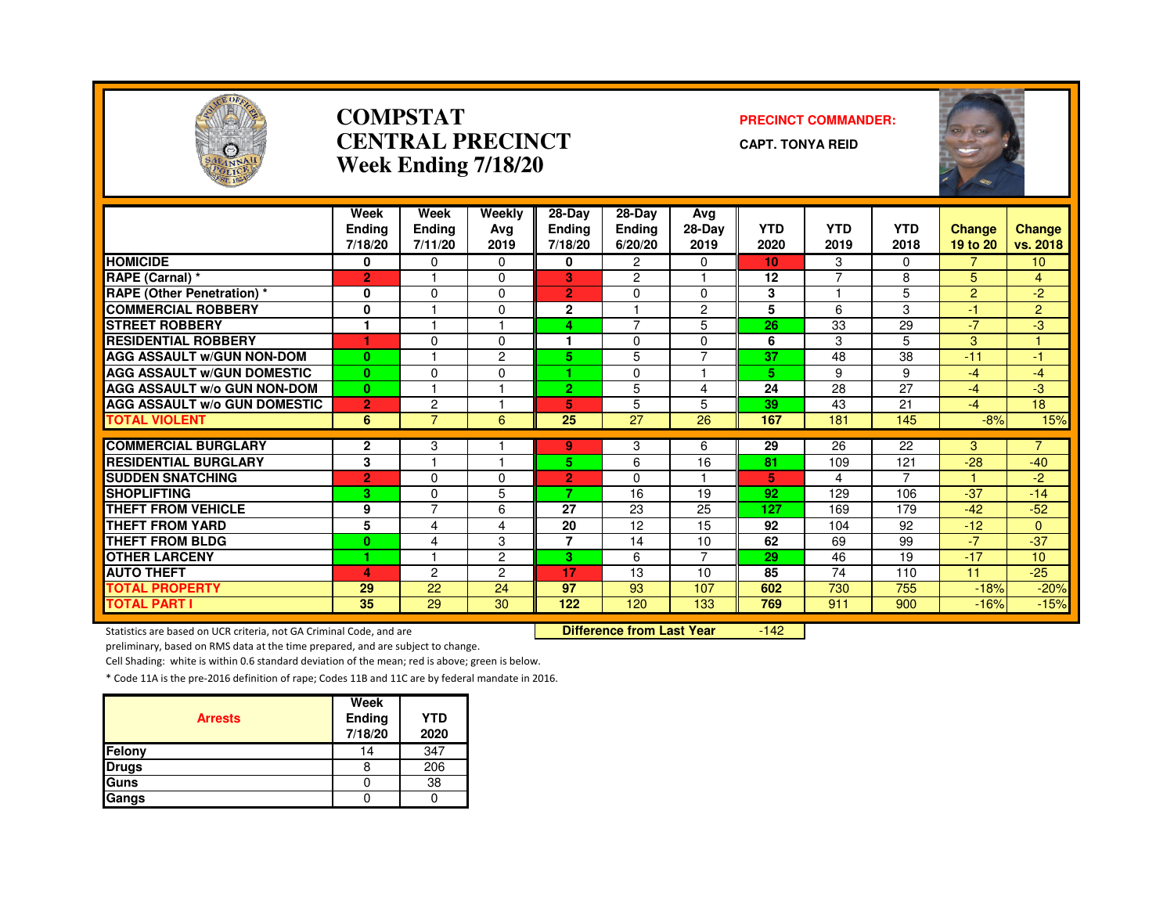

#### **COMPSTATCENTRAL PRECINCTWeek Ending 7/18/20**

#### **PRECINCT COMMANDER:**

**CAPT. TONYA REID**



|                                                           | Week<br><b>Ending</b><br>7/18/20 | Week<br><b>Ending</b><br>7/11/20 | Weekly<br>Ava<br>2019 | 28-Day<br><b>Ending</b><br>7/18/20 | 28-Day<br><b>Ending</b><br>6/20/20 | Avg<br>28-Day<br>2019 | <b>YTD</b><br>2020 | <b>YTD</b><br>2019 | <b>YTD</b><br>2018 | <b>Change</b><br>19 to 20 | <b>Change</b><br>vs. 2018 |
|-----------------------------------------------------------|----------------------------------|----------------------------------|-----------------------|------------------------------------|------------------------------------|-----------------------|--------------------|--------------------|--------------------|---------------------------|---------------------------|
| <b>HOMICIDE</b>                                           | 0                                | $\mathbf{0}$                     | $\Omega$              | 0                                  | $\overline{2}$                     | $\Omega$              | 10                 | 3                  | $\Omega$           | $\overline{7}$            | 10 <sup>°</sup>           |
| <b>RAPE (Carnal) *</b>                                    | $\overline{2}$                   |                                  | 0                     | 3                                  | 2                                  |                       | 12                 | $\overline{ }$     | 8                  | 5                         | $\overline{4}$            |
| <b>RAPE (Other Penetration) *</b>                         | 0                                | $\Omega$                         | 0                     | 2                                  | $\Omega$                           | 0                     | 3                  |                    | 5                  | $\overline{2}$            | $-2$                      |
| <b>COMMERCIAL ROBBERY</b>                                 | 0                                |                                  | 0                     | $\mathbf{2}$                       |                                    | $\overline{c}$        | 5                  | 6                  | 3                  | $-1$                      | $\overline{2}$            |
| <b>STREET ROBBERY</b>                                     | 1                                |                                  |                       | 4                                  | $\overline{7}$                     | 5                     | 26                 | 33                 | 29                 | $-7$                      | $-3$                      |
| <b>RESIDENTIAL ROBBERY</b>                                | ٠                                | $\Omega$                         | 0                     | ٠                                  | $\mathbf 0$                        | 0                     | 6                  | 3                  | 5                  | 3                         | 4                         |
| <b>AGG ASSAULT W/GUN NON-DOM</b>                          | $\bf{0}$                         |                                  | $\overline{2}$        | 5                                  | 5                                  | $\overline{7}$        | 37                 | 48                 | 38                 | $-11$                     | $-1$                      |
| <b>AGG ASSAULT W/GUN DOMESTIC</b>                         | $\mathbf{0}$                     | $\Omega$                         | $\Omega$              | 1.                                 | $\Omega$                           |                       | 5                  | 9                  | 9                  | $-4$                      | $-4$                      |
| <b>AGG ASSAULT W/o GUN NON-DOM</b>                        | $\mathbf{0}$                     |                                  |                       | $\overline{2}$                     | 5                                  | 4                     | 24                 | 28                 | 27                 | $-4$                      | $-3$                      |
| <b>AGG ASSAULT W/o GUN DOMESTIC</b>                       | $\overline{2}$                   | $\overline{c}$                   |                       | 5                                  | 5                                  | 5                     | 39                 | 43                 | 21                 | $-4$                      | 18                        |
| <b>TOTAL VIOLENT</b>                                      | 6                                | $\overline{7}$                   | 6                     | 25                                 | $\overline{27}$                    | 26                    | 167                | 181                | 145                | $-8%$                     | 15%                       |
|                                                           |                                  |                                  |                       |                                    |                                    |                       |                    |                    |                    |                           | $\overline{7}$            |
| <b>COMMERCIAL BURGLARY</b><br><b>RESIDENTIAL BURGLARY</b> | 2<br>3                           | 3                                |                       | 9<br>5.                            | 3                                  | 6<br>16               | 29<br>81           | 26<br>109          | 22<br>121          | 3<br>$-28$                | $-40$                     |
| <b>SUDDEN SNATCHING</b>                                   |                                  | $\Omega$                         | 0                     |                                    | 6<br>$\Omega$                      |                       | 5                  | 4                  | 7                  |                           | -2                        |
| <b>SHOPLIFTING</b>                                        | $\overline{2}$                   |                                  |                       | $\overline{2}$<br>7                | 16                                 | 19                    | 92                 | 129                | 106                | $-37$                     | $-14$                     |
| <b>THEFT FROM VEHICLE</b>                                 | 3<br>9                           | $\mathbf 0$<br>$\overline{7}$    | 5<br>6                | 27                                 | 23                                 | 25                    | 127                | 169                | 179                | $-42$                     | $-52$                     |
| <b>THEFT FROM YARD</b>                                    | 5                                | 4                                | 4                     | 20                                 | 12                                 | 15                    | 92                 | 104                | 92                 | $-12$                     | $\Omega$                  |
| <b>THEFT FROM BLDG</b>                                    | $\bf{0}$                         |                                  |                       | $\overline{7}$                     | 14                                 |                       | 62                 |                    | 99                 | $-7$                      | $-37$                     |
| <b>OTHER LARCENY</b>                                      |                                  | 4                                | 3<br>$\overline{2}$   | 3.                                 | 6                                  | 10<br>$\overline{7}$  | 29                 | 69<br>46           | 19                 | $-17$                     | 10                        |
| <b>AUTO THEFT</b>                                         |                                  | $\overline{c}$                   |                       | 17                                 | 13                                 |                       | 85                 | 74                 |                    |                           |                           |
|                                                           | 4<br>29                          | 22                               | $\overline{c}$        | 97                                 | 93                                 | 10<br>107             |                    | 730                | 110<br>755         | 11                        | $-25$<br>$-20%$           |
| <b>TOTAL PROPERTY</b>                                     |                                  |                                  | 24                    |                                    |                                    |                       | 602                |                    |                    | $-18%$                    |                           |
| <b>TOTAL PART I</b>                                       | 35                               | 29                               | 30                    | 122                                | 120                                | 133                   | 769                | 911                | 900                | $-16%$                    | $-15%$                    |

Statistics are based on UCR criteria, not GA Criminal Code, and are **Difference from Last Year** 

 $-142$ 

preliminary, based on RMS data at the time prepared, and are subject to change.

Cell Shading: white is within 0.6 standard deviation of the mean; red is above; green is below.

| <b>Arrests</b> | Week<br>Ending<br>7/18/20 | <b>YTD</b><br>2020 |
|----------------|---------------------------|--------------------|
| Felony         | 14                        | 347                |
| <b>Drugs</b>   |                           | 206                |
| Guns           |                           | 38                 |
| Gangs          |                           |                    |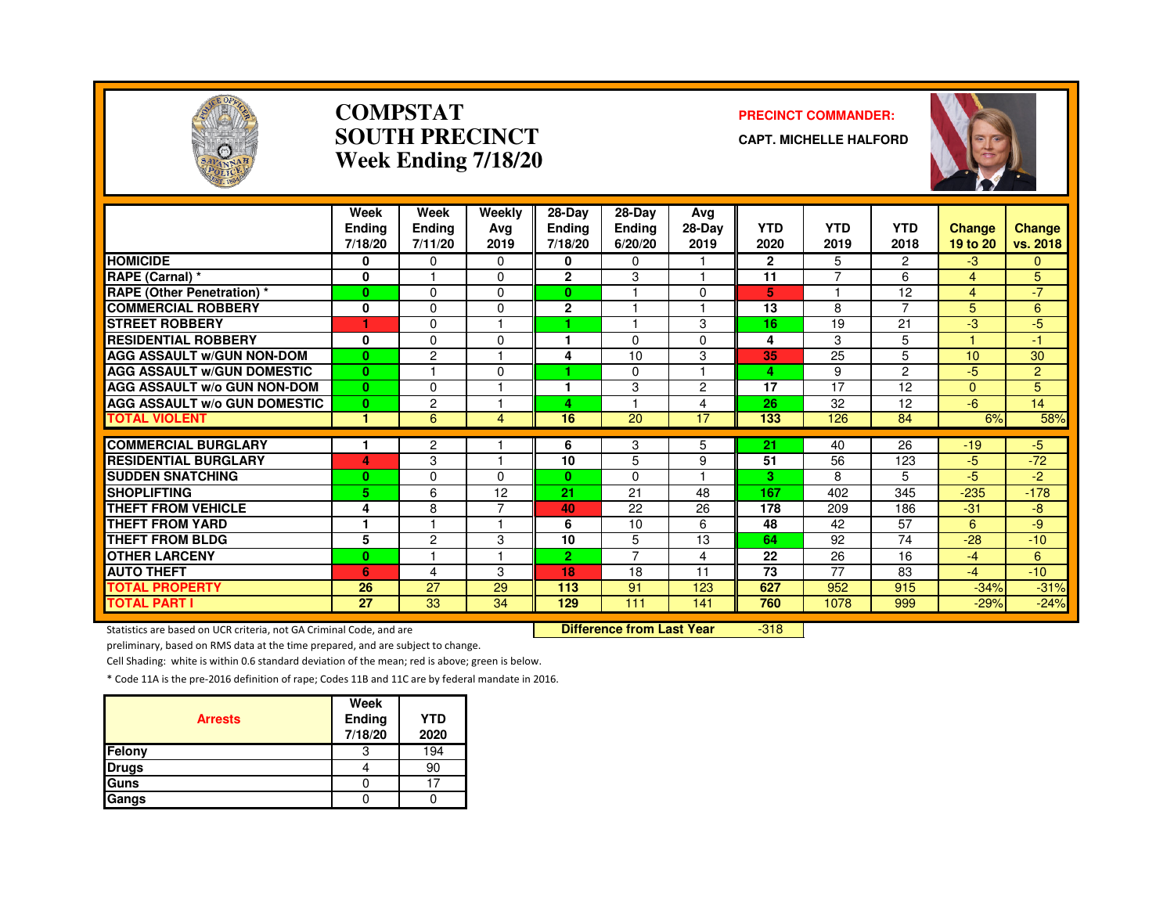

#### **COMPSTATSOUTH PRECINCTWeek Ending 7/18/20**

#### **PRECINCT COMMANDER:**

**CAPT. MICHELLE HALFORD**



|                                     | Week<br><b>Endina</b><br>7/18/20 | Week<br>Ending<br>7/11/20 | Weekly<br>Avg<br>2019 | 28-Day<br><b>Ending</b><br>7/18/20 | 28-Day<br><b>Ending</b><br>6/20/20 | Avg<br>$28-Dav$<br>2019 | <b>YTD</b><br>2020 | <b>YTD</b><br>2019 | <b>YTD</b><br>2018 | <b>Change</b><br>19 to 20 | <b>Change</b><br>vs. 2018 |
|-------------------------------------|----------------------------------|---------------------------|-----------------------|------------------------------------|------------------------------------|-------------------------|--------------------|--------------------|--------------------|---------------------------|---------------------------|
| <b>HOMICIDE</b>                     | 0                                | $\Omega$                  | $\Omega$              | 0                                  | $\Omega$                           |                         | $\overline{2}$     | 5                  | $\overline{2}$     | $-3$                      | $\mathbf{0}$              |
| RAPE (Carnal) *                     | $\mathbf 0$                      |                           | $\Omega$              | $\mathbf{2}$                       | 3                                  |                         | 11                 | $\overline{7}$     | 6                  | $\overline{4}$            | 5                         |
| <b>RAPE (Other Penetration)*</b>    | $\bf{0}$                         | $\Omega$                  | $\Omega$              | 0                                  |                                    | $\Omega$                | 5                  | н                  | 12                 | $\overline{4}$            | $-7$                      |
| <b>COMMERCIAL ROBBERY</b>           | 0                                | $\Omega$                  | $\Omega$              | $\overline{2}$                     |                                    |                         | 13                 | 8                  | 7                  | 5                         | 6                         |
| <b>STREET ROBBERY</b>               | ٦                                | $\Omega$                  |                       |                                    |                                    | 3                       | 16                 | 19                 | 21                 | -3                        | -5                        |
| <b>RESIDENTIAL ROBBERY</b>          | 0                                | $\Omega$                  | $\Omega$              |                                    | $\Omega$                           | $\Omega$                | 4                  | 3                  | 5                  |                           | -1                        |
| <b>AGG ASSAULT W/GUN NON-DOM</b>    | $\bf{0}$                         | $\overline{c}$            |                       | 4                                  | 10                                 | 3                       | 35                 | 25                 | 5                  | 10                        | 30                        |
| <b>AGG ASSAULT W/GUN DOMESTIC</b>   | $\bf{0}$                         |                           | $\Omega$              |                                    | $\Omega$                           |                         | 4                  | 9                  | $\overline{2}$     | -5                        | $\overline{2}$            |
| <b>AGG ASSAULT w/o GUN NON-DOM</b>  | $\bf{0}$                         | $\Omega$                  |                       |                                    | 3                                  | $\overline{2}$          | 17                 | 17                 | 12                 | $\Omega$                  | 5                         |
| <b>AGG ASSAULT w/o GUN DOMESTIC</b> | $\bf{0}$                         | $\overline{c}$            |                       | 4                                  |                                    | 4                       | 26                 | 32                 | 12                 | -6                        | 14                        |
| <b>TOTAL VIOLENT</b>                | $\blacktriangleleft$             | 6                         | 4                     | 16                                 | 20                                 | 17                      | 133                | 126                | 84                 | 6%                        | 58%                       |
|                                     |                                  |                           |                       |                                    |                                    |                         |                    |                    |                    |                           |                           |
| <b>COMMERCIAL BURGLARY</b>          |                                  | $\mathbf{2}$              |                       | 6                                  | 3                                  | 5                       | 21                 | 40                 | 26                 | $-19$                     | $-5$                      |
| <b>RESIDENTIAL BURGLARY</b>         | 4                                | 3                         |                       | 10                                 | 5                                  | 9                       | 51                 | 56                 | 123                | $-5$                      | $-72$                     |
| <b>SUDDEN SNATCHING</b>             | 0                                | 0                         | $\Omega$              | 0                                  | $\Omega$                           |                         | 3                  | 8                  | 5.                 | -5                        | -2                        |
| <b>SHOPLIFTING</b>                  | 5                                | 6                         | 12                    | 21                                 | 21                                 | 48                      | 167                | 402                | 345                | $-235$                    | $-178$                    |
| THEFT FROM VEHICLE                  | 4                                | 8                         | 7                     | 40                                 | 22                                 | 26                      | 178                | 209                | 186                | $-31$                     | -8                        |
| <b>THEFT FROM YARD</b>              | $\mathbf{1}$                     |                           |                       | 6                                  | 10                                 | 6                       | 48                 | 42                 | 57                 | 6                         | -9                        |
| <b>THEFT FROM BLDG</b>              | 5                                | $\overline{c}$            | 3                     | 10                                 | 5                                  | 13                      | 64                 | 92                 | 74                 | $-28$                     | $-10$                     |
| <b>OTHER LARCENY</b>                | $\bf{0}$                         |                           |                       | 2 <sup>1</sup>                     | $\overline{7}$                     | 4                       | 22                 | 26                 | 16                 | $-4$                      | 6                         |
| <b>AUTO THEFT</b>                   | 6                                | 4                         | 3                     | 18                                 | 18                                 | 11                      | 73                 | 77                 | 83                 | $-4$                      | $-10$                     |
| <b>TOTAL PROPERTY</b>               | 26                               | 27                        | 29                    | 113                                | 91                                 | 123                     | 627                | 952                | 915                | $-34%$                    | $-31%$                    |
| <b>TOTAL PART I</b>                 | 27                               | 33                        | 34                    | 129                                | 111                                | 141                     | 760                | 1078               | 999                | $-29%$                    | $-24%$                    |

Statistics are based on UCR criteria, not GA Criminal Code, and are **Difference from Last Year** 

-318

preliminary, based on RMS data at the time prepared, and are subject to change.

Cell Shading: white is within 0.6 standard deviation of the mean; red is above; green is below.

| <b>Arrests</b> | Week<br>Ending<br>7/18/20 | <b>YTD</b><br>2020 |
|----------------|---------------------------|--------------------|
| Felony         |                           | 194                |
| <b>Drugs</b>   |                           | 90                 |
| <b>Guns</b>    |                           |                    |
| Gangs          |                           |                    |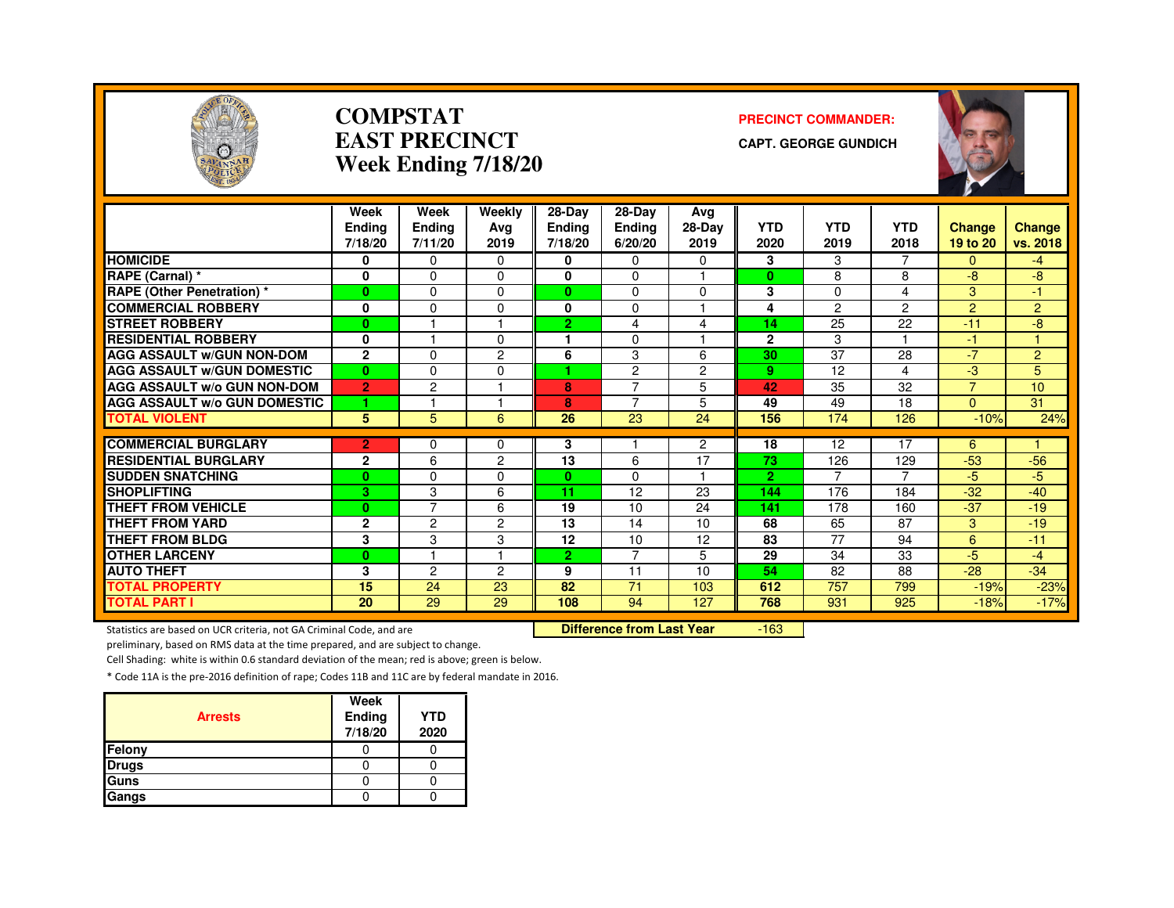

#### **COMPSTATEAST PRECINCTWeek Ending 7/18/20**

#### **PRECINCT COMMANDER:**

**CAPT. GEORGE GUNDICH**



|                                                     | Week           | Week                | Weekly         | 28-Day              | 28-Dav         | Avg            |                       |                |                        |                |                |
|-----------------------------------------------------|----------------|---------------------|----------------|---------------------|----------------|----------------|-----------------------|----------------|------------------------|----------------|----------------|
|                                                     | <b>Endina</b>  | Ending              | Ava            | <b>Ending</b>       | Ending         | 28-Day         | <b>YTD</b>            | <b>YTD</b>     | <b>YTD</b>             | <b>Change</b>  | <b>Change</b>  |
|                                                     | 7/18/20        | 7/11/20             | 2019           | 7/18/20             | 6/20/20        | 2019           | 2020                  | 2019           | 2018                   | 19 to 20       | vs. 2018       |
| <b>HOMICIDE</b>                                     | 0              | $\Omega$            | $\Omega$       | 0                   | 0              | 0              | 3                     | 3              |                        | 0              | $-4$           |
| RAPE (Carnal) *                                     | 0              | $\Omega$            | $\Omega$       | 0                   | 0              |                | $\bf{0}$              | 8              | 8                      | -8             | -8             |
| <b>RAPE (Other Penetration) *</b>                   | $\mathbf{0}$   | $\Omega$            | $\Omega$       | $\mathbf{0}$        | 0              | $\Omega$       | 3                     | $\Omega$       | 4                      | 3              | 47             |
| <b>COMMERCIAL ROBBERY</b>                           | 0              | $\Omega$            | $\Omega$       | $\bf{0}$            | 0              | ٠              | 4                     | $\overline{c}$ | $\overline{2}$         | $\overline{2}$ | $\overline{2}$ |
| <b>STREET ROBBERY</b>                               | $\bf{0}$       |                     |                | $\overline{2}$      | 4              | 4              | 14                    | 25             | 22                     | $-11$          | -8             |
| <b>RESIDENTIAL ROBBERY</b>                          | 0              |                     | 0              |                     | 0              |                | $\mathbf{2}$          | 3              |                        | $-1$           |                |
| <b>AGG ASSAULT W/GUN NON-DOM</b>                    | $\mathbf{2}$   | $\Omega$            | 2              | 6                   | 3              | 6              | 30                    | 37             | 28                     | $-7$           | $\overline{2}$ |
| <b>AGG ASSAULT W/GUN DOMESTIC</b>                   | $\bf{0}$       | $\Omega$            | $\Omega$       |                     | $\overline{c}$ | $\overline{c}$ | 9                     | 12             | 4                      | -3             | 5              |
| <b>AGG ASSAULT w/o GUN NON-DOM</b>                  | $\overline{2}$ | $\overline{c}$      |                | 8                   | $\overline{7}$ | 5              | 42                    | 35             | 32                     | $\overline{z}$ | 10             |
| <b>AGG ASSAULT W/o GUN DOMESTIC</b>                 | 1              |                     |                | 8                   | 7              | 5              | 49                    | 49             | 18                     | $\Omega$       | 31             |
| <b>TOTAL VIOLENT</b>                                | 5              | 5                   | 6              | 26                  | 23             | 24             | 156                   | 174            | 126                    | $-10%$         | 24%            |
| <b>COMMERCIAL BURGLARY</b>                          | $\overline{2}$ | $\Omega$            | $\Omega$       | 3                   |                | $\overline{2}$ | 18                    | 12             | 17                     | 6              |                |
| <b>RESIDENTIAL BURGLARY</b>                         | $\mathbf{2}$   | 6                   | $\overline{2}$ | 13                  | 6              | 17             | 73                    | 126            | 129                    | $-53$          | $-56$          |
| <b>SUDDEN SNATCHING</b>                             |                |                     | $\Omega$       |                     | 0              | 1              |                       | 7              | 7                      | $-5$           |                |
| <b>SHOPLIFTING</b>                                  | $\bf{0}$       | $\Omega$            | 6              | $\mathbf{0}$<br>11. | 12             | 23             | $\overline{2}$<br>144 | 176            | 184                    | $-32$          | $-5$<br>$-40$  |
|                                                     | 3              | 3<br>$\overline{7}$ |                |                     |                |                |                       |                |                        |                |                |
| <b>THEFT FROM VEHICLE</b><br><b>THEFT FROM YARD</b> | $\bf{0}$       |                     | 6              | 19<br>13            | 10             | 24             | 141<br>68             | 178            | 160<br>$\overline{87}$ | $-37$          | $-19$          |
|                                                     | $\overline{2}$ | $\overline{c}$      | $\overline{2}$ |                     | 14             | 10             |                       | 65             |                        | 3              | $-19$          |
| <b>THEFT FROM BLDG</b>                              | 3              | 3                   | 3<br>٠         | 12                  | 10             | 12             | 83                    | 77             | 94                     | 6              | $-11$          |
| <b>OTHER LARCENY</b>                                | $\bf{0}$       |                     |                | 2 <sup>1</sup>      | $\overline{7}$ | 5              | 29                    | 34             | 33                     | $-5$           | $-4$           |
| <b>AUTO THEFT</b>                                   | 3              | 2                   | 2              | 9                   | 11             | 10             | 54                    | 82             | 88                     | $-28$          | $-34$          |
| <b>TOTAL PROPERTY</b>                               | 15             | 24                  | 23             | 82                  | 71             | 103            | 612                   | 757            | 799                    | $-19%$         | $-23%$         |
| <b>TOTAL PART I</b>                                 | 20             | 29                  | 29             | 108                 | 94             | 127            | 768                   | 931            | 925                    | $-18%$         | $-17%$         |

Statistics are based on UCR criteria, not GA Criminal Code, and are **Difference from Last Year** 

-163

preliminary, based on RMS data at the time prepared, and are subject to change.

Cell Shading: white is within 0.6 standard deviation of the mean; red is above; green is below.

| <b>Arrests</b> | Week<br>Ending<br>7/18/20 | <b>YTD</b><br>2020 |
|----------------|---------------------------|--------------------|
| Felony         |                           |                    |
| <b>Drugs</b>   |                           |                    |
| Guns           |                           |                    |
| Gangs          |                           |                    |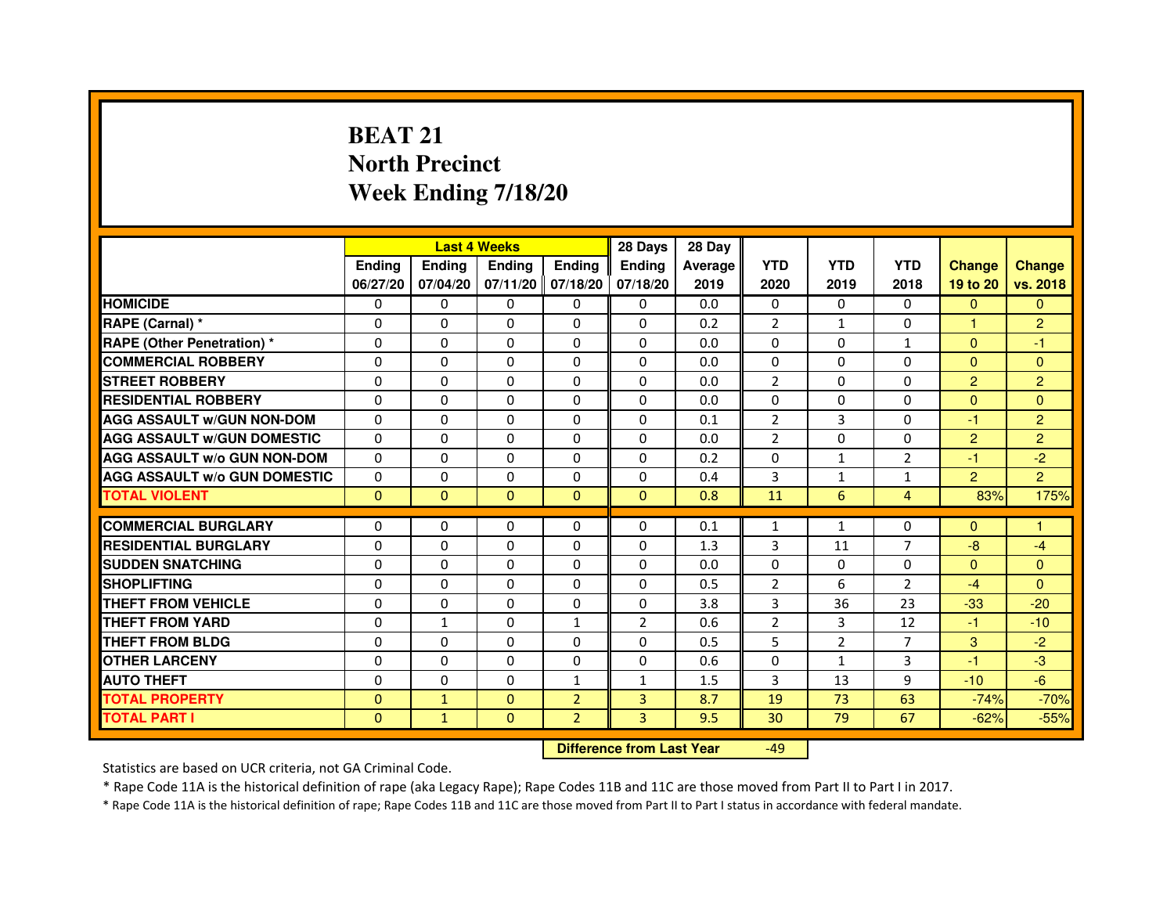# **BEAT 21 North PrecinctWeek Ending 7/18/20**

|                                     |                | <b>Last 4 Weeks</b> |                |                   | 28 Days        | 28 Day  |                |                |                |                |                |
|-------------------------------------|----------------|---------------------|----------------|-------------------|----------------|---------|----------------|----------------|----------------|----------------|----------------|
|                                     | <b>Endina</b>  | <b>Ending</b>       | <b>Endina</b>  | <b>Endina</b>     | <b>Endina</b>  | Average | <b>YTD</b>     | <b>YTD</b>     | <b>YTD</b>     | <b>Change</b>  | <b>Change</b>  |
|                                     | 06/27/20       | 07/04/20            |                | 07/11/20 07/18/20 | 07/18/20       | 2019    | 2020           | 2019           | 2018           | 19 to 20       | vs. 2018       |
| <b>HOMICIDE</b>                     | 0              | $\mathbf{0}$        | 0              | 0                 | 0              | 0.0     | $\mathbf{0}$   | $\mathbf{0}$   | $\Omega$       | $\mathbf{0}$   | $\mathbf{0}$   |
| RAPE (Carnal) *                     | $\Omega$       | $\Omega$            | $\Omega$       | $\Omega$          | $\Omega$       | 0.2     | $\overline{2}$ | $\mathbf{1}$   | $\Omega$       | $\mathbf{1}$   | $\overline{2}$ |
| <b>RAPE (Other Penetration)*</b>    | 0              | $\Omega$            | $\Omega$       | $\Omega$          | $\Omega$       | 0.0     | $\Omega$       | $\Omega$       | $\mathbf{1}$   | $\Omega$       | $-1$           |
| <b>COMMERCIAL ROBBERY</b>           | 0              | 0                   | 0              | $\Omega$          | $\Omega$       | 0.0     | $\Omega$       | $\Omega$       | $\Omega$       | $\Omega$       | $\Omega$       |
| <b>STREET ROBBERY</b>               | 0              | $\Omega$            | 0              | $\mathbf{0}$      | $\Omega$       | 0.0     | $\overline{2}$ | 0              | 0              | $\overline{2}$ | $\overline{2}$ |
| <b>RESIDENTIAL ROBBERY</b>          | 0              | $\Omega$            | $\Omega$       | $\Omega$          | $\Omega$       | 0.0     | $\Omega$       | $\Omega$       | $\Omega$       | $\Omega$       | $\Omega$       |
| <b>AGG ASSAULT W/GUN NON-DOM</b>    | $\Omega$       | $\Omega$            | $\Omega$       | $\mathbf{0}$      | $\Omega$       | 0.1     | $\overline{2}$ | 3              | $\Omega$       | $-1$           | $\overline{2}$ |
| <b>AGG ASSAULT w/GUN DOMESTIC</b>   | $\Omega$       | $\Omega$            | 0              | $\Omega$          | $\Omega$       | 0.0     | $\overline{2}$ | $\Omega$       | $\Omega$       | $\overline{2}$ | $\overline{2}$ |
| <b>AGG ASSAULT W/o GUN NON-DOM</b>  | $\Omega$       | 0                   | $\Omega$       | $\Omega$          | $\Omega$       | 0.2     | $\Omega$       | $\mathbf{1}$   | $\overline{2}$ | $-1$           | $-2$           |
| <b>AGG ASSAULT w/o GUN DOMESTIC</b> | $\Omega$       | $\Omega$            | $\Omega$       | $\Omega$          | $\Omega$       | 0.4     | 3              | $\mathbf{1}$   | $\mathbf{1}$   | $\overline{2}$ | $\overline{2}$ |
| <b>TOTAL VIOLENT</b>                | $\Omega$       | $\mathbf{0}$        | $\overline{0}$ | $\mathbf{0}$      | $\mathbf{0}$   | 0.8     | 11             | 6              | $\overline{4}$ | 83%            | 175%           |
| <b>COMMERCIAL BURGLARY</b>          | $\Omega$       | 0                   | 0              | 0                 | $\Omega$       | 0.1     | $\mathbf{1}$   | $\mathbf{1}$   | $\Omega$       | $\Omega$       | 1              |
| <b>RESIDENTIAL BURGLARY</b>         | 0              | 0                   | 0              | 0                 | $\Omega$       | 1.3     | 3              | 11             | 7              | $-8$           | $-4$           |
| <b>SUDDEN SNATCHING</b>             | 0              | 0                   | 0              | 0                 | 0              | 0.0     | 0              | 0              | 0              | $\Omega$       | $\Omega$       |
| <b>SHOPLIFTING</b>                  | $\mathbf 0$    | 0                   | $\Omega$       | $\mathbf{0}$      | $\Omega$       | 0.5     | $\overline{2}$ | 6              | $\overline{2}$ | $-4$           | $\Omega$       |
| <b>THEFT FROM VEHICLE</b>           | $\Omega$       | $\Omega$            | $\Omega$       | $\mathbf{0}$      | $\Omega$       | 3.8     | 3              | 36             | 23             | $-33$          | $-20$          |
| <b>THEFT FROM YARD</b>              | 0              | $\mathbf{1}$        | $\Omega$       | $\mathbf{1}$      | $\mathfrak{p}$ | 0.6     | $\overline{2}$ | 3              | 12             | $-1$           | $-10$          |
| <b>THEFT FROM BLDG</b>              | 0              | 0                   | 0              | 0                 | 0              | 0.5     | 5              | $\overline{2}$ | 7              | 3              | $-2$           |
| <b>OTHER LARCENY</b>                | 0              | $\Omega$            | 0              | $\mathbf{0}$      | $\Omega$       | 0.6     | 0              | $\mathbf{1}$   | 3              | $-1$           | $-3$           |
| <b>AUTO THEFT</b>                   | $\Omega$       | $\Omega$            | 0              | $\mathbf{1}$      | $\mathbf{1}$   | 1.5     | 3              | 13             | 9              | $-10$          | $-6$           |
| <b>TOTAL PROPERTY</b>               | $\overline{0}$ | $\mathbf{1}$        | $\mathbf{0}$   | $\overline{2}$    | 3              | 8.7     | 19             | 73             | 63             | $-74%$         | $-70%$         |
| <b>TOTAL PART I</b>                 | $\mathbf{0}$   | $\mathbf{1}$        | $\mathbf{0}$   | $\overline{2}$    | 3              | 9.5     | 30             | 79             | 67             | $-62%$         | $-55%$         |

 **Difference from Last Year**

-49

Statistics are based on UCR criteria, not GA Criminal Code.

\* Rape Code 11A is the historical definition of rape (aka Legacy Rape); Rape Codes 11B and 11C are those moved from Part II to Part I in 2017.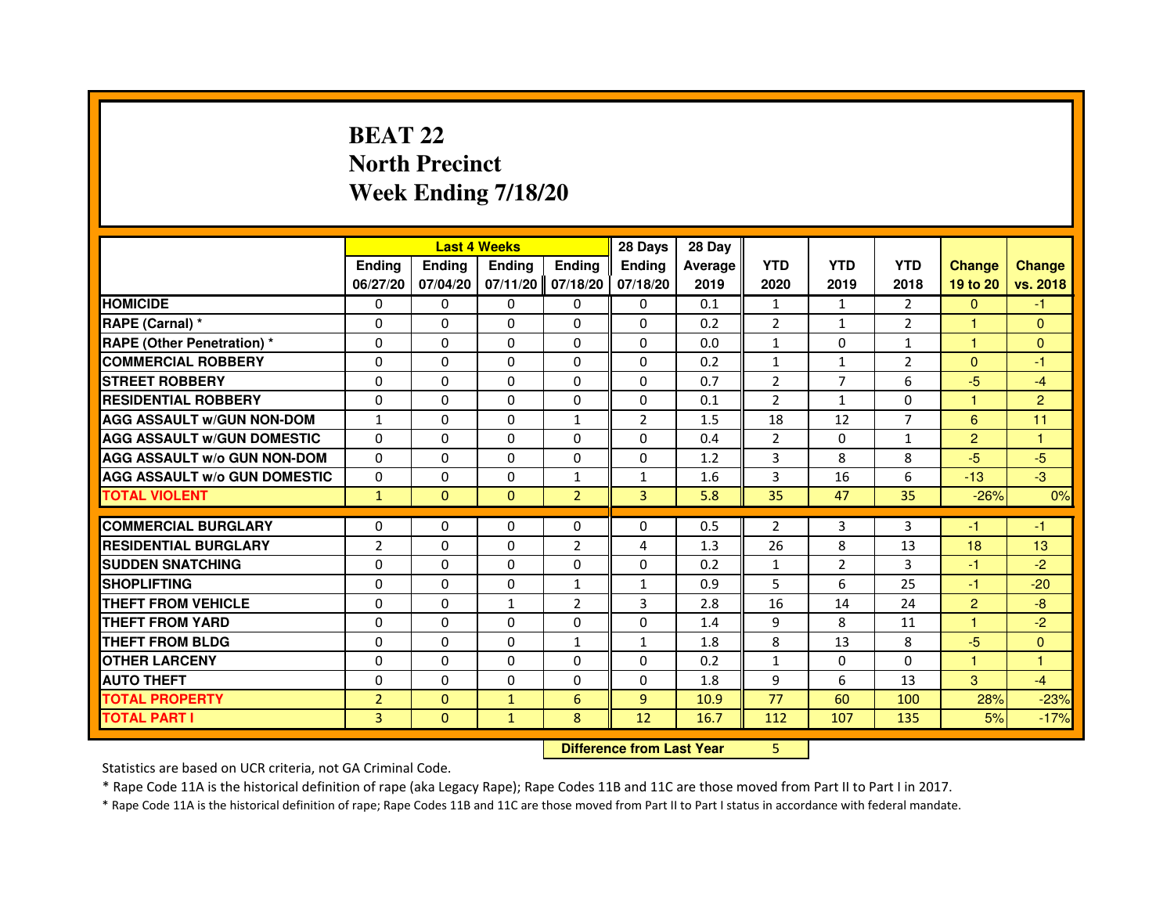# **BEAT 22 North PrecinctWeek Ending 7/18/20**

|                                     |                | <b>Last 4 Weeks</b> |                                  |                | 28 Days        | 28 Day  |                |                |                |                |                |
|-------------------------------------|----------------|---------------------|----------------------------------|----------------|----------------|---------|----------------|----------------|----------------|----------------|----------------|
|                                     | <b>Ending</b>  | <b>Ending</b>       | <b>Ending</b>                    | <b>Ending</b>  | <b>Ending</b>  | Average | <b>YTD</b>     | <b>YTD</b>     | <b>YTD</b>     | <b>Change</b>  | <b>Change</b>  |
|                                     | 06/27/20       | 07/04/20            | 07/11/20                         | 07/18/20       | 07/18/20       | 2019    | 2020           | 2019           | 2018           | 19 to 20       | vs. 2018       |
| <b>HOMICIDE</b>                     | 0              | $\Omega$            | $\Omega$                         | 0              | 0              | 0.1     | $\mathbf{1}$   | $\mathbf{1}$   | $\mathcal{P}$  | $\Omega$       | $-1$           |
| RAPE (Carnal) *                     | 0              | $\mathbf{0}$        | 0                                | 0              | 0              | 0.2     | 2              | $\mathbf{1}$   | $\overline{2}$ | 1              | $\mathbf{0}$   |
| RAPE (Other Penetration) *          | $\Omega$       | $\Omega$            | $\Omega$                         | $\Omega$       | $\Omega$       | 0.0     | $\mathbf{1}$   | $\mathbf{0}$   | $\mathbf{1}$   | 1              | $\overline{0}$ |
| <b>COMMERCIAL ROBBERY</b>           | $\Omega$       | $\Omega$            | $\Omega$                         | $\Omega$       | $\Omega$       | 0.2     | $\mathbf{1}$   | $\mathbf{1}$   | $\overline{2}$ | $\mathbf{0}$   | $-1$           |
| <b>STREET ROBBERY</b>               | $\Omega$       | $\Omega$            | $\Omega$                         | $\Omega$       | $\Omega$       | 0.7     | $\overline{2}$ | $\overline{7}$ | 6              | $-5$           | $-4$           |
| <b>RESIDENTIAL ROBBERY</b>          | 0              | 0                   | 0                                | 0              | 0              | 0.1     | 2              | $\mathbf{1}$   | 0              | $\mathbf{1}$   | $\overline{2}$ |
| <b>AGG ASSAULT w/GUN NON-DOM</b>    | $\mathbf{1}$   | $\Omega$            | $\Omega$                         | $\mathbf{1}$   | $\overline{2}$ | 1.5     | 18             | 12             | $\overline{7}$ | 6              | 11             |
| <b>AGG ASSAULT W/GUN DOMESTIC</b>   | $\Omega$       | $\Omega$            | $\Omega$                         | $\Omega$       | $\Omega$       | 0.4     | $\overline{2}$ | $\mathbf{0}$   | $\mathbf{1}$   | $\overline{2}$ | $\mathbf{1}$   |
| <b>AGG ASSAULT W/o GUN NON-DOM</b>  | $\Omega$       | $\Omega$            | $\Omega$                         | $\Omega$       | $\Omega$       | 1.2     | 3              | 8              | 8              | $-5$           | $-5$           |
| <b>AGG ASSAULT w/o GUN DOMESTIC</b> | $\Omega$       | $\Omega$            | 0                                | $\mathbf{1}$   | $\mathbf{1}$   | 1.6     | 3              | 16             | 6              | $-13$          | $-3$           |
| <b>TOTAL VIOLENT</b>                | $\mathbf{1}$   | $\mathbf{0}$        | $\mathbf{0}$                     | $\overline{2}$ | 3              | 5.8     | 35             | 47             | 35             | $-26%$         | 0%             |
| <b>COMMERCIAL BURGLARY</b>          | 0              | 0                   | 0                                | 0              | 0              | 0.5     | 2              | 3              | 3              | $-1$           | $-1$           |
| <b>RESIDENTIAL BURGLARY</b>         | $\overline{2}$ | $\Omega$            | $\Omega$                         | $\overline{2}$ | 4              | 1.3     | 26             | 8              | 13             | 18             | 13             |
| <b>SUDDEN SNATCHING</b>             | 0              | $\Omega$            | $\Omega$                         | $\Omega$       | $\Omega$       | 0.2     | $\mathbf{1}$   | $\overline{2}$ | 3              | $-1$           | $-2$           |
| <b>SHOPLIFTING</b>                  | 0              | $\Omega$            | 0                                | 1              | $\mathbf{1}$   | 0.9     | 5              | 6              | 25             | $-1$           | $-20$          |
| <b>THEFT FROM VEHICLE</b>           | 0              | 0                   | $\mathbf{1}$                     | $\overline{2}$ | 3              | 2.8     | 16             | 14             | 24             | $\overline{2}$ | $-8$           |
| <b>THEFT FROM YARD</b>              | $\Omega$       | $\Omega$            | $\Omega$                         | $\Omega$       | $\Omega$       | 1.4     | 9              | 8              | 11             | 1              | $-2$           |
| <b>THEFT FROM BLDG</b>              | $\Omega$       | $\Omega$            | $\Omega$                         | $\mathbf{1}$   | $\mathbf{1}$   | 1.8     | 8              | 13             | 8              | $-5$           | $\Omega$       |
| <b>OTHER LARCENY</b>                | 0              | $\Omega$            | $\Omega$                         | 0              | 0              | 0.2     | $\mathbf{1}$   | 0              | $\Omega$       | 1              | 1              |
| <b>AUTO THEFT</b>                   | $\Omega$       | $\Omega$            | $\Omega$                         | $\Omega$       | $\Omega$       | 1.8     | 9              | 6              | 13             | $\overline{3}$ | $-4$           |
| <b>TOTAL PROPERTY</b>               | $\overline{2}$ | $\mathbf{0}$        | $\mathbf{1}$                     | 6              | $\overline{9}$ | 10.9    | 77             | 60             | 100            | 28%            | $-23%$         |
| <b>TOTAL PART I</b>                 | $\overline{3}$ | $\mathbf{0}$        | $\mathbf{1}$                     | 8              | 12             | 16.7    | 112            | 107            | 135            | 5%             | $-17%$         |
|                                     |                |                     | <b>Difference from Last Year</b> |                | 5              |         |                |                |                |                |                |

 **Difference from Last Year**

Statistics are based on UCR criteria, not GA Criminal Code.

\* Rape Code 11A is the historical definition of rape (aka Legacy Rape); Rape Codes 11B and 11C are those moved from Part II to Part I in 2017.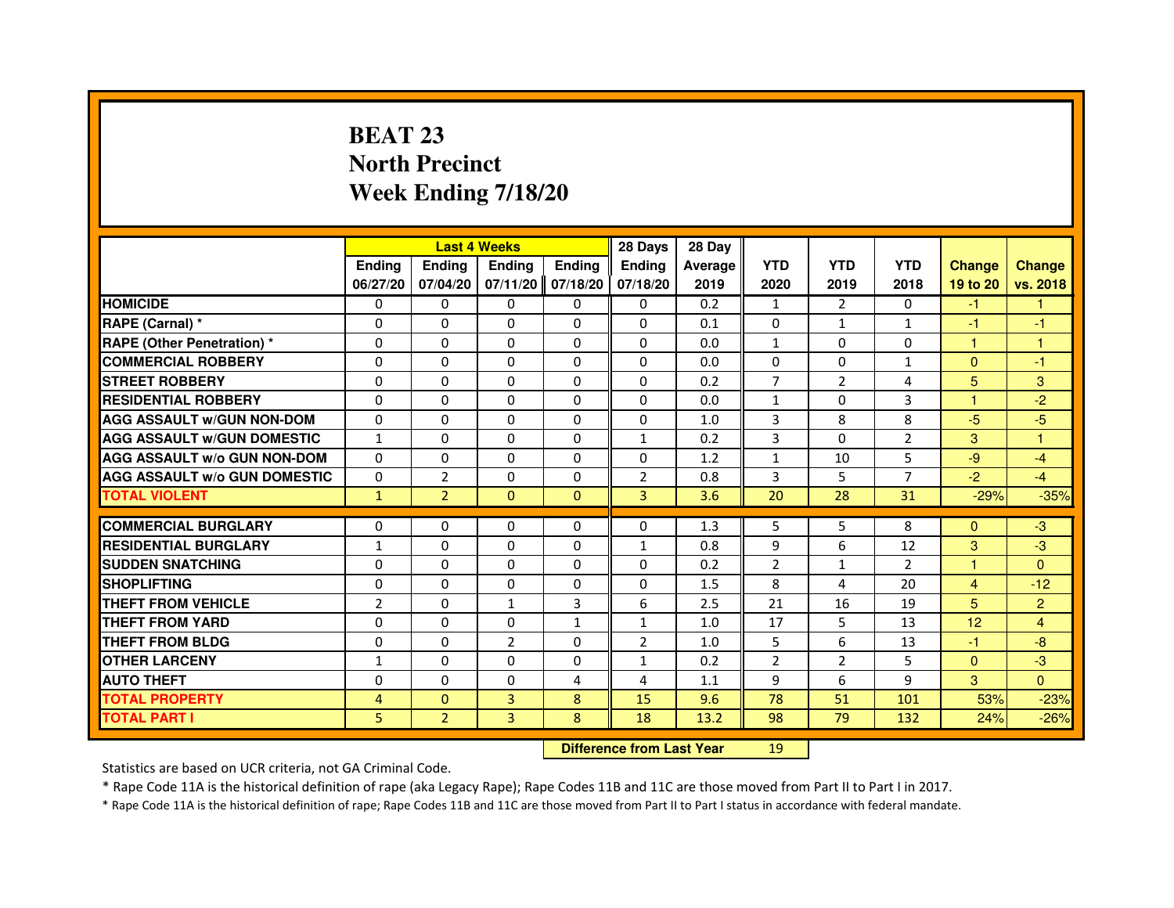# **BEAT 23 North PrecinctWeek Ending 7/18/20**

|                                     |                |                | <b>Last 4 Weeks</b>              |               | 28 Days        | 28 Day  |                |                |                |                |                |
|-------------------------------------|----------------|----------------|----------------------------------|---------------|----------------|---------|----------------|----------------|----------------|----------------|----------------|
|                                     | <b>Ending</b>  | Ending         | <b>Ending</b>                    | <b>Ending</b> | <b>Ending</b>  | Average | <b>YTD</b>     | <b>YTD</b>     | <b>YTD</b>     | <b>Change</b>  | <b>Change</b>  |
|                                     | 06/27/20       | 07/04/20       | 07/11/20                         | 07/18/20      | 07/18/20       | 2019    | 2020           | 2019           | 2018           | 19 to 20       | vs. 2018       |
| <b>HOMICIDE</b>                     | 0              | $\Omega$       | $\Omega$                         | $\Omega$      | 0              | 0.2     | $\mathbf{1}$   | $\mathcal{P}$  | $\Omega$       | $-1$           | $\mathbf{1}$   |
| RAPE (Carnal) *                     | 0              | 0              | 0                                | 0             | 0              | 0.1     | 0              | $\mathbf{1}$   | $\mathbf{1}$   | $-1$           | $-1$           |
| RAPE (Other Penetration) *          | $\Omega$       | 0              | $\Omega$                         | $\Omega$      | $\Omega$       | 0.0     | $\mathbf{1}$   | $\Omega$       | $\Omega$       | 1              | 1              |
| <b>COMMERCIAL ROBBERY</b>           | $\Omega$       | $\Omega$       | $\Omega$                         | $\Omega$      | $\Omega$       | 0.0     | $\Omega$       | $\Omega$       | $\mathbf{1}$   | $\Omega$       | $-1$           |
| <b>STREET ROBBERY</b>               | $\Omega$       | $\Omega$       | $\Omega$                         | $\Omega$      | $\Omega$       | 0.2     | $\overline{7}$ | $\overline{2}$ | $\overline{a}$ | 5              | 3              |
| <b>RESIDENTIAL ROBBERY</b>          | 0              | 0              | $\Omega$                         | 0             | 0              | 0.0     | $\mathbf{1}$   | 0              | 3              | 1              | $-2$           |
| <b>AGG ASSAULT W/GUN NON-DOM</b>    | $\Omega$       | $\Omega$       | $\Omega$                         | $\Omega$      | $\Omega$       | 1.0     | $\overline{3}$ | 8              | 8              | $-5$           | $-5$           |
| <b>AGG ASSAULT W/GUN DOMESTIC</b>   | $\mathbf{1}$   | $\Omega$       | $\Omega$                         | $\Omega$      | $\mathbf{1}$   | 0.2     | 3              | $\Omega$       | $\overline{2}$ | 3              | $\mathbf{1}$   |
| <b>AGG ASSAULT W/o GUN NON-DOM</b>  | $\Omega$       | $\Omega$       | $\Omega$                         | $\Omega$      | $\Omega$       | 1.2     | $\mathbf{1}$   | 10             | 5              | $-9$           | $-4$           |
| <b>AGG ASSAULT W/o GUN DOMESTIC</b> | $\Omega$       | $\overline{2}$ | 0                                | $\Omega$      | $\overline{2}$ | 0.8     | 3              | 5              | $\overline{7}$ | $-2$           | $-4$           |
| <b>TOTAL VIOLENT</b>                | $\mathbf{1}$   | $\overline{2}$ | $\mathbf{0}$                     | $\mathbf{0}$  | 3              | 3.6     | 20             | 28             | 31             | $-29%$         | $-35%$         |
| <b>COMMERCIAL BURGLARY</b>          | 0              | 0              | 0                                | 0             | 0              | 1.3     | 5              | 5              | 8              | $\Omega$       | $-3$           |
| <b>RESIDENTIAL BURGLARY</b>         | $\mathbf{1}$   | $\Omega$       | $\Omega$                         | $\Omega$      | $\mathbf{1}$   | 0.8     | 9              | 6              | 12             | 3              | $-3$           |
| <b>SUDDEN SNATCHING</b>             | $\Omega$       | $\Omega$       | $\Omega$                         | $\Omega$      | $\Omega$       | 0.2     | $\overline{2}$ | $\mathbf{1}$   | $\overline{2}$ | $\mathbf{1}$   | $\Omega$       |
| <b>SHOPLIFTING</b>                  | 0              | $\Omega$       | 0                                | 0             | 0              | 1.5     | 8              | 4              | 20             | $\overline{4}$ | $-12$          |
| THEFT FROM VEHICLE                  | $\overline{2}$ | $\Omega$       | $\mathbf{1}$                     | 3             | 6              | 2.5     | 21             | 16             | 19             | 5              | $\overline{2}$ |
| <b>THEFT FROM YARD</b>              | $\Omega$       | $\Omega$       | $\Omega$                         | $\mathbf{1}$  | $\mathbf{1}$   | 1.0     | 17             | 5              | 13             | 12             | 4              |
| <b>THEFT FROM BLDG</b>              | $\Omega$       | $\Omega$       | $\overline{2}$                   | $\Omega$      | $\overline{2}$ | 1.0     | 5              | 6              | 13             | $-1$           | $-8$           |
| <b>OTHER LARCENY</b>                | 1              | 0              | 0                                | 0             | 1              | 0.2     | $\overline{2}$ | 2              | 5              | $\mathbf{0}$   | $-3$           |
| <b>AUTO THEFT</b>                   | $\Omega$       | $\Omega$       | $\Omega$                         | 4             | 4              | 1.1     | 9              | 6              | 9              | 3              | $\Omega$       |
| <b>TOTAL PROPERTY</b>               | $\overline{4}$ | $\Omega$       | $\overline{3}$                   | 8             | 15             | 9.6     | 78             | 51             | 101            | 53%            | $-23%$         |
| <b>TOTAL PART I</b>                 | 5              | $\overline{2}$ | 3                                | 8             | 18             | 13.2    | 98             | 79             | 132            | 24%            | $-26%$         |
|                                     |                |                | <b>Difference from Last Year</b> |               | 19             |         |                |                |                |                |                |

 **Difference from Last Year**

Statistics are based on UCR criteria, not GA Criminal Code.

\* Rape Code 11A is the historical definition of rape (aka Legacy Rape); Rape Codes 11B and 11C are those moved from Part II to Part I in 2017.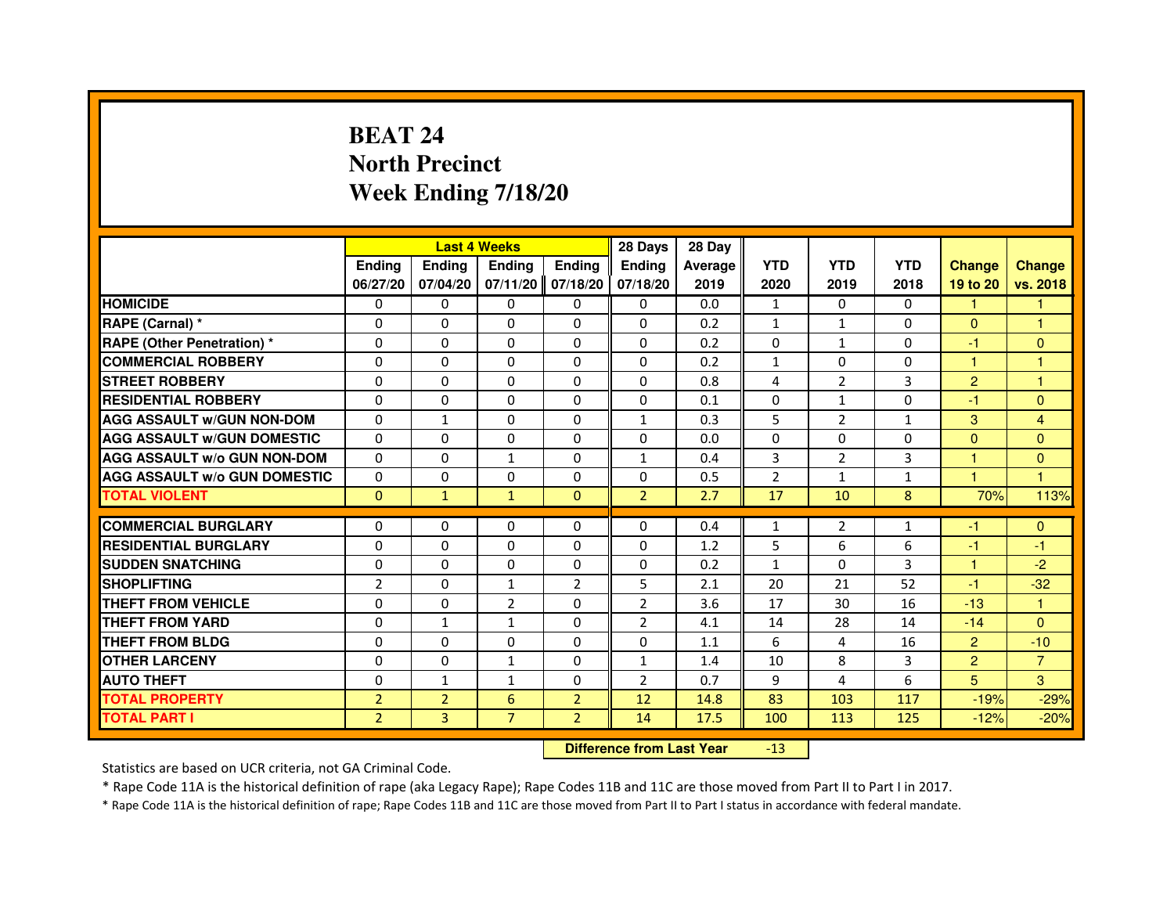# **BEAT 24 North PrecinctWeek Ending 7/18/20**

|                                     |                | <b>Last 4 Weeks</b> |                                  |                | 28 Days        | 28 Day  |                |                |              |                |                      |
|-------------------------------------|----------------|---------------------|----------------------------------|----------------|----------------|---------|----------------|----------------|--------------|----------------|----------------------|
|                                     | <b>Ending</b>  | Ending              | <b>Ending</b>                    | <b>Ending</b>  | Ending         | Average | <b>YTD</b>     | <b>YTD</b>     | <b>YTD</b>   | <b>Change</b>  | <b>Change</b>        |
|                                     | 06/27/20       | 07/04/20            | 07/11/20                         | 07/18/20       | 07/18/20       | 2019    | 2020           | 2019           | 2018         | 19 to 20       | vs. 2018             |
| <b>HOMICIDE</b>                     | 0              | $\Omega$            | 0                                | 0              | $\mathbf{0}$   | 0.0     | $\mathbf{1}$   | $\Omega$       | $\Omega$     | 1.             | 1.                   |
| RAPE (Carnal) *                     | 0              | 0                   | 0                                | 0              | 0              | 0.2     | $\mathbf{1}$   | $\mathbf{1}$   | 0            | $\mathbf{0}$   | 1                    |
| RAPE (Other Penetration) *          | $\Omega$       | $\Omega$            | $\Omega$                         | $\Omega$       | $\Omega$       | 0.2     | $\Omega$       | $\mathbf{1}$   | $\Omega$     | $-1$           | $\mathbf{0}$         |
| <b>COMMERCIAL ROBBERY</b>           | 0              | $\Omega$            | $\Omega$                         | $\Omega$       | $\Omega$       | 0.2     | $\mathbf{1}$   | $\Omega$       | $\Omega$     | $\mathbf{1}$   | $\mathbf{1}$         |
| <b>STREET ROBBERY</b>               | $\Omega$       | $\Omega$            | $\Omega$                         | $\Omega$       | $\Omega$       | 0.8     | 4              | $\overline{2}$ | 3            | $\overline{2}$ | 1                    |
| <b>RESIDENTIAL ROBBERY</b>          | 0              | 0                   | 0                                | 0              | 0              | 0.1     | 0              | $\mathbf{1}$   | 0            | $-1$           | $\mathbf{0}$         |
| <b>AGG ASSAULT w/GUN NON-DOM</b>    | $\Omega$       | $\mathbf{1}$        | $\Omega$                         | $\Omega$       | $\mathbf{1}$   | 0.3     | 5              | $\overline{2}$ | $\mathbf{1}$ | 3              | $\overline{4}$       |
| <b>AGG ASSAULT W/GUN DOMESTIC</b>   | $\Omega$       | $\Omega$            | $\Omega$                         | $\Omega$       | $\Omega$       | 0.0     | $\Omega$       | $\Omega$       | 0            | $\Omega$       | $\Omega$             |
| <b>AGG ASSAULT W/o GUN NON-DOM</b>  | $\Omega$       | $\Omega$            | $\mathbf{1}$                     | $\Omega$       | $\mathbf{1}$   | 0.4     | 3              | 2              | 3            | $\mathbf{1}$   | $\mathbf{0}$         |
| <b>AGG ASSAULT w/o GUN DOMESTIC</b> | $\Omega$       | $\Omega$            | $\Omega$                         | $\Omega$       | $\Omega$       | 0.5     | $\overline{2}$ | $\mathbf{1}$   | $\mathbf{1}$ | $\overline{1}$ | $\blacktriangleleft$ |
| <b>TOTAL VIOLENT</b>                | $\mathbf{0}$   | $\mathbf{1}$        | $\mathbf{1}$                     | $\mathbf{0}$   | $\overline{2}$ | 2.7     | 17             | 10             | 8            | 70%            | 113%                 |
| <b>COMMERCIAL BURGLARY</b>          | 0              | 0                   | 0                                | 0              | 0              | 0.4     | $\mathbf{1}$   | 2              | $\mathbf{1}$ | $-1$           | $\mathbf{0}$         |
| <b>RESIDENTIAL BURGLARY</b>         | 0              | $\Omega$            | $\Omega$                         | $\Omega$       | 0              | 1.2     | 5              | 6              | 6            | $-1$           | $-1$                 |
| <b>SUDDEN SNATCHING</b>             | $\Omega$       | $\Omega$            | $\Omega$                         | $\Omega$       | $\Omega$       | 0.2     | $\mathbf{1}$   | $\Omega$       | 3            | $\mathbf{1}$   | $-2$                 |
| <b>SHOPLIFTING</b>                  | $\overline{2}$ | $\Omega$            | $\mathbf{1}$                     | $\overline{2}$ | 5              | 2.1     | 20             | 21             | 52           | $-1$           | $-32$                |
| <b>THEFT FROM VEHICLE</b>           | 0              | 0                   | $\overline{2}$                   | $\Omega$       | 2              | 3.6     | 17             | 30             | 16           | $-13$          | $\mathbf{1}$         |
| <b>THEFT FROM YARD</b>              | $\Omega$       | $\mathbf{1}$        | $\mathbf{1}$                     | $\Omega$       | $\overline{2}$ | 4.1     | 14             | 28             | 14           | $-14$          | $\Omega$             |
| <b>THEFT FROM BLDG</b>              | $\Omega$       | $\Omega$            | $\Omega$                         | $\Omega$       | $\Omega$       | 1.1     | 6              | 4              | 16           | $\overline{2}$ | $-10$                |
| <b>OTHER LARCENY</b>                | 0              | $\Omega$            | $\mathbf{1}$                     | 0              | $\mathbf{1}$   | 1.4     | 10             | 8              | 3            | $\overline{2}$ | $\overline{7}$       |
| <b>AUTO THEFT</b>                   | $\Omega$       | $\mathbf{1}$        | $\mathbf{1}$                     | $\Omega$       | $\overline{2}$ | 0.7     | 9              | 4              | 6            | 5              | 3                    |
| <b>TOTAL PROPERTY</b>               | $\overline{2}$ | $\overline{2}$      | 6                                | $\overline{2}$ | 12             | 14.8    | 83             | 103            | 117          | $-19%$         | $-29%$               |
| <b>TOTAL PART I</b>                 | $\overline{2}$ | $\overline{3}$      | $\overline{7}$                   | $\overline{2}$ | 14             | 17.5    | 100            | 113            | 125          | $-12%$         | $-20%$               |
|                                     |                |                     | <b>Difference from Last Year</b> |                | $-13$          |         |                |                |              |                |                      |

 **Difference from Last Year**

Statistics are based on UCR criteria, not GA Criminal Code.

\* Rape Code 11A is the historical definition of rape (aka Legacy Rape); Rape Codes 11B and 11C are those moved from Part II to Part I in 2017.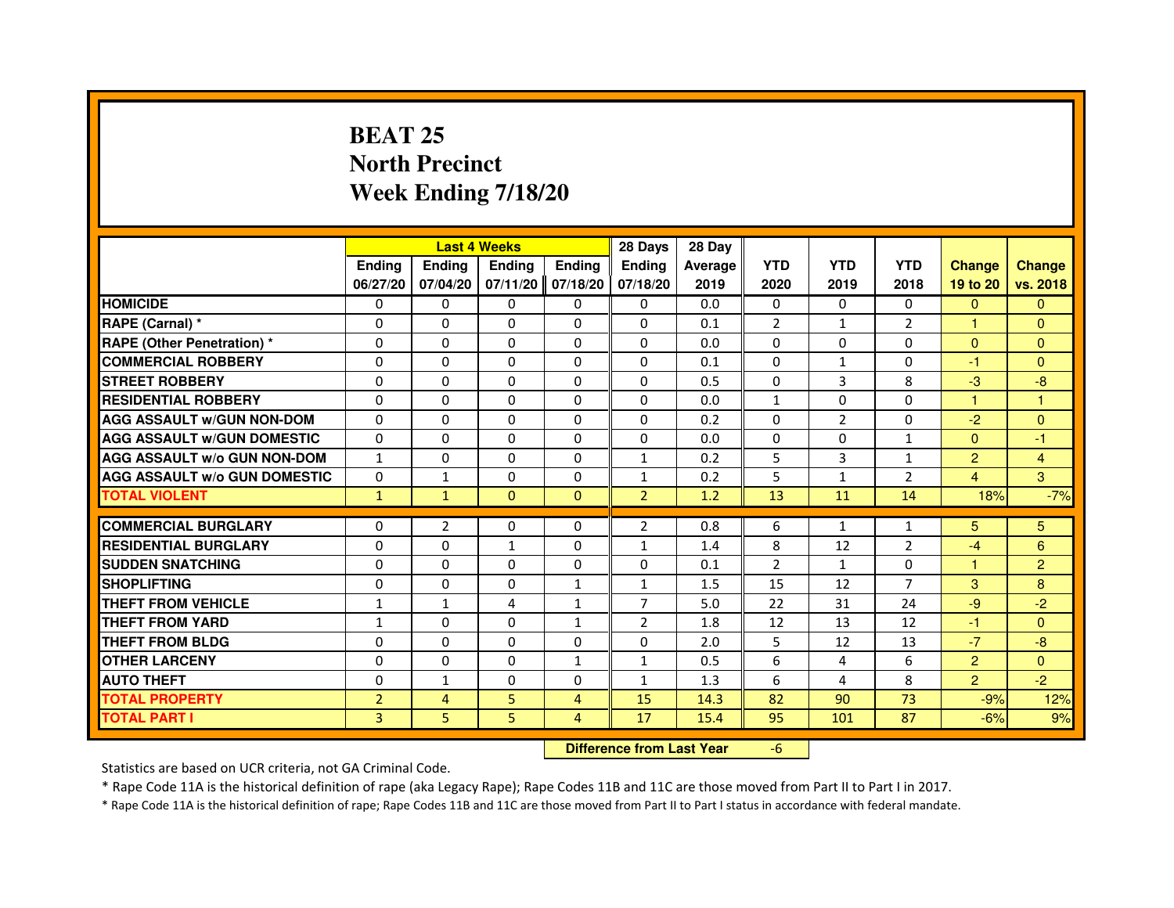### **BEAT 25 North PrecinctWeek Ending 7/18/20**

|                                     |                |                                  | <b>Last 4 Weeks</b> |                | 28 Days        | 28 Day  |                |                |                |                      |                |
|-------------------------------------|----------------|----------------------------------|---------------------|----------------|----------------|---------|----------------|----------------|----------------|----------------------|----------------|
|                                     | <b>Ending</b>  | Ending                           | <b>Ending</b>       | <b>Ending</b>  | Ending         | Average | <b>YTD</b>     | <b>YTD</b>     | <b>YTD</b>     | <b>Change</b>        | <b>Change</b>  |
|                                     | 06/27/20       | 07/04/20                         | 07/11/20            | 07/18/20       | 07/18/20       | 2019    | 2020           | 2019           | 2018           | 19 to 20             | vs. 2018       |
| <b>HOMICIDE</b>                     | $\Omega$       | $\Omega$                         | $\mathbf{0}$        | 0              | 0              | 0.0     | $\mathbf{0}$   | $\Omega$       | $\Omega$       | $\mathbf{0}$         | $\mathbf{0}$   |
| RAPE (Carnal) *                     | 0              | 0                                | 0                   | 0              | 0              | 0.1     | $\overline{2}$ | 1              | $\overline{2}$ | $\blacktriangleleft$ | $\mathbf{0}$   |
| <b>RAPE (Other Penetration) *</b>   | $\Omega$       | $\Omega$                         | $\Omega$            | $\Omega$       | $\Omega$       | 0.0     | $\Omega$       | $\Omega$       | $\Omega$       | $\Omega$             | $\mathbf{0}$   |
| <b>COMMERCIAL ROBBERY</b>           | $\Omega$       | $\Omega$                         | $\Omega$            | $\Omega$       | $\Omega$       | 0.1     | $\Omega$       | $\mathbf{1}$   | $\Omega$       | $-1$                 | $\mathbf{0}$   |
| <b>STREET ROBBERY</b>               | $\Omega$       | $\Omega$                         | $\Omega$            | $\Omega$       | $\Omega$       | 0.5     | $\Omega$       | 3              | 8              | $-3$                 | $-8$           |
| <b>RESIDENTIAL ROBBERY</b>          | 0              | 0                                | 0                   | 0              | 0              | 0.0     | $\mathbf{1}$   | 0              | $\Omega$       | $\mathbf{1}$         | $\mathbf{1}$   |
| <b>AGG ASSAULT w/GUN NON-DOM</b>    | $\Omega$       | $\Omega$                         | $\Omega$            | $\Omega$       | $\Omega$       | 0.2     | $\Omega$       | $\overline{2}$ | 0              | $-2$                 | $\Omega$       |
| <b>AGG ASSAULT W/GUN DOMESTIC</b>   | $\Omega$       | $\Omega$                         | $\Omega$            | $\Omega$       | $\Omega$       | 0.0     | $\Omega$       | $\Omega$       | $\mathbf{1}$   | $\Omega$             | $-1$           |
| <b>AGG ASSAULT w/o GUN NON-DOM</b>  | $\mathbf{1}$   | $\Omega$                         | $\Omega$            | $\Omega$       | $\mathbf{1}$   | 0.2     | 5              | 3              | $\mathbf{1}$   | $\overline{2}$       | $\overline{4}$ |
| <b>AGG ASSAULT W/o GUN DOMESTIC</b> | $\Omega$       | $\mathbf{1}$                     | $\Omega$            | $\Omega$       | $\mathbf{1}$   | 0.2     | 5              | $\mathbf{1}$   | $\overline{2}$ | 4                    | 3              |
| <b>TOTAL VIOLENT</b>                | $\mathbf{1}$   | $\mathbf{1}$                     | $\mathbf{0}$        | $\mathbf{0}$   | $\overline{2}$ | 1.2     | 13             | 11             | 14             | 18%                  | $-7%$          |
| <b>COMMERCIAL BURGLARY</b>          | 0              | 2                                | 0                   | 0              | 2              | 0.8     | 6              | 1              | $\mathbf{1}$   | 5                    | 5              |
| <b>RESIDENTIAL BURGLARY</b>         | 0              | 0                                | $\mathbf{1}$        | $\Omega$       | 1              | 1.4     | 8              | 12             | $\overline{2}$ | $-4$                 | 6              |
| <b>SUDDEN SNATCHING</b>             | $\Omega$       | $\Omega$                         | $\Omega$            | $\Omega$       | $\Omega$       | 0.1     | $\overline{2}$ | $\mathbf{1}$   | $\Omega$       | $\mathbf{1}$         | $\overline{2}$ |
| <b>SHOPLIFTING</b>                  | 0              | $\Omega$                         | $\Omega$            | $\mathbf{1}$   | 1              | 1.5     | 15             | 12             | $\overline{7}$ | 3                    | 8              |
| <b>THEFT FROM VEHICLE</b>           | 1              | $\mathbf{1}$                     | 4                   | $\mathbf{1}$   | $\overline{7}$ | 5.0     | 22             | 31             | 24             | $-9$                 | $-2$           |
| <b>THEFT FROM YARD</b>              | $\mathbf{1}$   | $\Omega$                         | $\Omega$            | $\mathbf{1}$   | $\overline{2}$ | 1.8     | 12             | 13             | 12             | $-1$                 | $\Omega$       |
| <b>THEFT FROM BLDG</b>              | $\Omega$       | $\Omega$                         | $\Omega$            | $\Omega$       | $\Omega$       | 2.0     | 5              | 12             | 13             | $-7$                 | $-8$           |
| <b>OTHER LARCENY</b>                | 0              | $\Omega$                         | $\Omega$            | $\mathbf{1}$   | $\mathbf{1}$   | 0.5     | 6              | 4              | 6              | $\overline{2}$       | $\Omega$       |
| <b>AUTO THEFT</b>                   | $\Omega$       | $\mathbf{1}$                     | $\Omega$            | $\Omega$       | $\mathbf{1}$   | 1.3     | 6              | 4              | 8              | $\overline{2}$       | $-2$           |
| <b>TOTAL PROPERTY</b>               | $\overline{2}$ | $\overline{4}$                   | 5                   | 4              | 15             | 14.3    | 82             | 90             | 73             | $-9%$                | 12%            |
| <b>TOTAL PART I</b>                 | $\overline{3}$ | 5                                | 5                   | $\overline{4}$ | 17             | 15.4    | 95             | 101            | 87             | $-6%$                | 9%             |
|                                     |                | <b>Difference from Last Year</b> |                     | $-6$           |                |         |                |                |                |                      |                |

 **Difference from Last Year**

Statistics are based on UCR criteria, not GA Criminal Code.

\* Rape Code 11A is the historical definition of rape (aka Legacy Rape); Rape Codes 11B and 11C are those moved from Part II to Part I in 2017.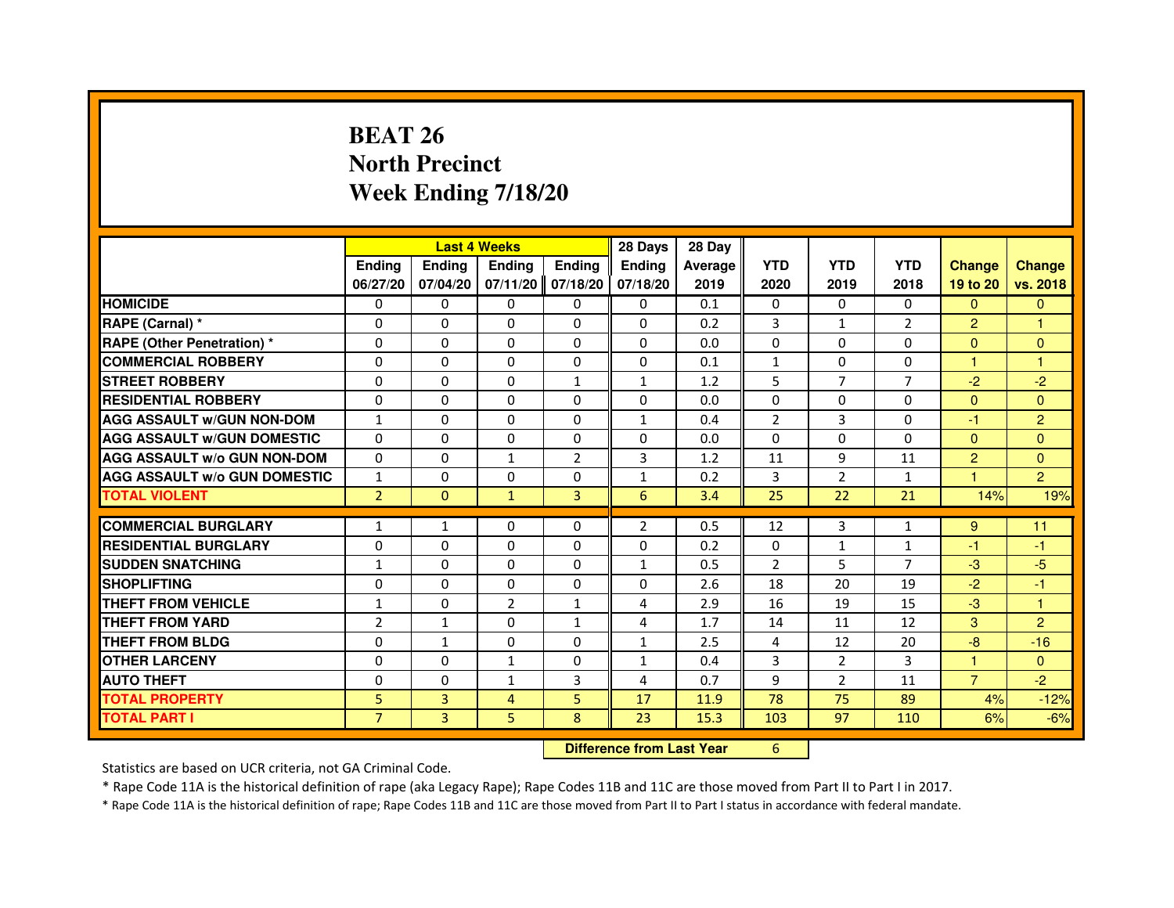# **BEAT 26 North PrecinctWeek Ending 7/18/20**

|                                     |                | <b>Last 4 Weeks</b>              |                |                | 28 Days        | 28 Day  |                |                |                |                |                |
|-------------------------------------|----------------|----------------------------------|----------------|----------------|----------------|---------|----------------|----------------|----------------|----------------|----------------|
|                                     | <b>Ending</b>  | Ending                           | <b>Ending</b>  | <b>Ending</b>  | Ending         | Average | <b>YTD</b>     | <b>YTD</b>     | <b>YTD</b>     | <b>Change</b>  | <b>Change</b>  |
|                                     | 06/27/20       | 07/04/20                         | 07/11/20       | 07/18/20       | 07/18/20       | 2019    | 2020           | 2019           | 2018           | 19 to 20       | vs. 2018       |
| <b>HOMICIDE</b>                     | 0              | $\Omega$                         | $\Omega$       | 0              | $\mathbf{0}$   | 0.1     | $\mathbf{0}$   | $\Omega$       | $\Omega$       | $\mathbf{0}$   | $\mathbf{0}$   |
| RAPE (Carnal) *                     | 0              | 0                                | 0              | 0              | 0              | 0.2     | 3              | $\mathbf{1}$   | 2              | $\overline{2}$ | 1              |
| RAPE (Other Penetration) *          | $\Omega$       | $\Omega$                         | $\Omega$       | $\Omega$       | $\Omega$       | 0.0     | $\Omega$       | $\Omega$       | $\Omega$       | $\Omega$       | $\mathbf{0}$   |
| <b>COMMERCIAL ROBBERY</b>           | 0              | $\Omega$                         | $\Omega$       | 0              | $\mathbf 0$    | 0.1     | $\mathbf{1}$   | $\Omega$       | $\Omega$       | $\mathbf{1}$   | $\mathbf{1}$   |
| <b>STREET ROBBERY</b>               | $\Omega$       | $\Omega$                         | $\Omega$       | $\mathbf{1}$   | $\mathbf{1}$   | 1.2     | 5              | $\overline{7}$ | $\overline{7}$ | $-2$           | $-2$           |
| <b>RESIDENTIAL ROBBERY</b>          | 0              | 0                                | 0              | 0              | 0              | 0.0     | 0              | 0              | $\Omega$       | $\Omega$       | $\overline{0}$ |
| <b>AGG ASSAULT w/GUN NON-DOM</b>    | $\mathbf{1}$   | $\Omega$                         | $\Omega$       | $\Omega$       | $\mathbf{1}$   | 0.4     | $\overline{2}$ | $\overline{3}$ | 0              | -1             | $\overline{2}$ |
| <b>AGG ASSAULT W/GUN DOMESTIC</b>   | $\Omega$       | $\Omega$                         | $\Omega$       | $\Omega$       | $\Omega$       | 0.0     | $\Omega$       | $\Omega$       | 0              | $\Omega$       | $\Omega$       |
| <b>AGG ASSAULT W/o GUN NON-DOM</b>  | $\Omega$       | $\Omega$                         | $\mathbf{1}$   | $\overline{2}$ | $\overline{3}$ | 1.2     | 11             | 9              | 11             | $\overline{2}$ | $\mathbf{0}$   |
| <b>AGG ASSAULT w/o GUN DOMESTIC</b> | $\mathbf{1}$   | $\Omega$                         | $\Omega$       | $\Omega$       | $\mathbf{1}$   | 0.2     | 3              | 2              | $\mathbf{1}$   | $\overline{1}$ | $\overline{2}$ |
| <b>TOTAL VIOLENT</b>                | $\overline{2}$ | $\mathbf{0}$                     | $\mathbf{1}$   | 3              | 6              | 3.4     | 25             | 22             | 21             | 14%            | 19%            |
| <b>COMMERCIAL BURGLARY</b>          | 1              | 1                                | 0              | 0              | $\overline{2}$ | 0.5     | 12             | 3              | $\mathbf{1}$   | 9              | 11             |
| <b>RESIDENTIAL BURGLARY</b>         | 0              | $\Omega$                         | $\Omega$       | $\Omega$       | 0              | 0.2     | 0              | $\mathbf{1}$   | $\mathbf{1}$   | $-1$           | $-1$           |
| <b>SUDDEN SNATCHING</b>             | $\mathbf{1}$   | $\Omega$                         | $\Omega$       | $\Omega$       | $\mathbf{1}$   | 0.5     | $\overline{2}$ | 5              | $\overline{7}$ | $-3$           | $-5$           |
| <b>SHOPLIFTING</b>                  | 0              | $\Omega$                         | $\Omega$       | $\Omega$       | $\Omega$       | 2.6     | 18             | 20             | 19             | $-2$           | $-1$           |
| <b>THEFT FROM VEHICLE</b>           | 1              | 0                                | $\overline{2}$ | $\mathbf{1}$   | 4              | 2.9     | 16             | 19             | 15             | $-3$           | $\mathbf{1}$   |
| <b>THEFT FROM YARD</b>              | $\overline{2}$ | $\mathbf{1}$                     | $\Omega$       | $\mathbf{1}$   | 4              | 1.7     | 14             | 11             | 12             | 3              | $\overline{2}$ |
| <b>THEFT FROM BLDG</b>              | $\Omega$       | $\mathbf{1}$                     | $\Omega$       | $\Omega$       | $\mathbf{1}$   | 2.5     | 4              | 12             | 20             | $-8$           | $-16$          |
| <b>OTHER LARCENY</b>                | 0              | $\Omega$                         | $\mathbf{1}$   | 0              | $\mathbf{1}$   | 0.4     | 3              | $\overline{2}$ | 3              | 1              | $\mathbf{0}$   |
| <b>AUTO THEFT</b>                   | $\Omega$       | $\Omega$                         | $\mathbf{1}$   | $\overline{3}$ | 4              | 0.7     | 9              | $\overline{2}$ | 11             | $\overline{7}$ | $-2$           |
| <b>TOTAL PROPERTY</b>               | 5              | 3                                | $\overline{4}$ | 5              | 17             | 11.9    | 78             | 75             | 89             | 4%             | $-12%$         |
| <b>TOTAL PART I</b>                 | $\overline{7}$ | 3                                | 5              | 8              | 23             | 15.3    | 103            | 97             | 110            | 6%             | $-6%$          |
|                                     |                | <b>Difference from Last Year</b> |                | 6              |                |         |                |                |                |                |                |

 **Difference from Last Year**

Statistics are based on UCR criteria, not GA Criminal Code.

\* Rape Code 11A is the historical definition of rape (aka Legacy Rape); Rape Codes 11B and 11C are those moved from Part II to Part I in 2017.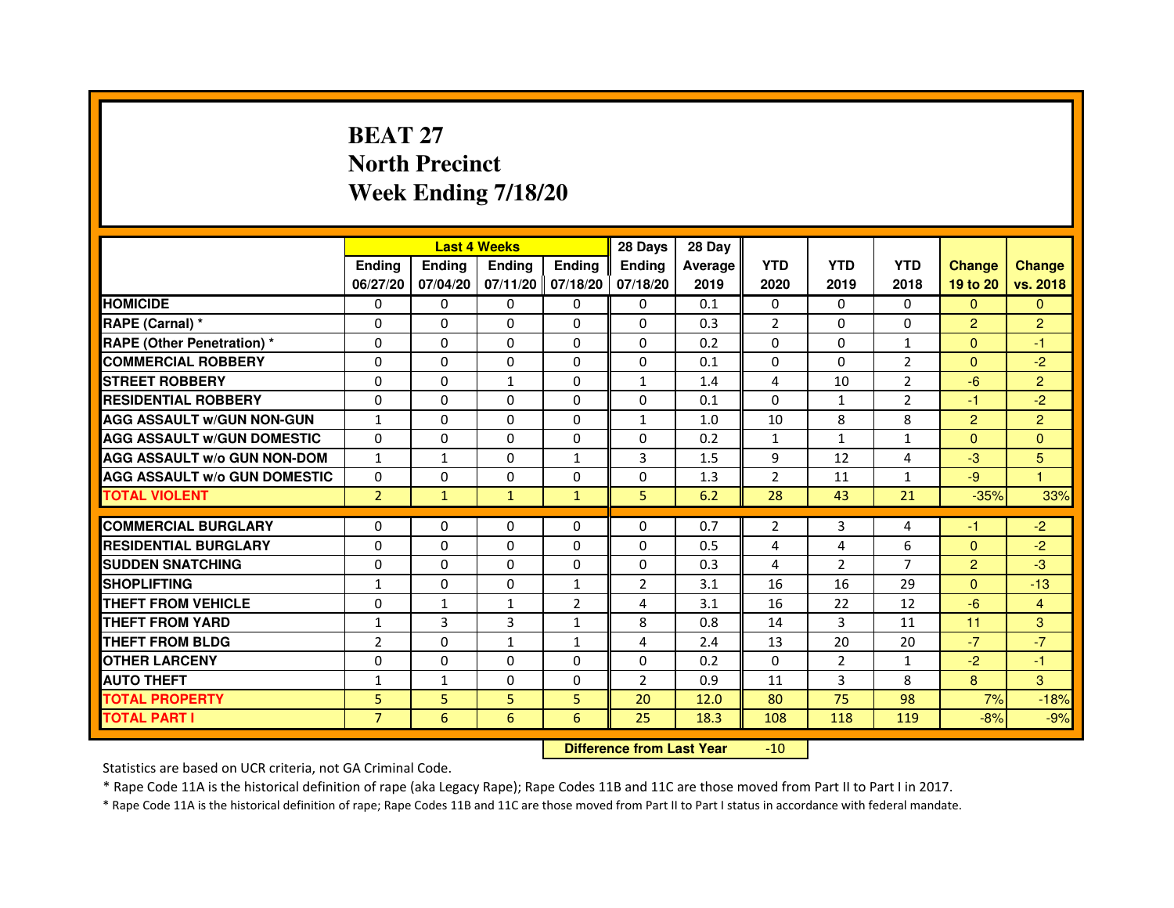# **BEAT 27 North PrecinctWeek Ending 7/18/20**

|                                     |                | <b>Last 4 Weeks</b> |               |                   | 28 Days        | 28 Day  |                |                |                |                |                |
|-------------------------------------|----------------|---------------------|---------------|-------------------|----------------|---------|----------------|----------------|----------------|----------------|----------------|
|                                     | <b>Endina</b>  | <b>Endina</b>       | <b>Endina</b> | Ending            | <b>Endina</b>  | Average | <b>YTD</b>     | <b>YTD</b>     | <b>YTD</b>     | <b>Change</b>  | <b>Change</b>  |
|                                     | 06/27/20       | 07/04/20            |               | 07/11/20 07/18/20 | 07/18/20       | 2019    | 2020           | 2019           | 2018           | 19 to 20       | vs. 2018       |
| <b>HOMICIDE</b>                     | 0              | 0                   | $\mathbf{0}$  | 0                 | 0              | 0.1     | $\mathbf{0}$   | 0              | $\mathbf{0}$   | $\mathbf{0}$   | $\mathbf{0}$   |
| RAPE (Carnal) *                     | $\Omega$       | $\Omega$            | $\Omega$      | $\Omega$          | $\Omega$       | 0.3     | $\overline{2}$ | $\Omega$       | $\Omega$       | $\overline{2}$ | $\overline{2}$ |
| <b>RAPE (Other Penetration) *</b>   | 0              | $\Omega$            | 0             | $\Omega$          | $\Omega$       | 0.2     | $\Omega$       | $\Omega$       | $\mathbf{1}$   | $\Omega$       | $-1$           |
| <b>COMMERCIAL ROBBERY</b>           | 0              | 0                   | 0             | 0                 | $\Omega$       | 0.1     | $\Omega$       | $\Omega$       | 2              | $\Omega$       | $-2$           |
| <b>STREET ROBBERY</b>               | 0              | 0                   | $\mathbf{1}$  | 0                 | $\mathbf{1}$   | 1.4     | 4              | 10             | $\overline{2}$ | $-6$           | $\overline{2}$ |
| <b>RESIDENTIAL ROBBERY</b>          | 0              | $\Omega$            | $\Omega$      | $\Omega$          | $\Omega$       | 0.1     | $\Omega$       | $\mathbf{1}$   | $\overline{2}$ | $-1$           | $-2$           |
| <b>AGG ASSAULT W/GUN NON-GUN</b>    | $\mathbf{1}$   | $\mathbf 0$         | $\Omega$      | $\Omega$          | $\mathbf{1}$   | 1.0     | 10             | 8              | 8              | $\overline{2}$ | $\overline{2}$ |
| <b>AGG ASSAULT W/GUN DOMESTIC</b>   | $\Omega$       | 0                   | 0             | 0                 | 0              | 0.2     | $\mathbf{1}$   | $\mathbf{1}$   | $\mathbf{1}$   | $\Omega$       | $\Omega$       |
| <b>AGG ASSAULT W/o GUN NON-DOM</b>  | $\mathbf{1}$   | 1                   | 0             | $\mathbf{1}$      | 3              | 1.5     | 9              | 12             | 4              | $-3$           | 5              |
| <b>AGG ASSAULT W/o GUN DOMESTIC</b> | $\Omega$       | 0                   | 0             | 0                 | 0              | 1.3     | $\overline{2}$ | 11             | $\mathbf{1}$   | $-9$           | 1              |
| <b>TOTAL VIOLENT</b>                | $\overline{2}$ | $\mathbf{1}$        | $\mathbf{1}$  | $\mathbf{1}$      | 5              | 6.2     | 28             | 43             | 21             | $-35%$         | 33%            |
|                                     |                |                     |               |                   |                |         |                |                |                |                |                |
| <b>COMMERCIAL BURGLARY</b>          | 0              | 0                   | 0             | 0                 | $\Omega$       | 0.7     | 2              | 3              | 4              | -1             | $-2$           |
| <b>RESIDENTIAL BURGLARY</b>         | 0              | $\Omega$            | 0             | $\Omega$          | $\Omega$       | 0.5     | 4              | 4              | 6              | $\Omega$       | $-2$           |
| <b>SUDDEN SNATCHING</b>             | 0              | 0                   | 0             | 0                 | $\Omega$       | 0.3     | $\overline{4}$ | $\overline{2}$ | $\overline{7}$ | $\overline{2}$ | -3             |
| <b>SHOPLIFTING</b>                  | $\mathbf{1}$   | 0                   | 0             | $\mathbf{1}$      | $\overline{2}$ | 3.1     | 16             | 16             | 29             | $\Omega$       | $-13$          |
| <b>THEFT FROM VEHICLE</b>           | 0              | $\mathbf{1}$        | $\mathbf{1}$  | $\overline{2}$    | 4              | 3.1     | 16             | 22             | 12             | $-6$           | $\overline{4}$ |
| <b>THEFT FROM YARD</b>              | 1              | 3                   | 3             | $\mathbf{1}$      | 8              | 0.8     | 14             | 3              | 11             | 11             | 3              |
| <b>THEFT FROM BLDG</b>              | $\overline{2}$ | 0                   | 1             | 1                 | 4              | 2.4     | 13             | 20             | 20             | $-7$           | $-7$           |
| <b>OTHER LARCENY</b>                | 0              | 0                   | $\Omega$      | $\Omega$          | $\Omega$       | 0.2     | $\Omega$       | 2              | $\mathbf{1}$   | $-2$           | $-1$           |
| <b>AUTO THEFT</b>                   | $\mathbf{1}$   | 1                   | $\Omega$      | $\Omega$          | $\overline{2}$ | 0.9     | 11             | 3              | 8              | 8              | 3              |
| <b>TOTAL PROPERTY</b>               | 5              | 5                   | 5             | 5                 | 20             | 12.0    | 80             | 75             | 98             | 7%             | $-18%$         |
| <b>TOTAL PART I</b>                 | $\overline{7}$ | 6                   | 6             | 6                 | 25             | 18.3    | 108            | 118            | 119            | $-8%$          | $-9%$          |

 **Difference from Last Year**-10

Statistics are based on UCR criteria, not GA Criminal Code.

\* Rape Code 11A is the historical definition of rape (aka Legacy Rape); Rape Codes 11B and 11C are those moved from Part II to Part I in 2017.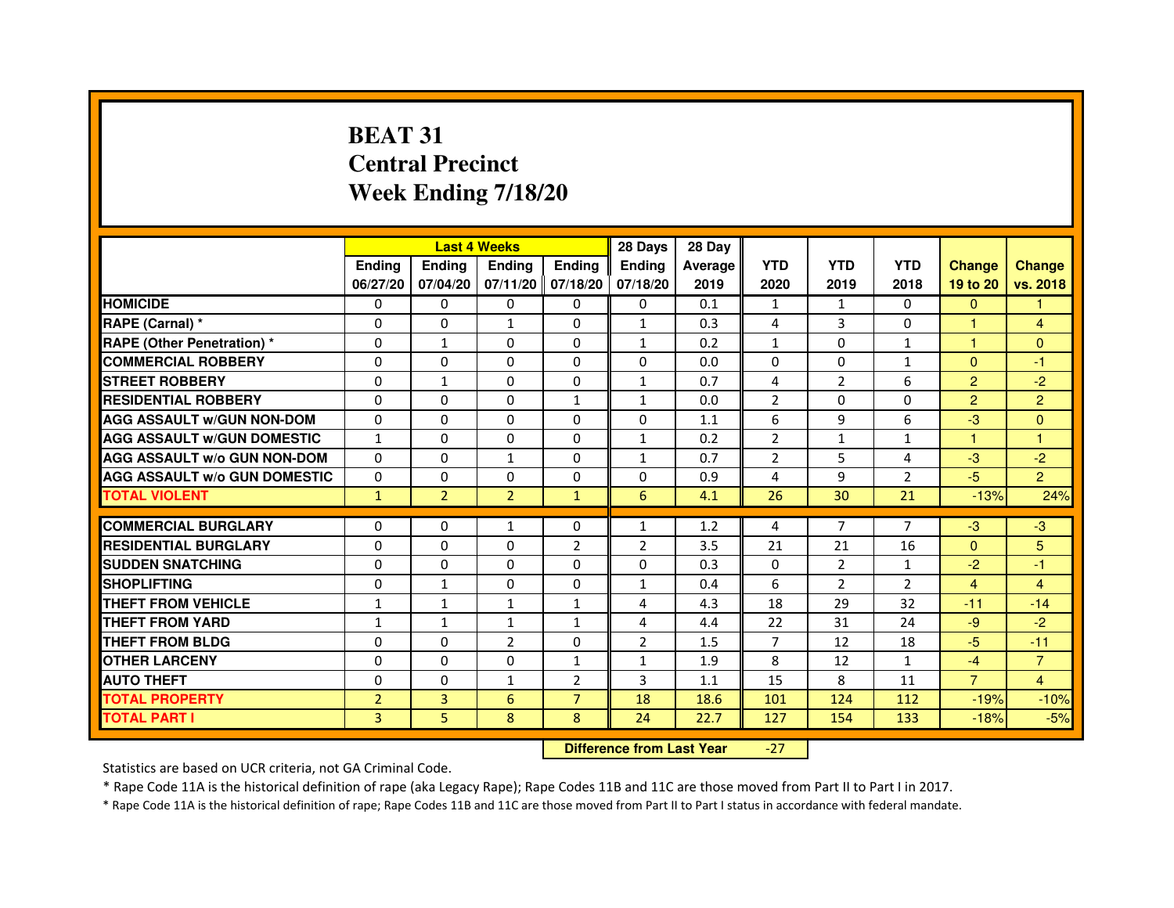# **BEAT 31 Central PrecinctWeek Ending 7/18/20**

|                                     |                |                | <b>Last 4 Weeks</b> |                   | 28 Days        | 28 Day  |                |                |                |                |                |
|-------------------------------------|----------------|----------------|---------------------|-------------------|----------------|---------|----------------|----------------|----------------|----------------|----------------|
|                                     | <b>Endina</b>  | Ending         | <b>Endina</b>       | <b>Endina</b>     | <b>Endina</b>  | Average | <b>YTD</b>     | <b>YTD</b>     | <b>YTD</b>     | <b>Change</b>  | <b>Change</b>  |
|                                     | 06/27/20       | 07/04/20       |                     | 07/11/20 07/18/20 | 07/18/20       | 2019    | 2020           | 2019           | 2018           | 19 to 20       | vs. 2018       |
| <b>HOMICIDE</b>                     | $\mathbf{0}$   | 0              | 0                   | 0                 | 0              | 0.1     | $\mathbf{1}$   | $\mathbf{1}$   | $\Omega$       | $\mathbf{0}$   | 1              |
| RAPE (Carnal) *                     | $\Omega$       | $\Omega$       | $\mathbf{1}$        | $\Omega$          | $\mathbf{1}$   | 0.3     | 4              | 3              | $\Omega$       | $\mathbf{1}$   | $\overline{4}$ |
| <b>RAPE (Other Penetration)*</b>    | 0              | $\mathbf{1}$   | $\Omega$            | 0                 | $\mathbf{1}$   | 0.2     | $\mathbf{1}$   | $\Omega$       | $\mathbf{1}$   | 1              | $\Omega$       |
| <b>COMMERCIAL ROBBERY</b>           | 0              | 0              | 0                   | 0                 | $\Omega$       | 0.0     | 0              | 0              | $\mathbf{1}$   | $\mathbf{0}$   | $-1$           |
| <b>STREET ROBBERY</b>               | 0              | $\mathbf{1}$   | 0                   | 0                 | $\mathbf{1}$   | 0.7     | 4              | $\overline{2}$ | 6              | $\overline{2}$ | $-2$           |
| <b>RESIDENTIAL ROBBERY</b>          | 0              | $\Omega$       | 0                   | $\mathbf{1}$      | $\mathbf{1}$   | 0.0     | $\overline{2}$ | 0              | 0              | $\overline{2}$ | $\overline{2}$ |
| <b>AGG ASSAULT W/GUN NON-DOM</b>    | $\Omega$       | $\Omega$       | $\Omega$            | $\Omega$          | $\Omega$       | 1.1     | 6              | 9              | 6              | -3             | $\Omega$       |
| <b>AGG ASSAULT W/GUN DOMESTIC</b>   | $\mathbf{1}$   | 0              | 0                   | 0                 | $\mathbf{1}$   | 0.2     | $\overline{2}$ | $\mathbf{1}$   | $\mathbf{1}$   | 1              | 1              |
| <b>AGG ASSAULT W/o GUN NON-DOM</b>  | 0              | 0              | 1                   | $\Omega$          | $\mathbf{1}$   | 0.7     | 2              | 5              | 4              | $-3$           | $-2$           |
| <b>AGG ASSAULT W/o GUN DOMESTIC</b> | $\Omega$       | 0              | 0                   | 0                 | $\Omega$       | 0.9     | 4              | 9              | $\overline{2}$ | $-5$           | $\overline{2}$ |
| <b>TOTAL VIOLENT</b>                | $\mathbf{1}$   | $\overline{2}$ | $\overline{2}$      | $\mathbf{1}$      | 6              | 4.1     | 26             | 30             | 21             | $-13%$         | 24%            |
|                                     |                |                |                     |                   |                |         |                |                |                |                |                |
| <b>COMMERCIAL BURGLARY</b>          | 0              | 0              | $\mathbf{1}$        | 0                 | $\mathbf{1}$   | 1.2     | 4              | 7              | 7              | $-3$           | $-3$           |
| <b>RESIDENTIAL BURGLARY</b>         | 0              | 0              | 0                   | 2                 | 2              | 3.5     | 21             | 21             | 16             | $\mathbf{0}$   | 5              |
| <b>SUDDEN SNATCHING</b>             | 0              | $\Omega$       | 0                   | 0                 | $\Omega$       | 0.3     | $\Omega$       | 2              | $\mathbf{1}$   | $-2$           | $-1$           |
| <b>SHOPLIFTING</b>                  | $\Omega$       | $\mathbf{1}$   | $\Omega$            | $\Omega$          | $\mathbf{1}$   | 0.4     | 6              | $\overline{2}$ | $\overline{2}$ | $\overline{4}$ | $\overline{4}$ |
| THEFT FROM VEHICLE                  | 1              | $\mathbf{1}$   | $\mathbf{1}$        | $\mathbf{1}$      | 4              | 4.3     | 18             | 29             | 32             | $-11$          | $-14$          |
| <b>THEFT FROM YARD</b>              | 1              | 1              | 1                   | $\mathbf{1}$      | 4              | 4.4     | 22             | 31             | 24             | $-9$           | $-2$           |
| <b>THEFT FROM BLDG</b>              | 0              | $\Omega$       | $\overline{2}$      | 0                 | $\overline{2}$ | 1.5     | 7              | 12             | 18             | $-5$           | $-11$          |
| <b>OTHER LARCENY</b>                | 0              | $\Omega$       | $\Omega$            | $\mathbf{1}$      | $\mathbf{1}$   | 1.9     | 8              | 12             | $\mathbf{1}$   | $-4$           | $\overline{7}$ |
| <b>AUTO THEFT</b>                   | $\Omega$       | $\Omega$       | $\mathbf{1}$        | $\overline{2}$    | 3              | 1.1     | 15             | 8              | 11             | $\overline{7}$ | $\overline{4}$ |
| <b>TOTAL PROPERTY</b>               | $\overline{2}$ | 3              | 6                   | $\overline{7}$    | 18             | 18.6    | 101            | 124            | 112            | $-19%$         | $-10%$         |
| <b>TOTAL PART I</b>                 | 3              | 5              | 8                   | 8                 | 24             | 22.7    | 127            | 154            | 133            | $-18%$         | $-5%$          |

 **Difference from Last Year**-27

Statistics are based on UCR criteria, not GA Criminal Code.

\* Rape Code 11A is the historical definition of rape (aka Legacy Rape); Rape Codes 11B and 11C are those moved from Part II to Part I in 2017.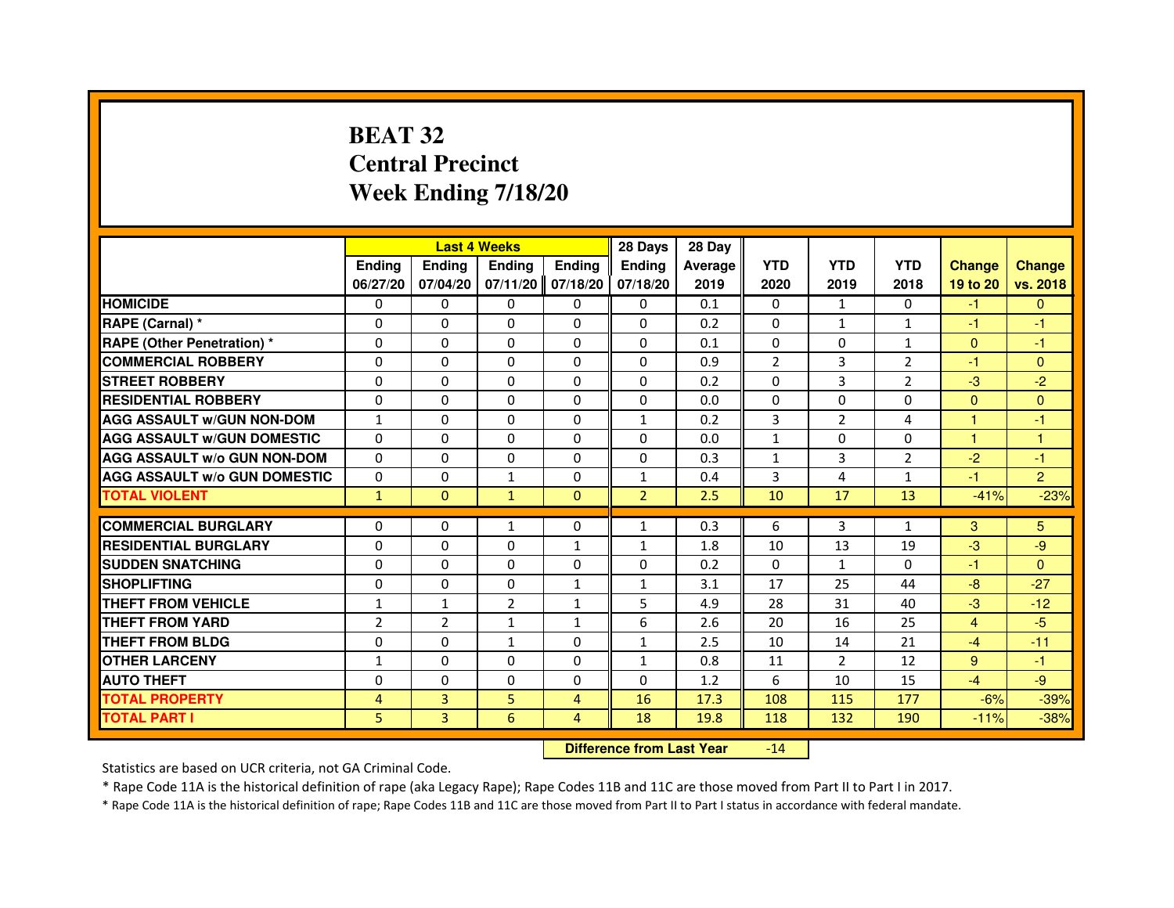# **BEAT 32 Central PrecinctWeek Ending 7/18/20**

|                                     |                | <b>Last 4 Weeks</b> |                                  |                | 28 Days        | 28 Day  |                |                |                |                |                |
|-------------------------------------|----------------|---------------------|----------------------------------|----------------|----------------|---------|----------------|----------------|----------------|----------------|----------------|
|                                     | <b>Ending</b>  | Ending              | <b>Ending</b>                    | <b>Ending</b>  | <b>Ending</b>  | Average | <b>YTD</b>     | <b>YTD</b>     | <b>YTD</b>     | <b>Change</b>  | <b>Change</b>  |
|                                     | 06/27/20       | 07/04/20            | 07/11/20                         | 07/18/20       | 07/18/20       | 2019    | 2020           | 2019           | 2018           | 19 to 20       | vs. 2018       |
| <b>HOMICIDE</b>                     | 0              | $\Omega$            | $\Omega$                         | 0              | 0              | 0.1     | $\Omega$       | $\mathbf{1}$   | $\Omega$       | $-1$           | $\mathbf{0}$   |
| RAPE (Carnal) *                     | 0              | 0                   | 0                                | 0              | 0              | 0.2     | 0              | $\mathbf{1}$   | 1              | $-1$           | $-1$           |
| RAPE (Other Penetration) *          | $\Omega$       | 0                   | $\Omega$                         | $\Omega$       | $\Omega$       | 0.1     | $\Omega$       | $\Omega$       | 1              | $\Omega$       | $-1$           |
| <b>COMMERCIAL ROBBERY</b>           | $\Omega$       | $\Omega$            | $\Omega$                         | $\Omega$       | $\Omega$       | 0.9     | $\overline{2}$ | 3              | $\overline{2}$ | $-1$           | $\mathbf{0}$   |
| <b>STREET ROBBERY</b>               | $\Omega$       | $\Omega$            | $\Omega$                         | $\Omega$       | $\Omega$       | 0.2     | $\Omega$       | $\overline{3}$ | $\overline{2}$ | $-3$           | $-2$           |
| <b>RESIDENTIAL ROBBERY</b>          | 0              | 0                   | $\Omega$                         | 0              | 0              | 0.0     | 0              | 0              | $\Omega$       | $\Omega$       | $\mathbf{0}$   |
| <b>AGG ASSAULT W/GUN NON-DOM</b>    | $\mathbf{1}$   | $\Omega$            | $\Omega$                         | $\Omega$       | $\mathbf{1}$   | 0.2     | $\overline{3}$ | $\overline{2}$ | 4              | 1              | $-1$           |
| <b>AGG ASSAULT W/GUN DOMESTIC</b>   | $\Omega$       | $\Omega$            | $\Omega$                         | $\Omega$       | $\Omega$       | 0.0     | $\mathbf{1}$   | $\Omega$       | $\Omega$       | $\mathbf{1}$   | $\mathbf{1}$   |
| <b>AGG ASSAULT W/o GUN NON-DOM</b>  | $\Omega$       | $\Omega$            | $\Omega$                         | $\Omega$       | $\Omega$       | 0.3     | $\mathbf{1}$   | 3              | 2              | $-2$           | $-1$           |
| <b>AGG ASSAULT w/o GUN DOMESTIC</b> | $\Omega$       | $\Omega$            | $\mathbf{1}$                     | $\Omega$       | $\mathbf{1}$   | 0.4     | 3              | 4              | $\mathbf{1}$   | $-1$           | $\overline{2}$ |
| <b>TOTAL VIOLENT</b>                | $\mathbf{1}$   | $\mathbf{0}$        | $\mathbf{1}$                     | $\mathbf{0}$   | $\overline{2}$ | 2.5     | 10             | 17             | 13             | $-41%$         | $-23%$         |
| <b>COMMERCIAL BURGLARY</b>          | 0              | 0                   | 1                                | 0              | $\mathbf{1}$   | 0.3     | 6              | 3              | $\mathbf{1}$   | 3              | 5.             |
| <b>RESIDENTIAL BURGLARY</b>         | 0              | $\Omega$            | $\Omega$                         | 1              | 1              | 1.8     | 10             | 13             | 19             | $-3$           | -9             |
| <b>SUDDEN SNATCHING</b>             | $\Omega$       | $\Omega$            | $\Omega$                         | $\Omega$       | $\Omega$       | 0.2     | $\Omega$       | $\mathbf{1}$   | $\Omega$       | $-1$           | $\Omega$       |
| <b>SHOPLIFTING</b>                  | 0              | $\Omega$            | $\Omega$                         | 1              | $\mathbf{1}$   | 3.1     | 17             | 25             | 44             | $-8$           | $-27$          |
| THEFT FROM VEHICLE                  | 1              | 1                   | $\overline{2}$                   | 1              | 5              | 4.9     | 28             | 31             | 40             | $-3$           | $-12$          |
| <b>THEFT FROM YARD</b>              | $\overline{2}$ | $\overline{2}$      | $\mathbf{1}$                     | $\mathbf{1}$   | 6              | 2.6     | 20             | 16             | 25             | $\overline{4}$ | $-5$           |
| <b>THEFT FROM BLDG</b>              | $\Omega$       | $\Omega$            | $\mathbf{1}$                     | $\Omega$       | $\mathbf{1}$   | 2.5     | 10             | 14             | 21             | $-4$           | $-11$          |
| <b>OTHER LARCENY</b>                | 1              | 0                   | 0                                | 0              | $\mathbf{1}$   | 0.8     | 11             | $\overline{2}$ | 12             | 9              | $-1$           |
| <b>AUTO THEFT</b>                   | $\Omega$       | $\Omega$            | $\Omega$                         | $\Omega$       | $\Omega$       | 1.2     | 6              | 10             | 15             | $-4$           | $-9$           |
| <b>TOTAL PROPERTY</b>               | $\overline{4}$ | 3                   | 5                                | $\overline{4}$ | 16             | 17.3    | 108            | 115            | 177            | $-6%$          | $-39%$         |
| <b>TOTAL PART I</b>                 | 5              | 3                   | 6                                | 4              | 18             | 19.8    | 118            | 132            | 190            | $-11%$         | $-38%$         |
|                                     |                |                     | <b>Difference from Last Year</b> |                | $-14$          |         |                |                |                |                |                |

 **Difference from Last Year**

Statistics are based on UCR criteria, not GA Criminal Code.

\* Rape Code 11A is the historical definition of rape (aka Legacy Rape); Rape Codes 11B and 11C are those moved from Part II to Part I in 2017.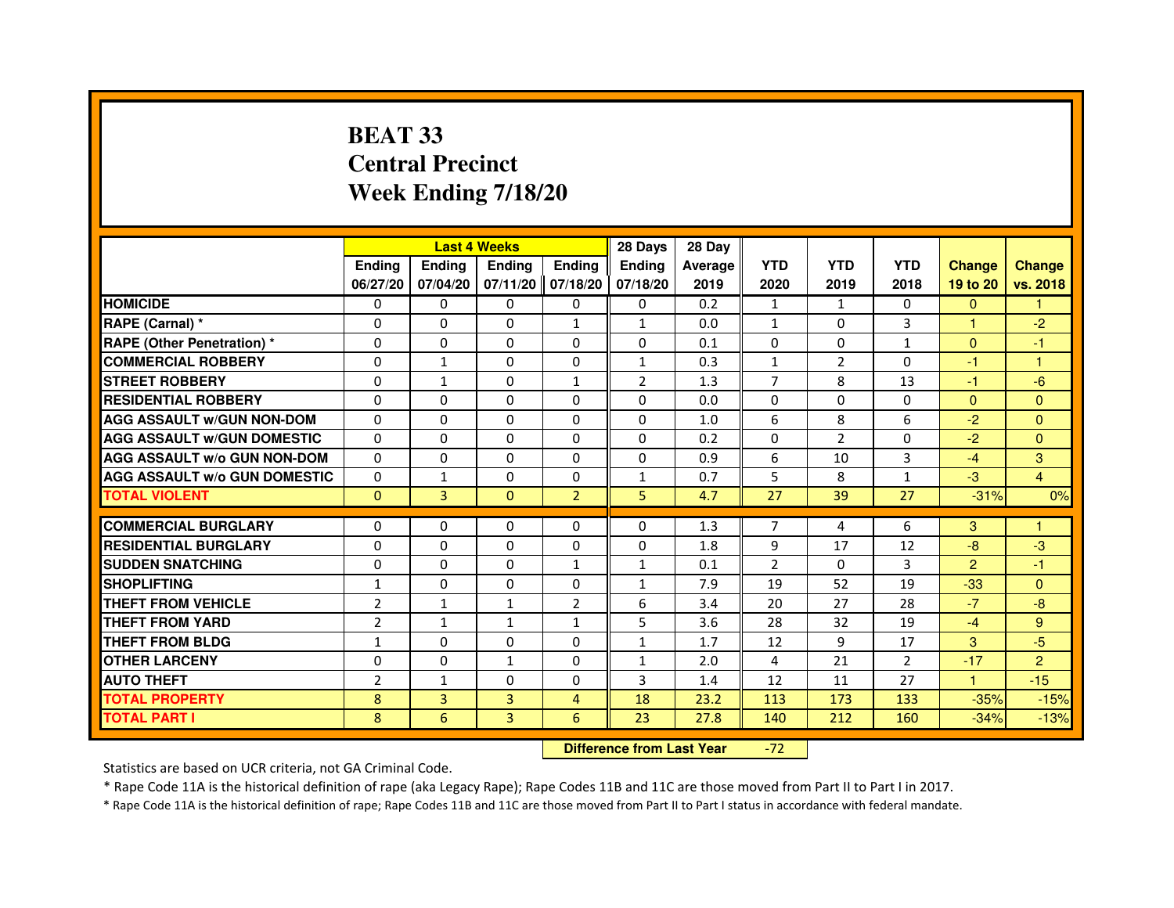# **BEAT 33 Central PrecinctWeek Ending 7/18/20**

|                                     |                |               | <b>Last 4 Weeks</b> |                   | 28 Days        | 28 Day  |                |                |                |               |                |
|-------------------------------------|----------------|---------------|---------------------|-------------------|----------------|---------|----------------|----------------|----------------|---------------|----------------|
|                                     | <b>Ending</b>  | <b>Ending</b> | <b>Endina</b>       | <b>Ending</b>     | <b>Endina</b>  | Average | <b>YTD</b>     | <b>YTD</b>     | <b>YTD</b>     | <b>Change</b> | <b>Change</b>  |
|                                     | 06/27/20       | 07/04/20      |                     | 07/11/20 07/18/20 | 07/18/20       | 2019    | 2020           | 2019           | 2018           | 19 to 20      | vs. 2018       |
| <b>HOMICIDE</b>                     | 0              | 0             | 0                   | 0                 | 0              | 0.2     | $\mathbf{1}$   | $\mathbf{1}$   | 0              | $\mathbf{0}$  |                |
| RAPE (Carnal) *                     | $\Omega$       | $\Omega$      | $\Omega$            | $\mathbf{1}$      | $\mathbf{1}$   | 0.0     | $\mathbf{1}$   | $\Omega$       | 3              | $\mathbf{1}$  | $-2$           |
| <b>RAPE (Other Penetration) *</b>   | $\Omega$       | $\Omega$      | $\Omega$            | 0                 | $\Omega$       | 0.1     | $\Omega$       | $\Omega$       | $\mathbf{1}$   | $\Omega$      | $-1$           |
| <b>COMMERCIAL ROBBERY</b>           | 0              | $\mathbf{1}$  | $\Omega$            | $\Omega$          | 1              | 0.3     | $\mathbf{1}$   | 2              | $\Omega$       | -1            | 1              |
| <b>STREET ROBBERY</b>               | $\Omega$       | 1             | 0                   | 1                 | $\overline{2}$ | 1.3     | $\overline{7}$ | 8              | 13             | -1            | $-6$           |
| <b>RESIDENTIAL ROBBERY</b>          | 0              | $\Omega$      | 0                   | 0                 | 0              | 0.0     | $\Omega$       | $\Omega$       | 0              | $\mathbf{0}$  | $\Omega$       |
| <b>AGG ASSAULT W/GUN NON-DOM</b>    | $\Omega$       | $\mathbf 0$   | $\Omega$            | $\Omega$          | $\Omega$       | 1.0     | 6              | 8              | 6              | $-2$          | $\Omega$       |
| <b>AGG ASSAULT W/GUN DOMESTIC</b>   | $\Omega$       | $\Omega$      | 0                   | 0                 | $\Omega$       | 0.2     | $\Omega$       | $\overline{2}$ | $\mathbf 0$    | $-2$          | $\Omega$       |
| <b>AGG ASSAULT W/o GUN NON-DOM</b>  | $\Omega$       | $\Omega$      | $\Omega$            | 0                 | $\Omega$       | 0.9     | 6              | 10             | 3              | $-4$          | 3              |
| <b>AGG ASSAULT W/o GUN DOMESTIC</b> | $\Omega$       | $\mathbf{1}$  | 0                   | $\Omega$          | 1              | 0.7     | 5              | 8              | $\mathbf{1}$   | $-3$          | $\overline{4}$ |
| <b>TOTAL VIOLENT</b>                | $\Omega$       | 3             | $\Omega$            | $\overline{2}$    | 5              | 4.7     | 27             | 39             | 27             | $-31%$        | 0%             |
|                                     |                |               |                     |                   |                |         |                |                |                |               |                |
| <b>COMMERCIAL BURGLARY</b>          | 0              | 0             | $\Omega$            | 0                 | $\Omega$       | 1.3     | $\overline{7}$ | 4              | 6              | 3             | $\overline{1}$ |
| <b>RESIDENTIAL BURGLARY</b>         | $\Omega$       | 0             | 0                   | $\mathbf{0}$      | $\Omega$       | 1.8     | 9              | 17             | 12             | $-8$          | $-3$           |
| <b>SUDDEN SNATCHING</b>             | $\Omega$       | $\Omega$      | $\Omega$            | $\mathbf{1}$      | $\mathbf{1}$   | 0.1     | $\overline{2}$ | $\Omega$       | 3              | $\mathbf{P}$  | $-1$           |
| <b>SHOPLIFTING</b>                  | $\mathbf{1}$   | $\mathbf 0$   | 0                   | 0                 | 1              | 7.9     | 19             | 52             | 19             | $-33$         | $\mathbf{0}$   |
| <b>THEFT FROM VEHICLE</b>           | $\overline{2}$ | 1             | $\mathbf{1}$        | $\overline{2}$    | 6              | 3.4     | 20             | 27             | 28             | $-7$          | $-8$           |
| <b>THEFT FROM YARD</b>              | $\overline{2}$ | $\mathbf{1}$  | $\mathbf{1}$        | $\mathbf{1}$      | 5              | 3.6     | 28             | 32             | 19             | $-4$          | 9              |
| THEFT FROM BLDG                     | 1              | $\Omega$      | 0                   | 0                 | 1              | 1.7     | 12             | 9              | 17             | 3             | -5             |
| <b>OTHER LARCENY</b>                | $\Omega$       | $\Omega$      | 1                   | 0                 | $\mathbf{1}$   | 2.0     | 4              | 21             | $\overline{2}$ | $-17$         | $\overline{2}$ |
| <b>AUTO THEFT</b>                   | $\overline{2}$ | 1             | 0                   | $\Omega$          | 3              | 1.4     | 12             | 11             | 27             | $\mathbf{1}$  | $-15$          |
| <b>TOTAL PROPERTY</b>               | 8              | 3             | 3                   | 4                 | 18             | 23.2    | 113            | 173            | 133            | $-35%$        | $-15%$         |
| <b>TOTAL PART I</b>                 | 8              | 6             | $\overline{3}$      | 6                 | 23             | 27.8    | 140            | 212            | 160            | $-34%$        | $-13%$         |

 **Difference from Last Year**-72

Statistics are based on UCR criteria, not GA Criminal Code.

\* Rape Code 11A is the historical definition of rape (aka Legacy Rape); Rape Codes 11B and 11C are those moved from Part II to Part I in 2017.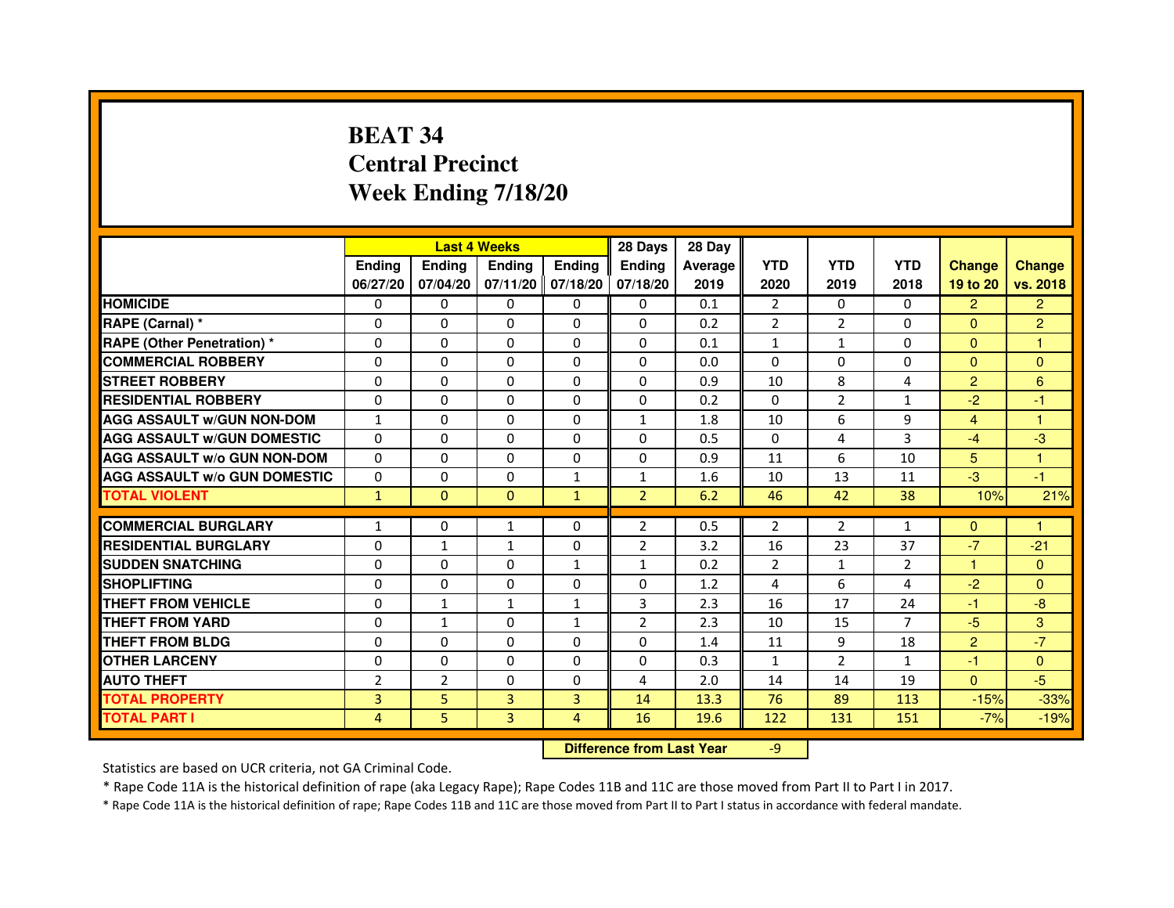# **BEAT 34 Central PrecinctWeek Ending 7/18/20**

|                                     |                | <b>Last 4 Weeks</b> |                                  |                     | 28 Days        | 28 Day  |                |                |                |                      |                |
|-------------------------------------|----------------|---------------------|----------------------------------|---------------------|----------------|---------|----------------|----------------|----------------|----------------------|----------------|
|                                     | <b>Ending</b>  | <b>Ending</b>       | <b>Ending</b>                    | <b>Ending</b>       | <b>Ending</b>  | Average | <b>YTD</b>     | <b>YTD</b>     | <b>YTD</b>     | <b>Change</b>        | <b>Change</b>  |
|                                     | 06/27/20       | 07/04/20            |                                  | $07/11/20$ 07/18/20 | 07/18/20       | 2019    | 2020           | 2019           | 2018           | 19 to 20             | vs. 2018       |
| <b>HOMICIDE</b>                     | 0              | $\Omega$            | $\Omega$                         | $\Omega$            | $\Omega$       | 0.1     | $\overline{2}$ | $\Omega$       | $\Omega$       | $\overline{2}$       | $\overline{2}$ |
| RAPE (Carnal) *                     | 0              | 0                   | 0                                | $\mathbf{0}$        | 0              | 0.2     | $\overline{2}$ | $\overline{2}$ | 0              | $\Omega$             | $\overline{2}$ |
| <b>RAPE (Other Penetration) *</b>   | 0              | 0                   | $\Omega$                         | $\mathbf{0}$        | $\Omega$       | 0.1     | $\mathbf{1}$   | $\mathbf{1}$   | $\Omega$       | $\Omega$             | $\mathbf{1}$   |
| <b>COMMERCIAL ROBBERY</b>           | $\Omega$       | $\Omega$            | $\Omega$                         | $\mathbf{0}$        | $\Omega$       | 0.0     | $\Omega$       | $\Omega$       | $\Omega$       | $\Omega$             | $\mathbf{0}$   |
| <b>STREET ROBBERY</b>               | $\Omega$       | $\Omega$            | $\Omega$                         | $\mathbf{0}$        | $\Omega$       | 0.9     | 10             | 8              | 4              | $\overline{2}$       | 6              |
| <b>RESIDENTIAL ROBBERY</b>          | $\Omega$       | $\Omega$            | $\Omega$                         | $\mathbf{0}$        | $\Omega$       | 0.2     | $\Omega$       | $\overline{2}$ | $\mathbf{1}$   | $-2$                 | $-1$           |
| <b>AGG ASSAULT w/GUN NON-DOM</b>    | $\mathbf{1}$   | $\mathbf 0$         | $\Omega$                         | $\mathbf{0}$        | $\mathbf{1}$   | 1.8     | 10             | 6              | 9              | $\overline{4}$       | $\mathbf{1}$   |
| <b>AGG ASSAULT w/GUN DOMESTIC</b>   | $\Omega$       | $\Omega$            | $\Omega$                         | $\Omega$            | $\Omega$       | 0.5     | $\Omega$       | 4              | 3              | $-4$                 | $-3$           |
| <b>AGG ASSAULT W/o GUN NON-DOM</b>  | $\mathbf{0}$   | 0                   | 0                                | $\mathbf{0}$        | 0              | 0.9     | 11             | 6              | 10             | 5                    | 1              |
| <b>AGG ASSAULT w/o GUN DOMESTIC</b> | $\Omega$       | 0                   | 0                                | $\mathbf{1}$        | $\mathbf{1}$   | 1.6     | 10             | 13             | 11             | $-3$                 | $-1$           |
| <b>TOTAL VIOLENT</b>                | $\mathbf{1}$   | $\mathbf{0}$        | $\mathbf{0}$                     | $\mathbf{1}$        | $\overline{2}$ | 6.2     | 46             | 42             | 38             | 10%                  | 21%            |
| <b>COMMERCIAL BURGLARY</b>          | $\mathbf{1}$   | 0                   | $\mathbf{1}$                     | 0                   | $\overline{2}$ | 0.5     | $\overline{2}$ | $\overline{2}$ | $\mathbf{1}$   | $\Omega$             | 1              |
| <b>RESIDENTIAL BURGLARY</b>         | $\Omega$       | $\mathbf{1}$        | $\mathbf{1}$                     | $\mathbf{0}$        | $\overline{2}$ | 3.2     | 16             | 23             | 37             | $-7$                 | $-21$          |
| <b>SUDDEN SNATCHING</b>             | $\Omega$       | $\Omega$            | $\Omega$                         | $\mathbf{1}$        | $\mathbf{1}$   | 0.2     | $\overline{2}$ | $\mathbf{1}$   | $\overline{2}$ | $\blacktriangleleft$ | $\Omega$       |
| <b>SHOPLIFTING</b>                  | 0              | 0                   | 0                                | $\mathbf{0}$        | 0              | 1.2     | 4              | 6              | 4              | $-2$                 | $\mathbf{0}$   |
| <b>THEFT FROM VEHICLE</b>           | $\Omega$       | $\mathbf{1}$        | $\mathbf{1}$                     | $\mathbf{1}$        | 3              | 2.3     | 16             | 17             | 24             | $-1$                 | $-8$           |
| <b>THEFT FROM YARD</b>              | $\mathbf 0$    | $\mathbf{1}$        | 0                                | $\mathbf{1}$        | $\overline{2}$ | 2.3     | 10             | 15             | $\overline{7}$ | $-5$                 | 3              |
| <b>THEFT FROM BLDG</b>              | 0              | $\Omega$            | 0                                | $\mathbf{0}$        | $\Omega$       | 1.4     | 11             | 9              | 18             | $\overline{2}$       | $-7$           |
| <b>OTHER LARCENY</b>                | $\mathbf 0$    | $\Omega$            | 0                                | $\mathbf{0}$        | $\Omega$       | 0.3     | $\mathbf{1}$   | $\overline{2}$ | $\mathbf{1}$   | $-1$                 | $\Omega$       |
| <b>AUTO THEFT</b>                   | $\overline{2}$ | $\overline{2}$      | $\Omega$                         | $\mathbf{0}$        | 4              | 2.0     | 14             | 14             | 19             | $\Omega$             | $-5$           |
| <b>TOTAL PROPERTY</b>               | 3              | 5                   | $\overline{3}$                   | 3                   | 14             | 13.3    | 76             | 89             | 113            | $-15%$               | $-33%$         |
| <b>TOTAL PART I</b>                 | 4              | 5                   | 3                                | $\overline{4}$      | 16             | 19.6    | 122            | 131            | 151            | $-7%$                | $-19%$         |
|                                     |                |                     | <b>Difference from Last Year</b> |                     | $-9$           |         |                |                |                |                      |                |

 **Difference from Last Year**

Statistics are based on UCR criteria, not GA Criminal Code.

\* Rape Code 11A is the historical definition of rape (aka Legacy Rape); Rape Codes 11B and 11C are those moved from Part II to Part I in 2017.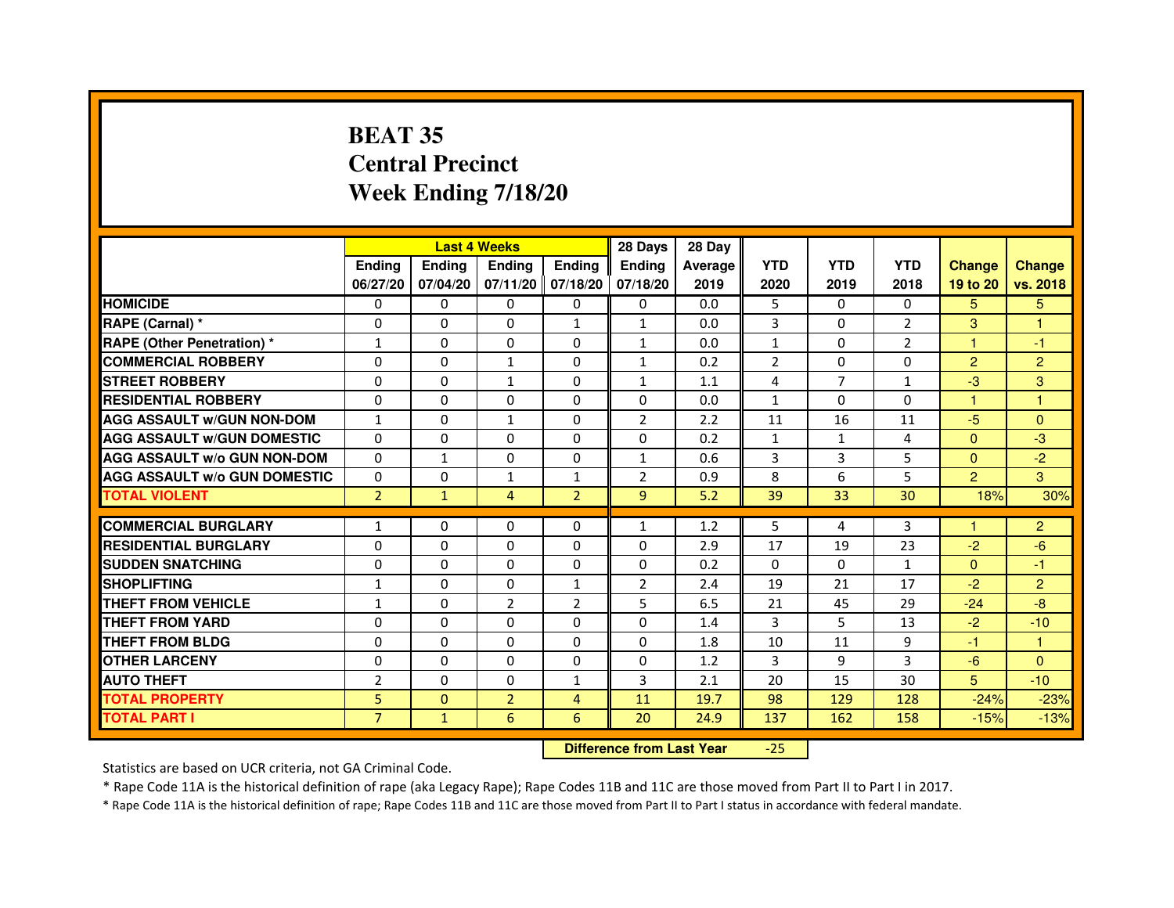# **BEAT 35 Central PrecinctWeek Ending 7/18/20**

|                                     |                | <b>Last 4 Weeks</b> |                |                   | 28 Days        | 28 Day  |              |              |                |                |                |
|-------------------------------------|----------------|---------------------|----------------|-------------------|----------------|---------|--------------|--------------|----------------|----------------|----------------|
|                                     | <b>Endina</b>  | <b>Endina</b>       | <b>Endina</b>  | Ending            | <b>Endina</b>  | Average | <b>YTD</b>   | <b>YTD</b>   | <b>YTD</b>     | <b>Change</b>  | <b>Change</b>  |
|                                     | 06/27/20       | 07/04/20            |                | 07/11/20 07/18/20 | 07/18/20       | 2019    | 2020         | 2019         | 2018           | 19 to 20       | vs. 2018       |
| <b>HOMICIDE</b>                     | 0              | 0                   | $\mathbf{0}$   | 0                 | 0              | 0.0     | 5            | 0            | $\mathbf{0}$   | 5              | 5              |
| RAPE (Carnal) *                     | $\Omega$       | $\Omega$            | $\Omega$       | $\mathbf{1}$      | $\mathbf{1}$   | 0.0     | 3            | $\Omega$     | $\overline{2}$ | 3              | $\mathbf{1}$   |
| <b>RAPE (Other Penetration) *</b>   | $\mathbf{1}$   | $\Omega$            | 0              | $\mathbf{0}$      | $\mathbf{1}$   | 0.0     | $\mathbf{1}$ | $\Omega$     | $\overline{2}$ | 1              | $-1$           |
| <b>COMMERCIAL ROBBERY</b>           | 0              | 0                   | 1              | 0                 | $\mathbf{1}$   | 0.2     | 2            | 0            | $\Omega$       | $\overline{2}$ | $\overline{c}$ |
| <b>STREET ROBBERY</b>               | 0              | 0                   | 1              | 0                 | $\mathbf{1}$   | 1.1     | 4            | 7            | 1              | $-3$           | 3              |
| <b>RESIDENTIAL ROBBERY</b>          | 0              | 0                   | $\Omega$       | $\Omega$          | $\Omega$       | 0.0     | $\mathbf{1}$ | $\Omega$     | $\Omega$       | 1              | 1              |
| <b>AGG ASSAULT W/GUN NON-DOM</b>    | $\mathbf{1}$   | $\mathbf 0$         | $\mathbf{1}$   | $\Omega$          | $\overline{2}$ | 2.2     | 11           | 16           | 11             | $-5$           | $\mathbf{0}$   |
| <b>AGG ASSAULT W/GUN DOMESTIC</b>   | 0              | 0                   | 0              | 0                 | 0              | 0.2     | $\mathbf{1}$ | $\mathbf{1}$ | $\overline{4}$ | $\Omega$       | -3             |
| <b>AGG ASSAULT W/o GUN NON-DOM</b>  | $\Omega$       | $\mathbf{1}$        | $\Omega$       | $\Omega$          | $\mathbf{1}$   | 0.6     | 3            | 3            | 5              | $\Omega$       | $-2$           |
| <b>AGG ASSAULT W/o GUN DOMESTIC</b> | $\Omega$       | 0                   | $\mathbf{1}$   | $\mathbf{1}$      | $\overline{2}$ | 0.9     | 8            | 6            | 5              | $\overline{2}$ | 3              |
| <b>TOTAL VIOLENT</b>                | $\overline{2}$ | $\mathbf{1}$        | 4              | $\overline{2}$    | 9              | 5.2     | 39           | 33           | 30             | 18%            | 30%            |
|                                     |                |                     |                |                   |                |         |              |              |                |                |                |
| <b>COMMERCIAL BURGLARY</b>          | 1              | 0                   | 0              | 0                 | $\mathbf{1}$   | 1.2     | 5            | 4            | 3              | 1              | $\overline{2}$ |
| <b>RESIDENTIAL BURGLARY</b>         | 0              | $\Omega$            | 0              | $\Omega$          | $\Omega$       | 2.9     | 17           | 19           | 23             | $-2$           | $-6$           |
| <b>SUDDEN SNATCHING</b>             | 0              | 0                   | 0              | 0                 | $\Omega$       | 0.2     | $\Omega$     | $\Omega$     | $\mathbf{1}$   | $\Omega$       | $-1$           |
| <b>SHOPLIFTING</b>                  | $\mathbf{1}$   | 0                   | 0              | $\mathbf{1}$      | $\overline{2}$ | 2.4     | 19           | 21           | 17             | $-2$           | $\overline{2}$ |
| <b>THEFT FROM VEHICLE</b>           | $\mathbf{1}$   | $\Omega$            | $\overline{2}$ | $\overline{2}$    | 5              | 6.5     | 21           | 45           | 29             | $-24$          | $-8$           |
| <b>THEFT FROM YARD</b>              | $\Omega$       | $\Omega$            | $\Omega$       | $\Omega$          | $\Omega$       | 1.4     | 3            | 5.           | 13             | $-2$           | $-10$          |
| <b>THEFT FROM BLDG</b>              | 0              | 0                   | 0              | 0                 | 0              | 1.8     | 10           | 11           | 9              | $-1$           | 1              |
| <b>OTHER LARCENY</b>                | 0              | 0                   | $\Omega$       | $\Omega$          | $\Omega$       | 1.2     | 3            | 9            | 3              | -6             | $\Omega$       |
| <b>AUTO THEFT</b>                   | $\overline{2}$ | 0                   | $\Omega$       | $\mathbf{1}$      | 3              | 2.1     | 20           | 15           | 30             | 5              | $-10$          |
| <b>TOTAL PROPERTY</b>               | 5              | $\mathbf{0}$        | $\overline{2}$ | 4                 | 11             | 19.7    | 98           | 129          | 128            | $-24%$         | $-23%$         |
| <b>TOTAL PART I</b>                 | $\overline{7}$ | $\mathbf{1}$        | 6              | 6                 | 20             | 24.9    | 137          | 162          | 158            | $-15%$         | $-13%$         |

 **Difference from Last Year**-25

Statistics are based on UCR criteria, not GA Criminal Code.

\* Rape Code 11A is the historical definition of rape (aka Legacy Rape); Rape Codes 11B and 11C are those moved from Part II to Part I in 2017.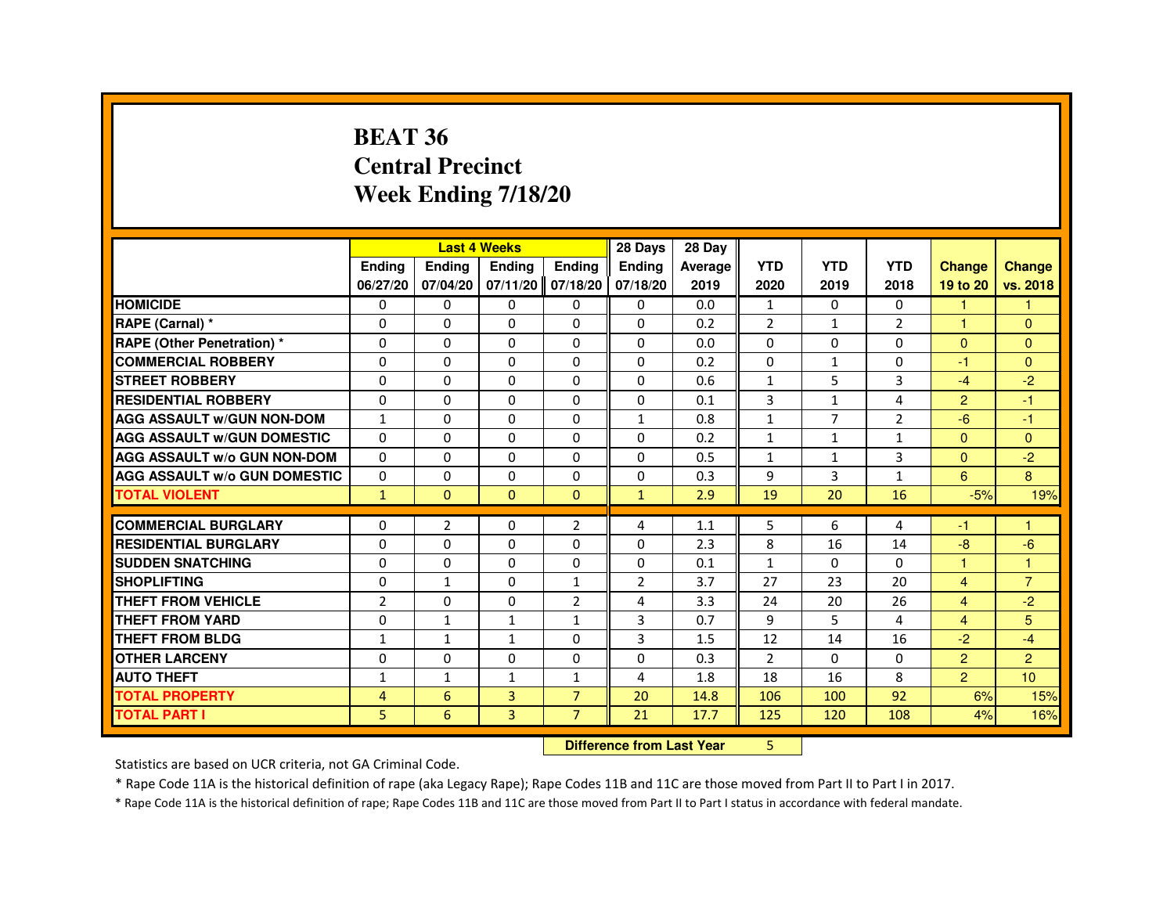#### **BEAT 36 Central PrecinctWeek Ending 7/18/20**

|                                     |                |                                  | <b>Last 4 Weeks</b> |                   | 28 Days      | 28 Day  |                |                |                |                |                      |
|-------------------------------------|----------------|----------------------------------|---------------------|-------------------|--------------|---------|----------------|----------------|----------------|----------------|----------------------|
|                                     | Ending         | Ending                           | Ending              | <b>Ending</b>     | Ending       | Average | <b>YTD</b>     | <b>YTD</b>     | <b>YTD</b>     | <b>Change</b>  | <b>Change</b>        |
|                                     | 06/27/20       | 07/04/20                         |                     | 07/11/20 07/18/20 | 07/18/20     | 2019    | 2020           | 2019           | 2018           | 19 to 20       | vs. 2018             |
| <b>HOMICIDE</b>                     | 0              | 0                                | 0                   | $\mathbf{0}$      | 0            | 0.0     | $\mathbf{1}$   | $\Omega$       | $\Omega$       | 1              | 1                    |
| RAPE (Carnal) *                     | $\Omega$       | $\Omega$                         | $\Omega$            | $\Omega$          | $\Omega$     | 0.2     | $\overline{2}$ | $\mathbf{1}$   | $\overline{2}$ | -1             | $\Omega$             |
| <b>RAPE (Other Penetration) *</b>   | $\Omega$       | $\mathbf 0$                      | $\Omega$            | $\Omega$          | $\Omega$     | 0.0     | $\Omega$       | $\Omega$       | $\Omega$       | $\Omega$       | $\Omega$             |
| <b>COMMERCIAL ROBBERY</b>           | $\Omega$       | $\Omega$                         | $\Omega$            | $\Omega$          | $\Omega$     | 0.2     | $\Omega$       | $\mathbf{1}$   | $\Omega$       | $-1$           | $\Omega$             |
| <b>STREET ROBBERY</b>               | $\Omega$       | $\Omega$                         | $\Omega$            | $\Omega$          | $\Omega$     | 0.6     | $\mathbf{1}$   | 5              | 3              | $-4$           | $-2$                 |
| <b>RESIDENTIAL ROBBERY</b>          | $\mathbf 0$    | 0                                | 0                   | 0                 | 0            | 0.1     | 3              | $\mathbf{1}$   | 4              | 2              | -1                   |
| <b>AGG ASSAULT W/GUN NON-DOM</b>    | $\mathbf{1}$   | 0                                | 0                   | $\Omega$          | $\mathbf{1}$ | 0.8     | $\mathbf{1}$   | $\overline{7}$ | $\overline{2}$ | $-6$           | -1                   |
| <b>AGG ASSAULT W/GUN DOMESTIC</b>   | $\Omega$       | $\Omega$                         | 0                   | $\Omega$          | $\Omega$     | 0.2     | $\mathbf{1}$   | $\mathbf{1}$   | $\mathbf{1}$   | $\Omega$       | $\Omega$             |
| <b>AGG ASSAULT W/o GUN NON-DOM</b>  | 0              | 0                                | 0                   | 0                 | 0            | 0.5     | $\mathbf{1}$   | 1              | 3              | $\mathbf{0}$   | $-2$                 |
| <b>AGG ASSAULT W/o GUN DOMESTIC</b> | $\Omega$       | 0                                | 0                   | $\Omega$          | $\Omega$     | 0.3     | 9              | 3              | $\mathbf{1}$   | 6              | $\mathbf{8}$         |
| <b>TOTAL VIOLENT</b>                | $\mathbf{1}$   | $\mathbf{0}$                     | $\mathbf{0}$        | $\mathbf{0}$      | $\mathbf{1}$ | 2.9     | 19             | 20             | 16             | $-5%$          | 19%                  |
| <b>COMMERCIAL BURGLARY</b>          | 0              | 2                                | 0                   | 2                 | 4            | 1.1     | 5              | 6              | 4              | -1             | -1                   |
| <b>RESIDENTIAL BURGLARY</b>         | 0              | 0                                | 0                   | 0                 | 0            | 2.3     | 8              | 16             | 14             | -8             | $-6$                 |
| <b>SUDDEN SNATCHING</b>             | $\mathbf 0$    | $\Omega$                         | $\Omega$            | $\Omega$          | $\Omega$     | 0.1     | $\mathbf{1}$   | $\Omega$       | $\Omega$       | $\overline{1}$ | $\blacktriangleleft$ |
| <b>SHOPLIFTING</b>                  | 0              | $\mathbf{1}$                     | 0                   | $\mathbf{1}$      | 2            | 3.7     | 27             | 23             | 20             | $\overline{4}$ | $\overline{7}$       |
| <b>THEFT FROM VEHICLE</b>           | $\overline{2}$ | 0                                | $\Omega$            | $\overline{2}$    | 4            | 3.3     | 24             | 20             | 26             | $\overline{4}$ | $-2$                 |
| <b>THEFT FROM YARD</b>              | $\Omega$       | $\mathbf{1}$                     | $\mathbf{1}$        | $\mathbf{1}$      | 3            | 0.7     | 9              | 5              | 4              | $\overline{4}$ | 5                    |
| <b>THEFT FROM BLDG</b>              | $\mathbf{1}$   | $\mathbf{1}$                     | $\mathbf{1}$        | $\Omega$          | 3            | 1.5     | 12             | 14             | 16             | $-2$           | $-4$                 |
| <b>OTHER LARCENY</b>                | 0              | $\Omega$                         | $\Omega$            | 0                 | $\Omega$     | 0.3     | $\overline{2}$ | 0              | 0              | $\overline{2}$ | $\overline{2}$       |
| <b>AUTO THEFT</b>                   | 1              | $\mathbf{1}$                     | $\mathbf{1}$        | $\mathbf{1}$      | 4            | 1.8     | 18             | 16             | 8              | $\overline{2}$ | 10                   |
| <b>TOTAL PROPERTY</b>               | 4              | 6                                | 3                   | $\overline{7}$    | 20           | 14.8    | 106            | 100            | 92             | 6%             | 15%                  |
| <b>TOTAL PART I</b>                 | 5              | 6                                | $\overline{3}$      | $\overline{7}$    | 21           | 17.7    | 125            | 120            | 108            | 4%             | 16%                  |
|                                     |                | <b>Difference from Last Year</b> |                     | 5                 |              |         |                |                |                |                |                      |

 **Difference from Last Year**

Statistics are based on UCR criteria, not GA Criminal Code.

\* Rape Code 11A is the historical definition of rape (aka Legacy Rape); Rape Codes 11B and 11C are those moved from Part II to Part I in 2017.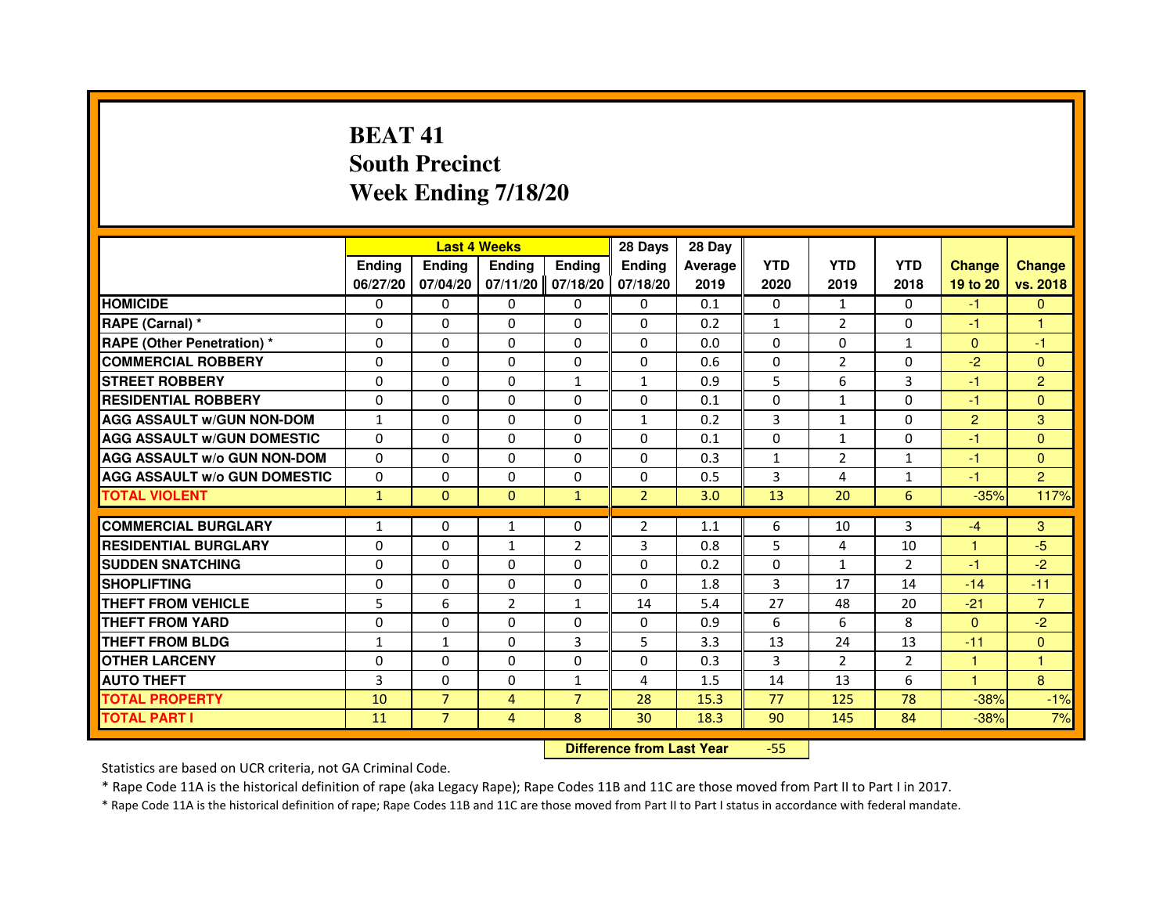# **BEAT 41 South PrecinctWeek Ending 7/18/20**

|                                     |               |                | <b>Last 4 Weeks</b>              |                | 28 Days        | 28 Day  |              |                |                |                |                |
|-------------------------------------|---------------|----------------|----------------------------------|----------------|----------------|---------|--------------|----------------|----------------|----------------|----------------|
|                                     | <b>Ending</b> | <b>Ending</b>  | <b>Ending</b>                    | <b>Ending</b>  | Ending         | Average | <b>YTD</b>   | <b>YTD</b>     | <b>YTD</b>     | <b>Change</b>  | <b>Change</b>  |
|                                     | 06/27/20      | 07/04/20       | 07/11/20                         | 07/18/20       | 07/18/20       | 2019    | 2020         | 2019           | 2018           | 19 to 20       | vs. 2018       |
| <b>HOMICIDE</b>                     | $\Omega$      | $\Omega$       | 0                                | $\Omega$       | 0              | 0.1     | $\Omega$     | $\mathbf{1}$   | $\Omega$       | $-1$           | $\mathbf{0}$   |
| RAPE (Carnal) *                     | 0             | $\Omega$       | $\Omega$                         | $\Omega$       | $\Omega$       | 0.2     | 1            | $\overline{2}$ | $\Omega$       | $-1$           | 1              |
| <b>RAPE (Other Penetration) *</b>   | $\Omega$      | $\Omega$       | $\Omega$                         | $\Omega$       | $\Omega$       | 0.0     | $\Omega$     | $\Omega$       | $\mathbf{1}$   | $\Omega$       | $-1$           |
| <b>COMMERCIAL ROBBERY</b>           | $\Omega$      | $\Omega$       | $\mathbf{0}$                     | 0              | 0              | 0.6     | 0            | $\overline{2}$ | $\Omega$       | $-2$           | $\Omega$       |
| <b>STREET ROBBERY</b>               | $\Omega$      | $\Omega$       | $\Omega$                         | $\mathbf{1}$   | $\mathbf{1}$   | 0.9     | 5            | 6              | 3              | $-1$           | $\overline{2}$ |
| <b>RESIDENTIAL ROBBERY</b>          | $\Omega$      | $\Omega$       | $\Omega$                         | $\Omega$       | $\Omega$       | 0.1     | $\Omega$     | $\mathbf{1}$   | $\Omega$       | $-1$           | $\Omega$       |
| <b>AGG ASSAULT w/GUN NON-DOM</b>    | $\mathbf{1}$  | $\Omega$       | $\Omega$                         | $\Omega$       | $\mathbf{1}$   | 0.2     | 3            | $\mathbf{1}$   | $\Omega$       | $\overline{2}$ | 3              |
| <b>AGG ASSAULT W/GUN DOMESTIC</b>   | $\Omega$      | $\Omega$       | $\Omega$                         | $\Omega$       | $\Omega$       | 0.1     | $\Omega$     | $\mathbf{1}$   | $\Omega$       | $-1$           | $\Omega$       |
| <b>AGG ASSAULT w/o GUN NON-DOM</b>  | 0             | 0              | 0                                | 0              | 0              | 0.3     | $\mathbf{1}$ | 2              | $\mathbf{1}$   | $-1$           | $\mathbf{0}$   |
| <b>AGG ASSAULT W/o GUN DOMESTIC</b> | $\Omega$      | $\Omega$       | $\Omega$                         | $\Omega$       | $\Omega$       | 0.5     | 3            | 4              | $\mathbf{1}$   | $-1$           | $\overline{2}$ |
| <b>TOTAL VIOLENT</b>                | $\mathbf{1}$  | $\mathbf{0}$   | $\mathbf{0}$                     | $\mathbf{1}$   | $\overline{2}$ | 3.0     | 13           | 20             | 6              | $-35%$         | 117%           |
| <b>COMMERCIAL BURGLARY</b>          | $\mathbf{1}$  | $\Omega$       | $\mathbf{1}$                     | 0              | $\overline{2}$ | 1.1     | 6            | 10             | 3              | $-4$           | 3              |
| <b>RESIDENTIAL BURGLARY</b>         | $\Omega$      | $\Omega$       | $\mathbf{1}$                     | $\overline{2}$ | 3              | 0.8     | 5            | 4              | 10             | $\mathbf{1}$   | $-5$           |
| <b>SUDDEN SNATCHING</b>             | $\Omega$      | $\Omega$       | $\Omega$                         | $\Omega$       | $\Omega$       | 0.2     | $\Omega$     | $\mathbf{1}$   | $\mathcal{P}$  | $-1$           | $-2$           |
| <b>SHOPLIFTING</b>                  | 0             | 0              | 0                                | 0              | 0              | 1.8     | 3            | 17             | 14             | $-14$          | $-11$          |
| <b>THEFT FROM VEHICLE</b>           | 5             | 6              | $\overline{2}$                   | $\mathbf{1}$   | 14             | 5.4     | 27           | 48             | 20             | $-21$          | $\overline{7}$ |
| <b>THEFT FROM YARD</b>              | 0             | 0              | $\Omega$                         | 0              | 0              | 0.9     | 6            | 6              | 8              | $\overline{0}$ | $-2$           |
| <b>THEFT FROM BLDG</b>              | $\mathbf{1}$  | $\mathbf{1}$   | $\Omega$                         | $\overline{3}$ | 5              | 3.3     | 13           | 24             | 13             | $-11$          | $\mathbf{0}$   |
| <b>OTHER LARCENY</b>                | $\Omega$      | $\Omega$       | $\Omega$                         | $\Omega$       | $\Omega$       | 0.3     | 3            | $\overline{2}$ | $\overline{2}$ | 1              | 1              |
| <b>AUTO THEFT</b>                   | 3             | $\Omega$       | $\Omega$                         | $\mathbf{1}$   | 4              | 1.5     | 14           | 13             | 6              | $\mathbf{1}$   | 8              |
| <b>TOTAL PROPERTY</b>               | 10            | $\overline{7}$ | $\overline{4}$                   | $\overline{7}$ | 28             | 15.3    | 77           | 125            | 78             | $-38%$         | $-1%$          |
| <b>TOTAL PART I</b>                 | 11            | $\overline{7}$ | $\overline{4}$                   | 8              | 30             | 18.3    | 90           | 145            | 84             | $-38%$         | 7%             |
|                                     |               |                | <b>Difference from Last Year</b> |                | $-55$          |         |              |                |                |                |                |

Statistics are based on UCR criteria, not GA Criminal Code.

\* Rape Code 11A is the historical definition of rape (aka Legacy Rape); Rape Codes 11B and 11C are those moved from Part II to Part I in 2017.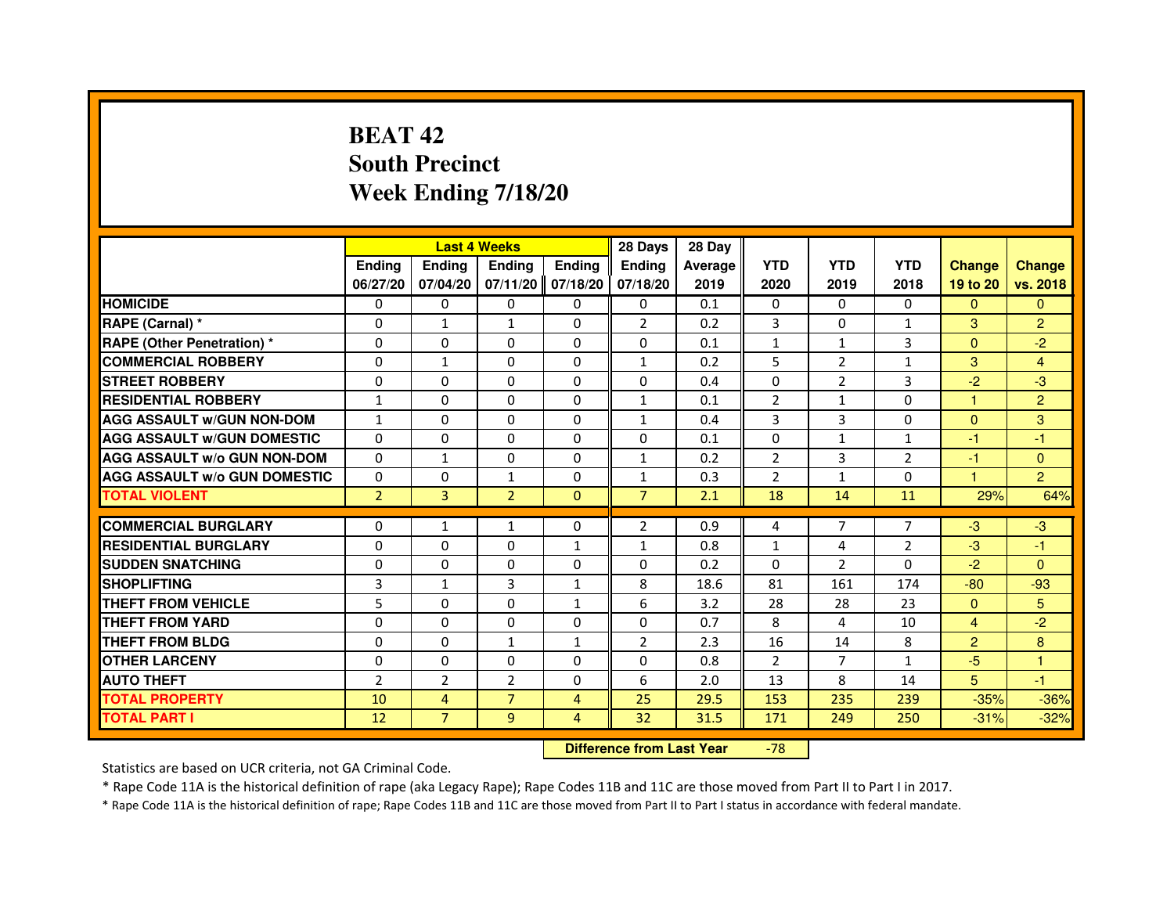# **BEAT 42 South PrecinctWeek Ending 7/18/20**

|                                     |                | <b>Last 4 Weeks</b> |                   |                | 28 Days        | 28 Day  |              |                |                |                      |                |
|-------------------------------------|----------------|---------------------|-------------------|----------------|----------------|---------|--------------|----------------|----------------|----------------------|----------------|
|                                     | <b>Endina</b>  | <b>Endina</b>       | <b>Endina</b>     | <b>Endina</b>  | <b>Ending</b>  | Average | <b>YTD</b>   | <b>YTD</b>     | <b>YTD</b>     | <b>Change</b>        | <b>Change</b>  |
|                                     | 06/27/20       | 07/04/20            | 07/11/20 07/18/20 |                | 07/18/20       | 2019    | 2020         | 2019           | 2018           | 19 to 20             | vs. 2018       |
| <b>HOMICIDE</b>                     | 0              | 0                   | 0                 | 0              | 0              | 0.1     | $\mathbf{0}$ | 0              | $\mathbf{0}$   | $\Omega$             | $\Omega$       |
| RAPE (Carnal) *                     | $\Omega$       | $\mathbf{1}$        | $\mathbf{1}$      | $\Omega$       | $\overline{2}$ | 0.2     | 3            | $\Omega$       | $\mathbf{1}$   | 3                    | $\overline{2}$ |
| <b>RAPE (Other Penetration)*</b>    | $\Omega$       | $\Omega$            | $\Omega$          | 0              | $\Omega$       | 0.1     | $\mathbf{1}$ | $\mathbf{1}$   | 3              | $\Omega$             | $-2$           |
| <b>COMMERCIAL ROBBERY</b>           | $\Omega$       | $\mathbf{1}$        | $\Omega$          | $\Omega$       | $\mathbf{1}$   | 0.2     | 5            | $\overline{2}$ | $\mathbf{1}$   | 3                    | 4              |
| <b>STREET ROBBERY</b>               | $\Omega$       | $\Omega$            | $\Omega$          | $\Omega$       | $\Omega$       | 0.4     | $\Omega$     | 2              | 3              | $-2$                 | $-3$           |
| <b>RESIDENTIAL ROBBERY</b>          | $\mathbf{1}$   | 0                   | 0                 | 0              | $\mathbf{1}$   | 0.1     | 2            | $\mathbf{1}$   | 0              | 1                    | $\overline{2}$ |
| <b>AGG ASSAULT W/GUN NON-DOM</b>    | $\mathbf{1}$   | $\Omega$            | $\Omega$          | $\Omega$       | $\mathbf{1}$   | 0.4     | 3            | 3              | $\Omega$       | $\Omega$             | 3              |
| <b>AGG ASSAULT W/GUN DOMESTIC</b>   | $\Omega$       | $\Omega$            | $\Omega$          | $\Omega$       | $\Omega$       | 0.1     | $\Omega$     | $\mathbf{1}$   | $\mathbf{1}$   | $-1$                 | $-1$           |
| <b>AGG ASSAULT W/o GUN NON-DOM</b>  | $\Omega$       | $\mathbf{1}$        | $\Omega$          | $\Omega$       | $\mathbf{1}$   | 0.2     | 2            | 3              | 2              | -1                   | $\Omega$       |
| <b>AGG ASSAULT W/o GUN DOMESTIC</b> | $\Omega$       | $\Omega$            | $\mathbf{1}$      | $\Omega$       | $\mathbf{1}$   | 0.3     | 2            | $\mathbf{1}$   | $\Omega$       | $\blacktriangleleft$ | $\overline{2}$ |
| <b>TOTAL VIOLENT</b>                | $\overline{2}$ | 3                   | $\overline{2}$    | $\Omega$       | $\overline{7}$ | 2.1     | 18           | 14             | 11             | 29%                  | 64%            |
|                                     |                |                     |                   |                |                |         |              |                |                |                      |                |
| <b>COMMERCIAL BURGLARY</b>          | 0              | $\mathbf{1}$        | $\mathbf{1}$      | 0              | 2              | 0.9     | 4            | $\overline{7}$ | $\overline{7}$ | $-3$                 | $-3$           |
| <b>RESIDENTIAL BURGLARY</b>         | $\Omega$       | $\Omega$            | $\Omega$          | $\mathbf{1}$   | $\mathbf{1}$   | 0.8     | $\mathbf{1}$ | 4              | $\overline{2}$ | $-3$                 | -1             |
| <b>SUDDEN SNATCHING</b>             | $\Omega$       | $\Omega$            | $\Omega$          | $\Omega$       | $\Omega$       | 0.2     | $\Omega$     | 2              | $\Omega$       | $-2$                 | $\Omega$       |
| <b>SHOPLIFTING</b>                  | 3              | $\mathbf{1}$        | 3                 | $\mathbf{1}$   | 8              | 18.6    | 81           | 161            | 174            | $-80$                | $-93$          |
| <b>THEFT FROM VEHICLE</b>           | 5              | $\Omega$            | $\Omega$          | $\mathbf{1}$   | 6              | 3.2     | 28           | 28             | 23             | $\Omega$             | 5              |
| <b>THEFT FROM YARD</b>              | 0              | 0                   | $\Omega$          | 0              | 0              | 0.7     | 8            | 4              | 10             | 4                    | $-2$           |
| <b>THEFT FROM BLDG</b>              | $\Omega$       | 0                   | $\mathbf{1}$      | $\mathbf{1}$   | 2              | 2.3     | 16           | 14             | 8              | $\overline{2}$       | 8              |
| <b>OTHER LARCENY</b>                | $\Omega$       | $\Omega$            | $\Omega$          | $\Omega$       | $\Omega$       | 0.8     | 2            | $\overline{7}$ | 1              | $-5$                 | $\mathbf{1}$   |
| <b>AUTO THEFT</b>                   | $\overline{2}$ | $\overline{2}$      | $\overline{2}$    | $\Omega$       | 6              | 2.0     | 13           | 8              | 14             | 5                    | $-1$           |
| <b>TOTAL PROPERTY</b>               | 10             | 4                   | $\overline{7}$    | 4              | 25             | 29.5    | 153          | 235            | 239            | $-35%$               | $-36%$         |
| TOTAL PART I                        | 12             | $\overline{7}$      | 9                 | $\overline{4}$ | 32             | 31.5    | 171          | 249            | 250            | $-31%$               | $-32%$         |

 **Difference from Last Year**-78

Statistics are based on UCR criteria, not GA Criminal Code.

\* Rape Code 11A is the historical definition of rape (aka Legacy Rape); Rape Codes 11B and 11C are those moved from Part II to Part I in 2017.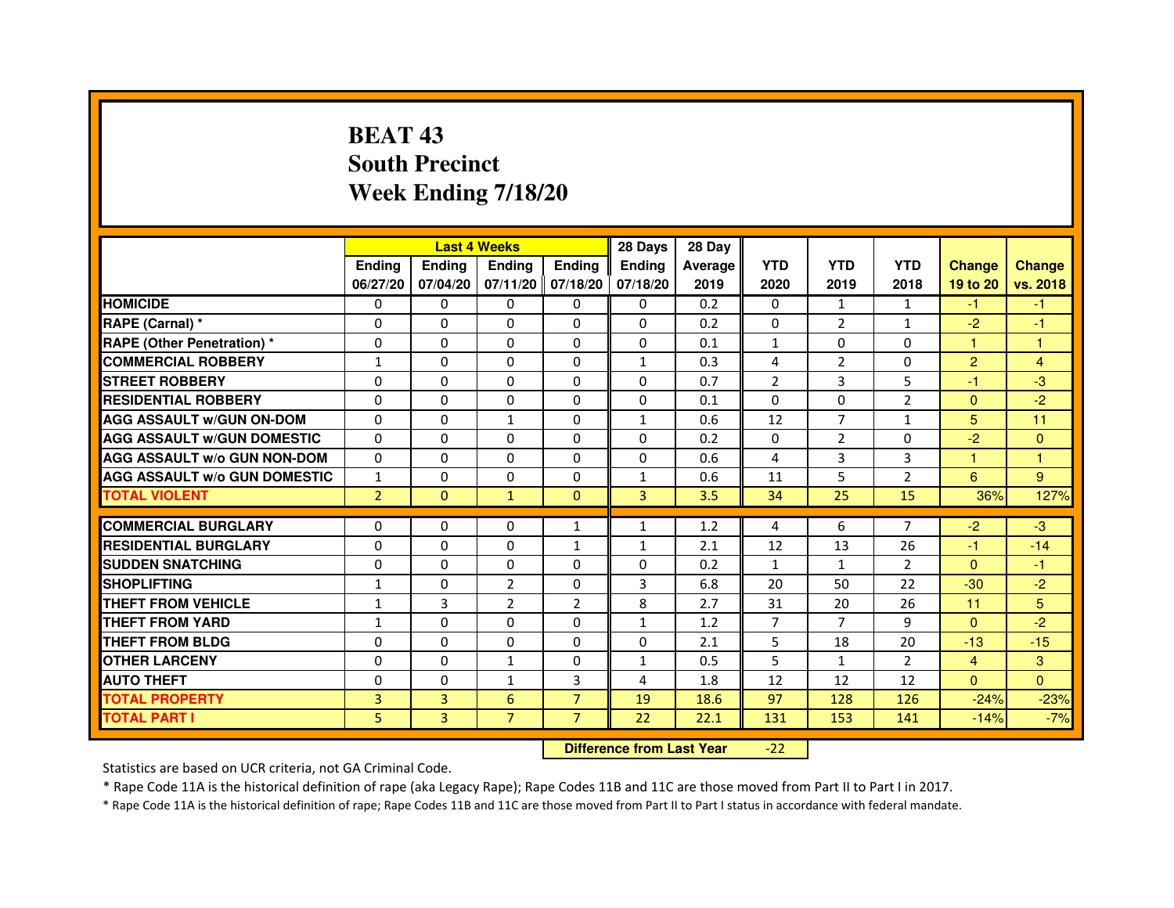# **BEAT 43 South PrecinctWeek Ending 7/18/20**

|                                     |                |                | <b>Last 4 Weeks</b> |                | 28 Days       | 28 Day  |                |                |                |                |               |
|-------------------------------------|----------------|----------------|---------------------|----------------|---------------|---------|----------------|----------------|----------------|----------------|---------------|
|                                     | <b>Endina</b>  | <b>Endina</b>  | <b>Endina</b>       | <b>Ending</b>  | <b>Endina</b> | Average | <b>YTD</b>     | <b>YTD</b>     | <b>YTD</b>     | <b>Change</b>  | <b>Change</b> |
|                                     | 06/27/20       | 07/04/20       | 07/11/20 07/18/20   |                | 07/18/20      | 2019    | 2020           | 2019           | 2018           | 19 to 20       | vs. 2018      |
| <b>HOMICIDE</b>                     | 0              | 0              | $\mathbf{0}$        | 0              | 0             | 0.2     | $\mathbf{0}$   | $\mathbf{1}$   | 1              | $-1$           | $-1$          |
| RAPE (Carnal) *                     | $\Omega$       | $\Omega$       | $\Omega$            | $\Omega$       | $\Omega$      | 0.2     | $\Omega$       | $\overline{2}$ | $\mathbf{1}$   | $-2$           | $-1$          |
| <b>RAPE (Other Penetration) *</b>   | $\Omega$       | $\Omega$       | $\Omega$            | $\Omega$       | 0             | 0.1     | $\mathbf{1}$   | $\Omega$       | $\Omega$       | 1.             | $\mathbf{1}$  |
| <b>COMMERCIAL ROBBERY</b>           | $\mathbf{1}$   | 0              | 0                   | 0              | 1             | 0.3     | 4              | 2              | $\Omega$       | 2              | 4             |
| <b>STREET ROBBERY</b>               | 0              | 0              | $\Omega$            | 0              | 0             | 0.7     | $\overline{2}$ | 3              | 5              | $-1$           | -3            |
| <b>RESIDENTIAL ROBBERY</b>          | 0              | 0              | 0                   | 0              | 0             | 0.1     | $\Omega$       | $\Omega$       | $\overline{2}$ | $\Omega$       | $-2$          |
| <b>AGG ASSAULT w/GUN ON-DOM</b>     | $\Omega$       | $\Omega$       | $\mathbf{1}$        | 0              | $\mathbf{1}$  | 0.6     | 12             | $\overline{7}$ | $\mathbf{1}$   | 5              | 11            |
| <b>AGG ASSAULT W/GUN DOMESTIC</b>   | 0              | 0              | $\Omega$            | 0              | 0             | 0.2     | $\Omega$       | $\overline{2}$ | $\Omega$       | $-2$           | $\Omega$      |
| <b>AGG ASSAULT W/o GUN NON-DOM</b>  | $\Omega$       | $\Omega$       | $\Omega$            | 0              | $\Omega$      | 0.6     | 4              | 3              | 3              | 1              | 1             |
| <b>AGG ASSAULT W/o GUN DOMESTIC</b> | $\mathbf{1}$   | $\Omega$       | $\Omega$            | 0              | $\mathbf{1}$  | 0.6     | 11             | 5              | $\overline{2}$ | 6              | 9             |
| <b>TOTAL VIOLENT</b>                | $\overline{2}$ | $\Omega$       | $\mathbf{1}$        | $\Omega$       | 3             | 3.5     | 34             | 25             | 15             | 36%            | 127%          |
|                                     |                |                |                     |                |               |         |                |                |                |                |               |
| <b>COMMERCIAL BURGLARY</b>          | 0              | 0              | 0                   | 1              | $\mathbf{1}$  | 1.2     | 4              | 6              | $\overline{7}$ | $-2$           | $-3$          |
| <b>RESIDENTIAL BURGLARY</b>         | 0              | 0              | 0                   | $\mathbf{1}$   | 1             | 2.1     | 12             | 13             | 26             | $-1$           | $-14$         |
| <b>SUDDEN SNATCHING</b>             | 0              | $\Omega$       | 0                   | 0              | 0             | 0.2     | $\mathbf{1}$   | $\mathbf{1}$   | $\overline{2}$ | $\Omega$       | $-1$          |
| <b>SHOPLIFTING</b>                  | $\mathbf{1}$   | $\mathbf 0$    | $\overline{2}$      | 0              | 3             | 6.8     | 20             | 50             | 22             | $-30$          | $-2$          |
| <b>THEFT FROM VEHICLE</b>           | $\mathbf{1}$   | 3              | $\overline{2}$      | $\overline{2}$ | 8             | 2.7     | 31             | 20             | 26             | 11             | 5             |
| <b>THEFT FROM YARD</b>              | $\mathbf{1}$   | 0              | $\Omega$            | $\Omega$       | 1             | 1.2     | $\overline{7}$ | $\overline{7}$ | 9              | $\Omega$       | $-2$          |
| <b>THEFT FROM BLDG</b>              | $\Omega$       | 0              | 0                   | 0              | 0             | 2.1     | 5              | 18             | 20             | $-13$          | $-15$         |
| <b>OTHER LARCENY</b>                | 0              | $\Omega$       | $\mathbf{1}$        | 0              | 1             | 0.5     | 5              | $\mathbf{1}$   | $\mathcal{P}$  | $\overline{4}$ | 3             |
| <b>AUTO THEFT</b>                   | $\mathbf 0$    | $\mathbf 0$    | 1                   | 3              | 4             | 1.8     | 12             | 12             | 12             | $\Omega$       | $\Omega$      |
| <b>TOTAL PROPERTY</b>               | 3              | 3              | 6                   | $\overline{7}$ | 19            | 18.6    | 97             | 128            | 126            | $-24%$         | $-23%$        |
| <b>TOTAL PART I</b>                 | 5              | $\overline{3}$ | $\overline{7}$      | $\overline{7}$ | 22            | 22.1    | 131            | 153            | 141            | $-14%$         | $-7%$         |

 **Difference from Last Year**-22

Statistics are based on UCR criteria, not GA Criminal Code.

\* Rape Code 11A is the historical definition of rape (aka Legacy Rape); Rape Codes 11B and 11C are those moved from Part II to Part I in 2017.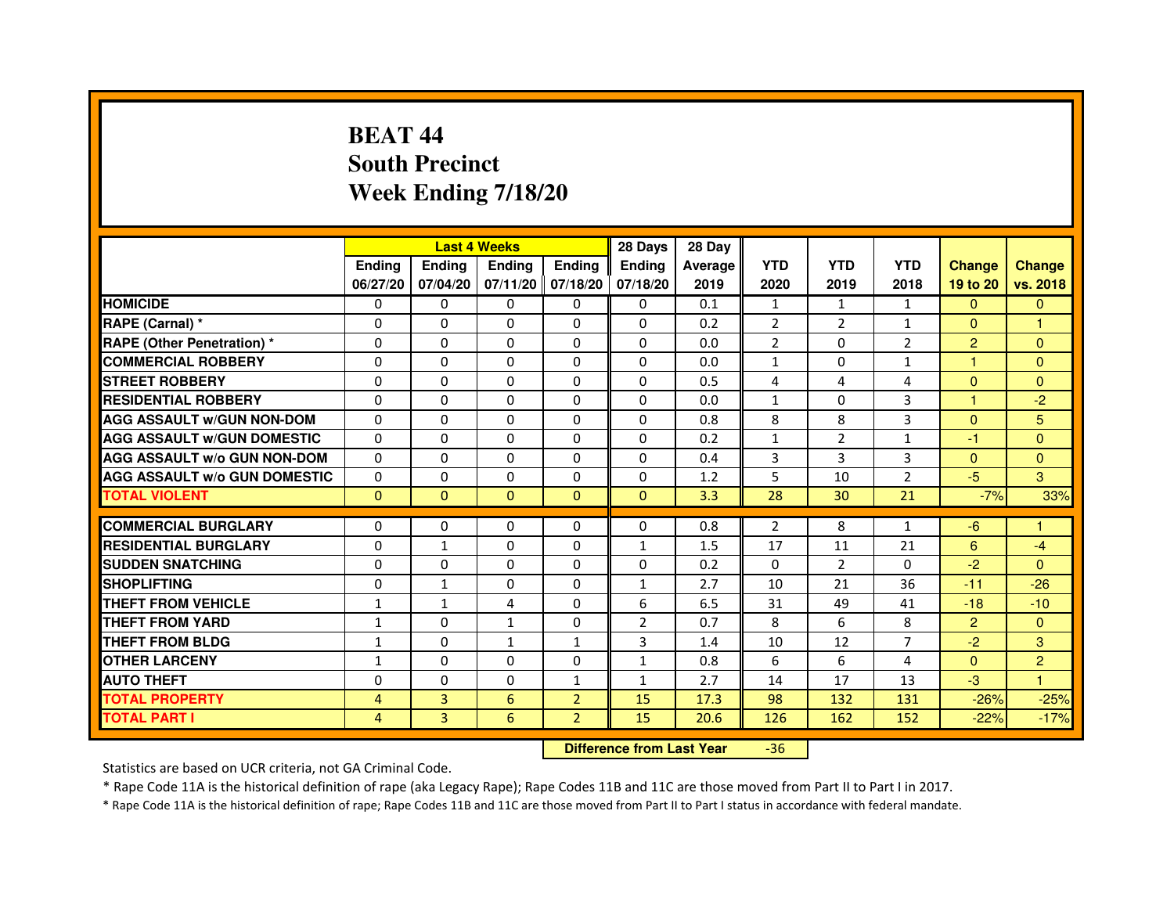# **BEAT 44 South PrecinctWeek Ending 7/18/20**

|                                     |               |               | <b>Last 4 Weeks</b> |                   | 28 Days        | 28 Day  |                |            |                |                      |                |
|-------------------------------------|---------------|---------------|---------------------|-------------------|----------------|---------|----------------|------------|----------------|----------------------|----------------|
|                                     | <b>Endina</b> | <b>Endina</b> | <b>Endina</b>       | <b>Ending</b>     | <b>Endina</b>  | Average | <b>YTD</b>     | <b>YTD</b> | <b>YTD</b>     | <b>Change</b>        | <b>Change</b>  |
|                                     | 06/27/20      | 07/04/20      |                     | 07/11/20 07/18/20 | 07/18/20       | 2019    | 2020           | 2019       | 2018           | 19 to 20             | vs. 2018       |
| <b>HOMICIDE</b>                     | 0             | 0             | $\mathbf{0}$        | 0                 | 0              | 0.1     | $\mathbf{1}$   | 1          | 1              | $\mathbf{0}$         | $\mathbf{0}$   |
| RAPE (Carnal) *                     | $\Omega$      | $\Omega$      | $\Omega$            | $\Omega$          | $\Omega$       | 0.2     | 2              | 2          | $\mathbf{1}$   | $\Omega$             | $\mathbf{1}$   |
| <b>RAPE (Other Penetration) *</b>   | $\Omega$      | $\Omega$      | 0                   | $\Omega$          | $\Omega$       | 0.0     | $\overline{2}$ | $\Omega$   | $\overline{2}$ | $\overline{2}$       | $\mathbf{0}$   |
| <b>COMMERCIAL ROBBERY</b>           | 0             | 0             | 0                   | 0                 | $\Omega$       | 0.0     | 1              | 0          | $\mathbf{1}$   | -1                   | $\mathbf{0}$   |
| <b>STREET ROBBERY</b>               | 0             | 0             | 0                   | 0                 | 0              | 0.5     | $\overline{4}$ | 4          | 4              | $\Omega$             | $\Omega$       |
| <b>RESIDENTIAL ROBBERY</b>          | 0             | 0             | 0                   | $\Omega$          | $\Omega$       | 0.0     | $\mathbf{1}$   | $\Omega$   | 3              | $\blacktriangleleft$ | $-2$           |
| <b>AGG ASSAULT w/GUN NON-DOM</b>    | $\Omega$      | $\mathbf 0$   | $\Omega$            | $\Omega$          | $\Omega$       | 0.8     | 8              | 8          | 3              | $\Omega$             | 5              |
| <b>AGG ASSAULT W/GUN DOMESTIC</b>   | $\Omega$      | 0             | 0                   | 0                 | 0              | 0.2     | $\mathbf{1}$   | 2          | $\mathbf{1}$   | $-1$                 | $\mathbf{0}$   |
| <b>AGG ASSAULT W/o GUN NON-DOM</b>  | $\Omega$      | 0             | $\Omega$            | $\Omega$          | $\Omega$       | 0.4     | 3              | 3          | 3              | $\Omega$             | $\Omega$       |
| <b>AGG ASSAULT W/o GUN DOMESTIC</b> | $\Omega$      | $\Omega$      | 0                   | $\Omega$          | 0              | 1.2     | 5              | 10         | $\overline{2}$ | $-5$                 | 3              |
| <b>TOTAL VIOLENT</b>                | $\mathbf{0}$  | $\Omega$      | $\Omega$            | $\Omega$          | $\mathbf{0}$   | 3.3     | 28             | 30         | 21             | $-7%$                | 33%            |
|                                     |               |               |                     |                   |                |         |                |            |                |                      |                |
| <b>COMMERCIAL BURGLARY</b>          | 0             | 0             | 0                   | 0                 | $\Omega$       | 0.8     | 2              | 8          | $\mathbf{1}$   | $-6$                 | 1              |
| <b>RESIDENTIAL BURGLARY</b>         | 0             | $\mathbf{1}$  | 0                   | $\Omega$          | 1              | 1.5     | 17             | 11         | 21             | 6                    | $-4$           |
| <b>SUDDEN SNATCHING</b>             | 0             | 0             | 0                   | 0                 | $\Omega$       | 0.2     | $\Omega$       | 2          | $\Omega$       | $-2$                 | $\Omega$       |
| <b>SHOPLIFTING</b>                  | $\Omega$      | 1             | 0                   | $\Omega$          | $\mathbf{1}$   | 2.7     | 10             | 21         | 36             | $-11$                | $-26$          |
| <b>THEFT FROM VEHICLE</b>           | 1             | $\mathbf{1}$  | 4                   | $\Omega$          | 6              | 6.5     | 31             | 49         | 41             | $-18$                | $-10$          |
| <b>THEFT FROM YARD</b>              | $\mathbf{1}$  | 0             | 1                   | $\Omega$          | $\overline{2}$ | 0.7     | 8              | 6          | 8              | $\overline{2}$       | $\mathbf{0}$   |
| <b>THEFT FROM BLDG</b>              | $\mathbf{1}$  | 0             | 1                   | 1                 | 3              | 1.4     | 10             | 12         | $\overline{7}$ | $-2$                 | 3              |
| <b>OTHER LARCENY</b>                | $\mathbf{1}$  | 0             | $\Omega$            | $\Omega$          | $\mathbf{1}$   | 0.8     | 6              | 6          | 4              | $\Omega$             | $\overline{2}$ |
| <b>AUTO THEFT</b>                   | 0             | $\mathbf 0$   | $\Omega$            | $\mathbf{1}$      | $\mathbf{1}$   | 2.7     | 14             | 17         | 13             | $-3$                 | $\mathbf{1}$   |
| <b>TOTAL PROPERTY</b>               | 4             | 3             | 6                   | $\overline{2}$    | 15             | 17.3    | 98             | 132        | 131            | $-26%$               | $-25%$         |
| <b>TOTAL PART I</b>                 | 4             | 3             | 6                   | $\overline{2}$    | 15             | 20.6    | 126            | 162        | 152            | $-22%$               | $-17%$         |

 **Difference from Last Year**-36

Statistics are based on UCR criteria, not GA Criminal Code.

\* Rape Code 11A is the historical definition of rape (aka Legacy Rape); Rape Codes 11B and 11C are those moved from Part II to Part I in 2017.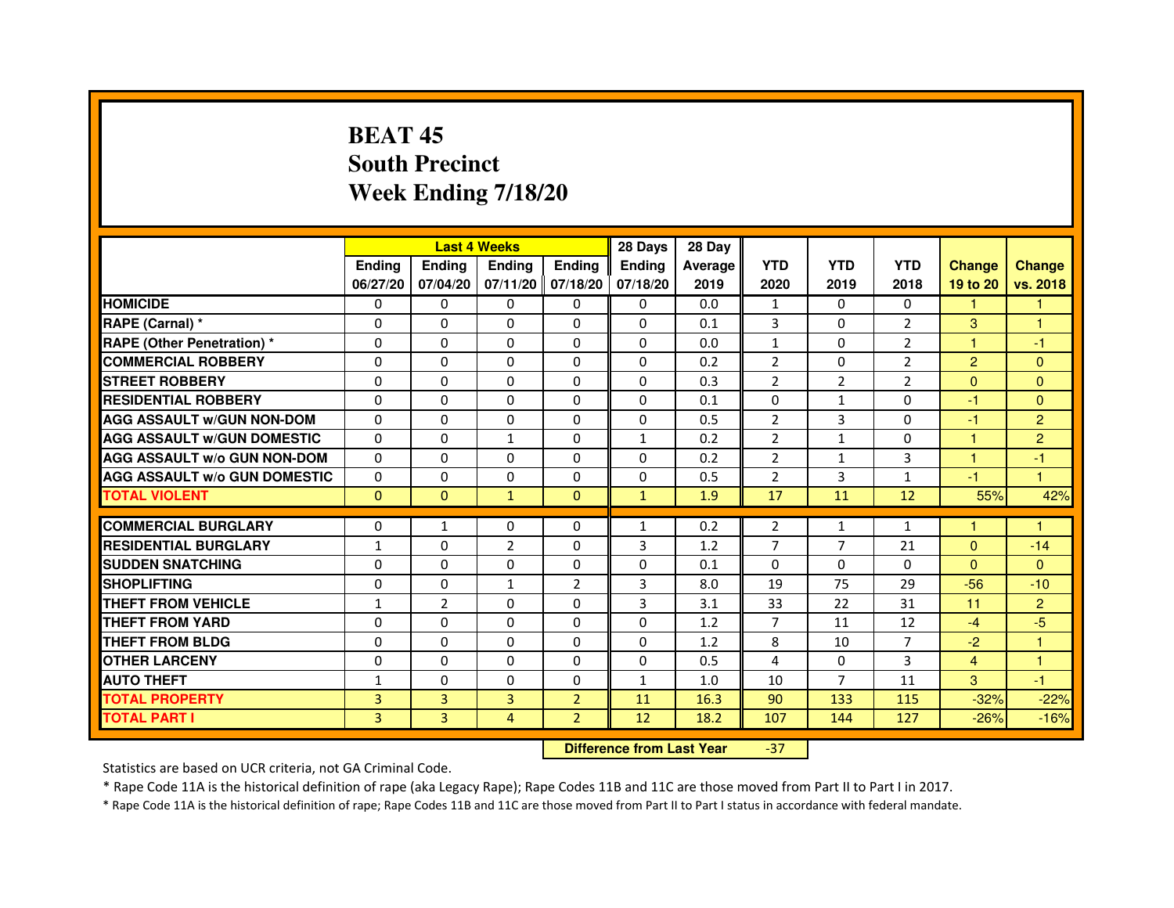# **BEAT 45 South PrecinctWeek Ending 7/18/20**

|                                     |               |                | <b>Last 4 Weeks</b> |                   | 28 Days       | 28 Day  |                |                |                |                      |                      |
|-------------------------------------|---------------|----------------|---------------------|-------------------|---------------|---------|----------------|----------------|----------------|----------------------|----------------------|
|                                     | <b>Endina</b> | <b>Ending</b>  | <b>Endina</b>       | <b>Endina</b>     | <b>Endina</b> | Average | <b>YTD</b>     | <b>YTD</b>     | <b>YTD</b>     | <b>Change</b>        | <b>Change</b>        |
|                                     | 06/27/20      | 07/04/20       |                     | 07/11/20 07/18/20 | 07/18/20      | 2019    | 2020           | 2019           | 2018           | 19 to 20             | vs. 2018             |
| <b>HOMICIDE</b>                     | 0             | 0              | 0                   | 0                 | 0             | 0.0     | $\mathbf{1}$   | $\Omega$       | 0              | 1                    |                      |
| RAPE (Carnal) *                     | $\Omega$      | $\Omega$       | $\Omega$            | $\Omega$          | $\Omega$      | 0.1     | $\overline{3}$ | $\Omega$       | $\overline{2}$ | 3                    | $\mathbf{1}$         |
| <b>RAPE (Other Penetration)*</b>    | $\Omega$      | $\Omega$       | $\Omega$            | $\Omega$          | $\Omega$      | 0.0     | $\mathbf{1}$   | $\Omega$       | 2              | $\blacktriangleleft$ | $-1$                 |
| <b>COMMERCIAL ROBBERY</b>           | 0             | 0              | 0                   | 0                 | $\Omega$      | 0.2     | $\overline{2}$ | 0              | $\overline{2}$ | $\overline{2}$       | $\Omega$             |
| <b>STREET ROBBERY</b>               | 0             | 0              | 0                   | 0                 | 0             | 0.3     | $\overline{2}$ | 2              | $\overline{2}$ | $\Omega$             | $\Omega$             |
| <b>RESIDENTIAL ROBBERY</b>          | $\Omega$      | $\Omega$       | $\Omega$            | $\Omega$          | $\Omega$      | 0.1     | $\Omega$       | $\mathbf{1}$   | $\Omega$       | $-1$                 | $\mathbf{0}$         |
| <b>AGG ASSAULT w/GUN NON-DOM</b>    | $\Omega$      | $\Omega$       | $\Omega$            | $\Omega$          | $\Omega$      | 0.5     | $\overline{2}$ | 3              | $\Omega$       | $-1$                 | $\overline{2}$       |
| <b>AGG ASSAULT W/GUN DOMESTIC</b>   | $\Omega$      | $\Omega$       | $\mathbf{1}$        | 0                 | $\mathbf{1}$  | 0.2     | $\overline{2}$ | $\mathbf{1}$   | $\Omega$       | $\blacktriangleleft$ | $\overline{2}$       |
| <b>AGG ASSAULT W/o GUN NON-DOM</b>  | $\Omega$      | $\Omega$       | $\Omega$            | $\Omega$          | $\Omega$      | 0.2     | $\overline{2}$ | 1              | 3              | $\blacktriangleleft$ | -1                   |
| <b>AGG ASSAULT W/o GUN DOMESTIC</b> | $\Omega$      | $\Omega$       | 0                   | $\Omega$          | 0             | 0.5     | $\overline{2}$ | 3              | $\mathbf{1}$   | $-1$                 | $\blacktriangleleft$ |
| <b>TOTAL VIOLENT</b>                | $\mathbf{0}$  | $\Omega$       | $\mathbf{1}$        | $\Omega$          | $\mathbf{1}$  | 1.9     | 17             | 11             | 12             | 55%                  | 42%                  |
|                                     |               |                |                     |                   |               |         |                |                |                |                      |                      |
| <b>COMMERCIAL BURGLARY</b>          | 0             | 1              | 0                   | 0                 | $\mathbf{1}$  | 0.2     | 2              | $\mathbf{1}$   | $\mathbf{1}$   | 1                    | 1                    |
| <b>RESIDENTIAL BURGLARY</b>         | $\mathbf{1}$  | 0              | $\overline{2}$      | $\Omega$          | 3             | 1.2     | 7              | $\overline{7}$ | 21             | $\Omega$             | $-14$                |
| <b>SUDDEN SNATCHING</b>             | 0             | $\Omega$       | 0                   | $\Omega$          | $\Omega$      | 0.1     | $\Omega$       | $\Omega$       | $\Omega$       | $\Omega$             | $\mathbf{0}$         |
| <b>SHOPLIFTING</b>                  | $\Omega$      | 0              | $\mathbf{1}$        | $\overline{2}$    | 3             | 8.0     | 19             | 75             | 29             | $-56$                | $-10$                |
| <b>THEFT FROM VEHICLE</b>           | $\mathbf{1}$  | $\overline{2}$ | 0                   | 0                 | 3             | 3.1     | 33             | 22             | 31             | 11                   | $\overline{2}$       |
| <b>THEFT FROM YARD</b>              | $\Omega$      | 0              | $\Omega$            | 0                 | $\Omega$      | 1.2     | $\overline{7}$ | 11             | 12             | $-4$                 | $-5$                 |
| <b>THEFT FROM BLDG</b>              | 0             | 0              | 0                   | $\mathbf{0}$      | $\Omega$      | 1.2     | 8              | 10             | $\overline{7}$ | $-2$                 | $\blacktriangleleft$ |
| <b>OTHER LARCENY</b>                | 0             | $\Omega$       | 0                   | $\Omega$          | $\Omega$      | 0.5     | 4              | $\Omega$       | 3              | 4                    | $\mathbf{1}$         |
| <b>AUTO THEFT</b>                   | 1             | 0              | $\mathbf 0$         | $\Omega$          | $\mathbf{1}$  | 1.0     | 10             | $\overline{7}$ | 11             | 3                    | $-1$                 |
| <b>TOTAL PROPERTY</b>               | 3             | 3              | 3                   | $\overline{2}$    | 11            | 16.3    | 90             | 133            | 115            | $-32%$               | $-22%$               |
| <b>TOTAL PART I</b>                 | 3             | 3              | 4                   | $\overline{2}$    | 12            | 18.2    | 107            | 144            | 127            | $-26%$               | $-16%$               |

 **Difference from Last Year**-37

Statistics are based on UCR criteria, not GA Criminal Code.

\* Rape Code 11A is the historical definition of rape (aka Legacy Rape); Rape Codes 11B and 11C are those moved from Part II to Part I in 2017.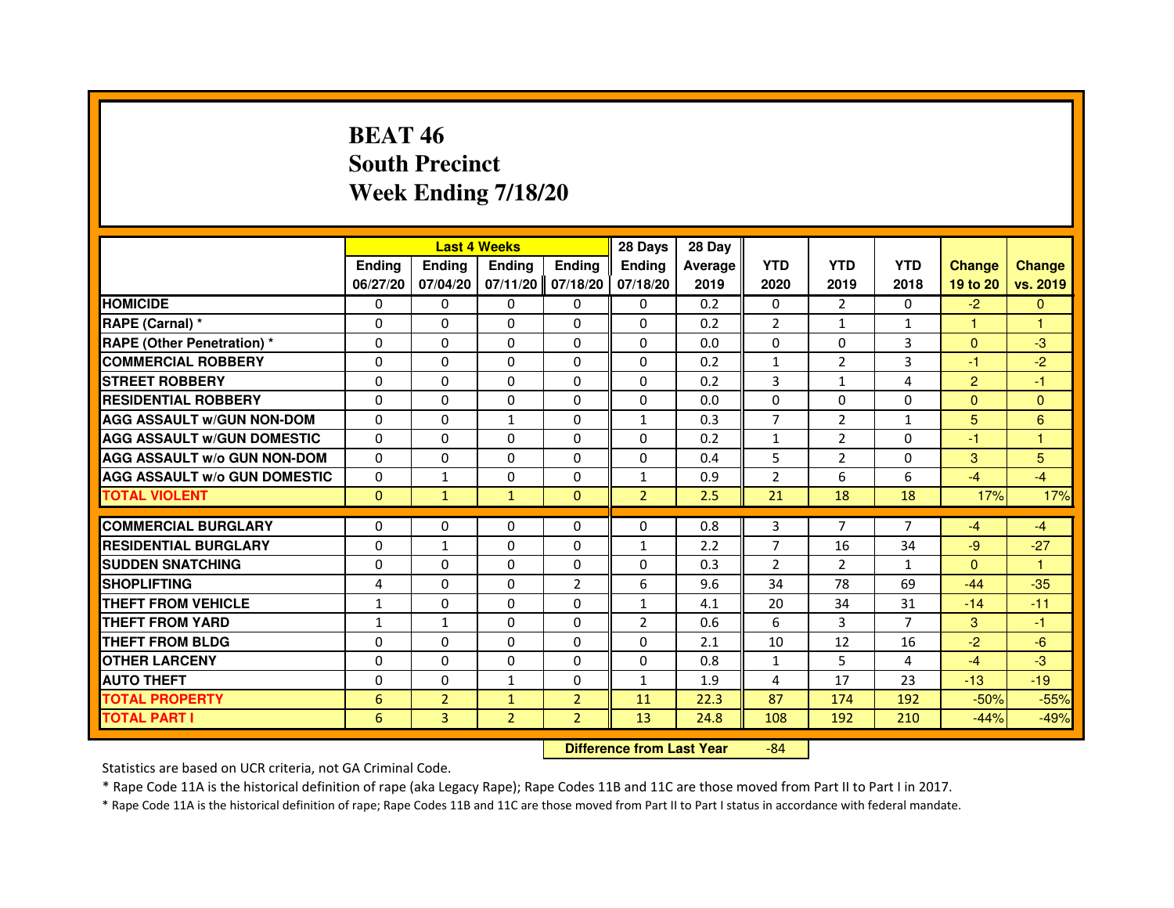# **BEAT 46 South PrecinctWeek Ending 7/18/20**

|                                     |               | <b>Last 4 Weeks</b> |                |                | 28 Days                          | 28 Day  |                |                |                |                |                |
|-------------------------------------|---------------|---------------------|----------------|----------------|----------------------------------|---------|----------------|----------------|----------------|----------------|----------------|
|                                     | <b>Ending</b> | <b>Ending</b>       | <b>Ending</b>  | <b>Ending</b>  | <b>Ending</b>                    | Average | <b>YTD</b>     | <b>YTD</b>     | <b>YTD</b>     | <b>Change</b>  | <b>Change</b>  |
|                                     | 06/27/20      | 07/04/20            | 07/11/20       | 07/18/20       | 07/18/20                         | 2019    | 2020           | 2019           | 2018           | 19 to 20       | vs. 2019       |
| <b>HOMICIDE</b>                     | 0             | $\Omega$            | $\Omega$       | 0              | 0                                | 0.2     | 0              | $\mathcal{P}$  | $\Omega$       | $-2$           | $\Omega$       |
| RAPE (Carnal) *                     | 0             | $\mathbf{0}$        | 0              | 0              | 0                                | 0.2     | 2              | $\mathbf{1}$   | $\mathbf{1}$   |                |                |
| RAPE (Other Penetration) *          | $\Omega$      | $\Omega$            | $\Omega$       | $\Omega$       | $\Omega$                         | 0.0     | $\Omega$       | $\mathbf{0}$   | 3              | $\mathbf{0}$   | $-3$           |
| <b>COMMERCIAL ROBBERY</b>           | $\Omega$      | $\Omega$            | $\Omega$       | $\Omega$       | $\Omega$                         | 0.2     | $\mathbf{1}$   | $\overline{2}$ | 3              | $-1$           | $-2$           |
| <b>STREET ROBBERY</b>               | $\Omega$      | $\Omega$            | $\Omega$       | $\Omega$       | $\Omega$                         | 0.2     | 3              | $\mathbf{1}$   | $\overline{a}$ | $\overline{2}$ | $-1$           |
| <b>RESIDENTIAL ROBBERY</b>          | 0             | 0                   | 0              | 0              | 0                                | 0.0     | 0              | 0              | $\Omega$       | $\mathbf{0}$   | $\overline{0}$ |
| <b>AGG ASSAULT w/GUN NON-DOM</b>    | $\Omega$      | $\Omega$            | $\mathbf{1}$   | $\Omega$       | $\mathbf{1}$                     | 0.3     | $\overline{7}$ | $\overline{2}$ | $\mathbf{1}$   | 5              | 6              |
| <b>AGG ASSAULT W/GUN DOMESTIC</b>   | $\Omega$      | $\Omega$            | $\Omega$       | $\Omega$       | $\Omega$                         | 0.2     | $\mathbf{1}$   | $\overline{2}$ | $\Omega$       | $-1$           | 1              |
| <b>AGG ASSAULT W/o GUN NON-DOM</b>  | $\Omega$      | $\Omega$            | $\Omega$       | $\Omega$       | $\Omega$                         | 0.4     | 5              | 2              | $\Omega$       | 3              | 5              |
| <b>AGG ASSAULT w/o GUN DOMESTIC</b> | $\Omega$      | $\mathbf{1}$        | 0              | $\Omega$       | $\mathbf{1}$                     | 0.9     | $\overline{2}$ | 6              | 6              | $-4$           | $-4$           |
| <b>TOTAL VIOLENT</b>                | $\mathbf 0$   | $\mathbf{1}$        | $\mathbf{1}$   | $\mathbf{0}$   | $\overline{2}$                   | 2.5     | 21             | 18             | 18             | 17%            | 17%            |
| <b>COMMERCIAL BURGLARY</b>          | 0             | 0                   | 0              | 0              | 0                                | 0.8     | 3              | 7              | 7              | $-4$           | $-4$           |
| <b>RESIDENTIAL BURGLARY</b>         | 0             | 1                   | $\Omega$       | $\Omega$       | $\mathbf{1}$                     | 2.2     | 7              | 16             | 34             | $-9$           | $-27$          |
| <b>SUDDEN SNATCHING</b>             | 0             | $\Omega$            | $\Omega$       | $\Omega$       | $\Omega$                         | 0.3     | $\overline{2}$ | $\overline{2}$ | $\mathbf{1}$   | $\Omega$       | $\mathbf{1}$   |
| <b>SHOPLIFTING</b>                  | 4             | $\Omega$            | 0              | $\overline{2}$ | 6                                | 9.6     | 34             | 78             | 69             | $-44$          | $-35$          |
| <b>THEFT FROM VEHICLE</b>           | 1             | 0                   | 0              | $\Omega$       | $\mathbf{1}$                     | 4.1     | 20             | 34             | 31             | $-14$          | $-11$          |
| <b>THEFT FROM YARD</b>              | $\mathbf{1}$  | $\mathbf{1}$        | $\Omega$       | $\Omega$       | $\overline{2}$                   | 0.6     | 6              | 3              | 7              | 3              | $-1$           |
| <b>THEFT FROM BLDG</b>              | $\Omega$      | $\Omega$            | $\Omega$       | $\Omega$       | $\Omega$                         | 2.1     | 10             | 12             | 16             | $-2$           | $-6$           |
| <b>OTHER LARCENY</b>                | 0             | $\Omega$            | $\Omega$       | 0              | 0                                | 0.8     | $\mathbf{1}$   | 5              | 4              | $-4$           | $-3$           |
| <b>AUTO THEFT</b>                   | $\Omega$      | $\Omega$            | $\mathbf{1}$   | $\Omega$       | $\mathbf{1}$                     | 1.9     | 4              | 17             | 23             | $-13$          | $-19$          |
| <b>TOTAL PROPERTY</b>               | 6             | $\overline{2}$      | $\mathbf{1}$   | $\overline{2}$ | 11                               | 22.3    | 87             | 174            | 192            | $-50%$         | $-55%$         |
| <b>TOTAL PART I</b>                 | 6             | 3                   | $\overline{2}$ | $\overline{2}$ | 13                               | 24.8    | 108            | 192            | 210            | $-44%$         | $-49%$         |
|                                     |               |                     |                |                | <b>Difference from Last Year</b> |         | $-84$          |                |                |                |                |

 **Difference from Last Year**

Statistics are based on UCR criteria, not GA Criminal Code.

\* Rape Code 11A is the historical definition of rape (aka Legacy Rape); Rape Codes 11B and 11C are those moved from Part II to Part I in 2017.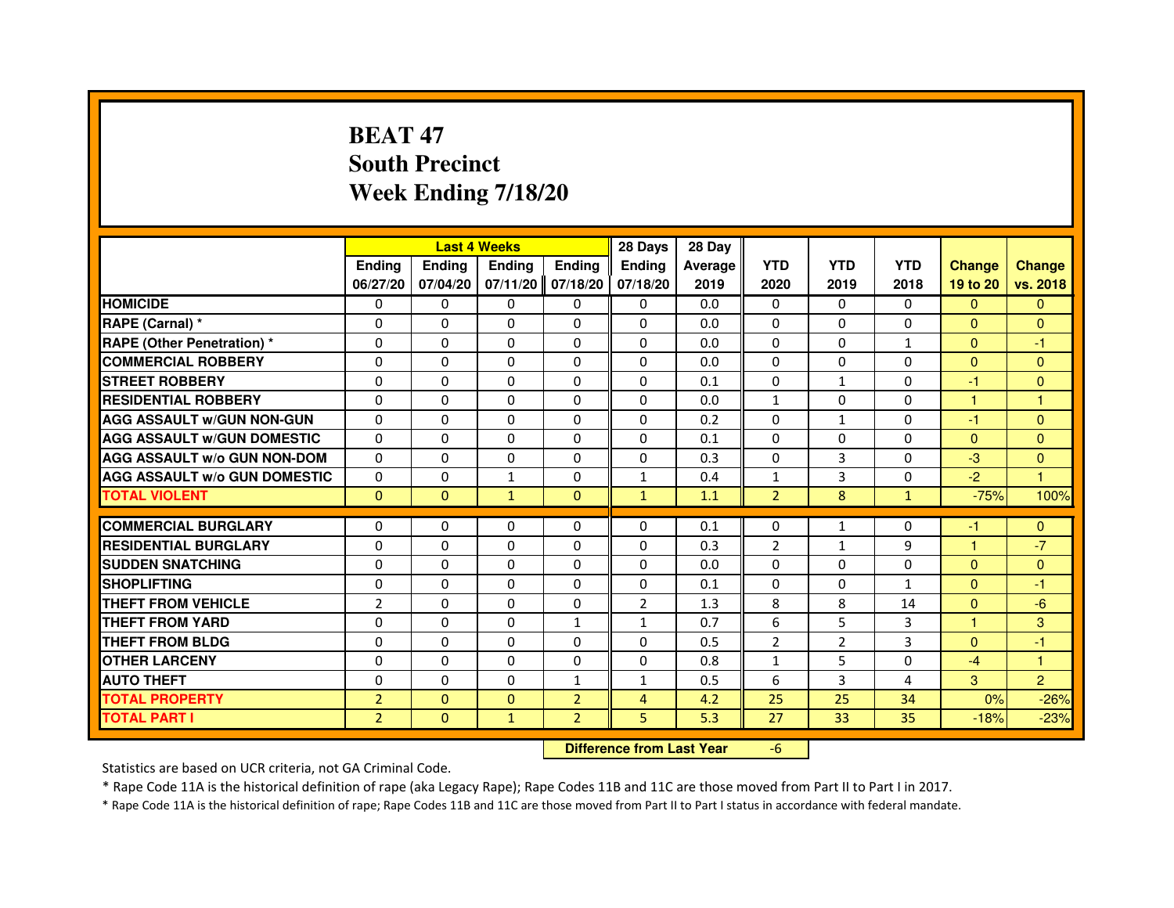# **BEAT 47 South PrecinctWeek Ending 7/18/20**

|                                     |                | <b>Last 4 Weeks</b> |                                  |                | 28 Days        | 28 Day  |                |                |              |                |                |
|-------------------------------------|----------------|---------------------|----------------------------------|----------------|----------------|---------|----------------|----------------|--------------|----------------|----------------|
|                                     | <b>Ending</b>  | Ending              | Ending                           | Ending         | Ending         | Average | <b>YTD</b>     | <b>YTD</b>     | <b>YTD</b>   | <b>Change</b>  | <b>Change</b>  |
|                                     | 06/27/20       | 07/04/20            | 07/11/20                         | 07/18/20       | 07/18/20       | 2019    | 2020           | 2019           | 2018         | 19 to 20       | vs. 2018       |
| <b>HOMICIDE</b>                     | 0              | $\Omega$            | $\Omega$                         | $\Omega$       | $\mathbf{0}$   | 0.0     | $\mathbf{0}$   | $\Omega$       | $\Omega$     | $\mathbf{0}$   | $\mathbf{0}$   |
| RAPE (Carnal) *                     | 0              | 0                   | 0                                | 0              | $\Omega$       | 0.0     | $\Omega$       | 0              | 0            | $\Omega$       | $\mathbf{0}$   |
| RAPE (Other Penetration) *          | $\Omega$       | $\Omega$            | $\Omega$                         | $\Omega$       | $\Omega$       | 0.0     | $\Omega$       | $\Omega$       | $\mathbf{1}$ | $\Omega$       | -1             |
| <b>COMMERCIAL ROBBERY</b>           | 0              | $\Omega$            | $\Omega$                         | $\Omega$       | 0              | 0.0     | $\Omega$       | $\Omega$       | 0            | $\overline{0}$ | $\mathbf{0}$   |
| <b>STREET ROBBERY</b>               | $\Omega$       | $\Omega$            | $\Omega$                         | $\Omega$       | $\Omega$       | 0.1     | $\Omega$       | $\mathbf{1}$   | $\Omega$     | $-1$           | $\mathbf{0}$   |
| <b>RESIDENTIAL ROBBERY</b>          | 0              | 0                   | 0                                | 0              | 0              | 0.0     | $\mathbf{1}$   | 0              | 0            | $\mathbf{1}$   | 1              |
| <b>AGG ASSAULT w/GUN NON-GUN</b>    | $\Omega$       | $\Omega$            | $\Omega$                         | $\Omega$       | $\Omega$       | 0.2     | 0              | $\mathbf{1}$   | 0            | $-1$           | $\overline{0}$ |
| <b>AGG ASSAULT W/GUN DOMESTIC</b>   | $\Omega$       | $\Omega$            | $\Omega$                         | $\Omega$       | $\Omega$       | 0.1     | $\Omega$       | $\Omega$       | $\Omega$     | $\Omega$       | $\mathbf{0}$   |
| <b>AGG ASSAULT W/o GUN NON-DOM</b>  | $\Omega$       | $\Omega$            | $\Omega$                         | $\Omega$       | $\Omega$       | 0.3     | $\Omega$       | $\overline{3}$ | 0            | $-3$           | $\Omega$       |
| <b>AGG ASSAULT W/o GUN DOMESTIC</b> | $\Omega$       | 0                   | $\mathbf{1}$                     | $\Omega$       | $\mathbf{1}$   | 0.4     | $\mathbf{1}$   | 3              | $\Omega$     | $-2$           | $\mathbf{1}$   |
| <b>TOTAL VIOLENT</b>                | $\mathbf{0}$   | $\mathbf{0}$        | $\mathbf{1}$                     | $\mathbf{0}$   | $\mathbf{1}$   | 1.1     | $\overline{2}$ | 8              | $\mathbf{1}$ | $-75%$         | 100%           |
| <b>COMMERCIAL BURGLARY</b>          | 0              | 0                   | 0                                | 0              | $\Omega$       | 0.1     | $\Omega$       | $\mathbf{1}$   | 0            | $-1$           | $\mathbf{0}$   |
| <b>RESIDENTIAL BURGLARY</b>         | $\Omega$       | $\Omega$            | $\Omega$                         | $\Omega$       | $\Omega$       | 0.3     | $\overline{2}$ | $\mathbf{1}$   | 9            | $\mathbf{1}$   | $-7$           |
| <b>SUDDEN SNATCHING</b>             | $\Omega$       | $\Omega$            | $\Omega$                         | $\Omega$       | $\Omega$       | 0.0     | $\Omega$       | $\Omega$       | $\Omega$     | $\Omega$       | $\Omega$       |
| <b>SHOPLIFTING</b>                  | 0              | 0                   | 0                                | 0              | 0              | 0.1     | 0              | 0              | $\mathbf{1}$ | $\mathbf{0}$   | -1             |
| <b>THEFT FROM VEHICLE</b>           | $\overline{2}$ | $\Omega$            | $\Omega$                         | $\Omega$       | $\overline{2}$ | 1.3     | 8              | 8              | 14           | $\Omega$       | $-6$           |
| <b>THEFT FROM YARD</b>              | 0              | $\Omega$            | $\Omega$                         | $\mathbf{1}$   | $\mathbf{1}$   | 0.7     | 6              | 5              | 3            | $\mathbf{1}$   | 3              |
| <b>THEFT FROM BLDG</b>              | $\Omega$       | $\Omega$            | $\Omega$                         | $\Omega$       | $\Omega$       | 0.5     | $\overline{2}$ | $\overline{2}$ | 3            | $\Omega$       | $-1$           |
| <b>OTHER LARCENY</b>                | 0              | $\Omega$            | $\Omega$                         | 0              | 0              | 0.8     | $\mathbf{1}$   | 5              | 0            | $-4$           | $\mathbf{1}$   |
| <b>AUTO THEFT</b>                   | $\Omega$       | $\Omega$            | $\Omega$                         | $\mathbf{1}$   | $\mathbf{1}$   | 0.5     | 6              | 3              | 4            | 3              | $\overline{2}$ |
| <b>TOTAL PROPERTY</b>               | $\overline{2}$ | $\Omega$            | $\Omega$                         | $\overline{2}$ | $\overline{4}$ | 4.2     | 25             | 25             | 34           | 0%             | $-26%$         |
| <b>TOTAL PART I</b>                 | $\overline{2}$ | $\mathbf{0}$        | $\mathbf{1}$                     | $\overline{2}$ | 5              | 5.3     | 27             | 33             | 35           | $-18%$         | $-23%$         |
|                                     |                |                     | <b>Difference from Last Year</b> |                | $-6$           |         |                |                |              |                |                |

 **Difference from Last Year**

Statistics are based on UCR criteria, not GA Criminal Code.

\* Rape Code 11A is the historical definition of rape (aka Legacy Rape); Rape Codes 11B and 11C are those moved from Part II to Part I in 2017.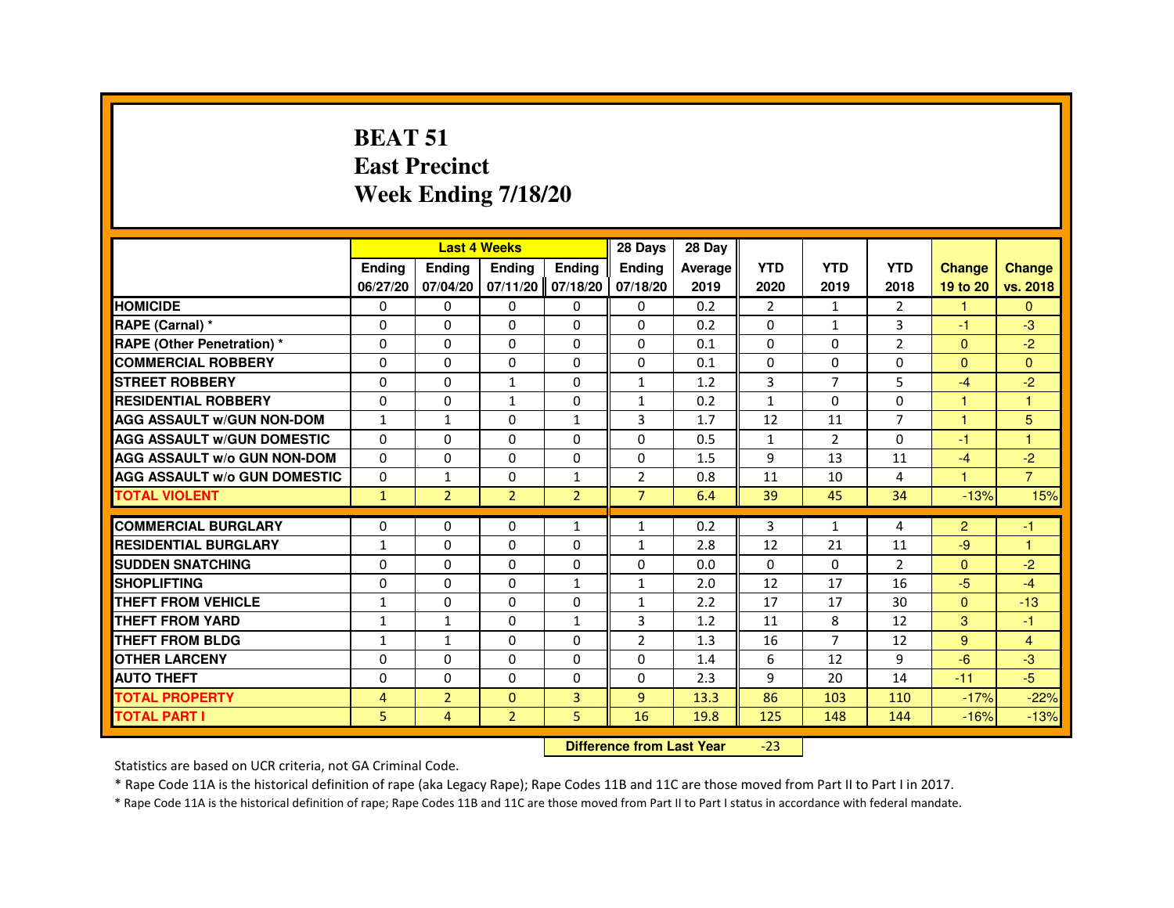#### **BEAT 51 East PrecinctWeek Ending 7/18/20**

|                                     |              |                                  | <b>Last 4 Weeks</b> |                   | 28 Days        | 28 Day  |                |                |                |                      |                |
|-------------------------------------|--------------|----------------------------------|---------------------|-------------------|----------------|---------|----------------|----------------|----------------|----------------------|----------------|
|                                     | Ending       | Ending                           | Ending              | Ending            | Ending         | Average | <b>YTD</b>     | <b>YTD</b>     | <b>YTD</b>     | <b>Change</b>        | <b>Change</b>  |
|                                     | 06/27/20     | 07/04/20                         |                     | 07/11/20 07/18/20 | 07/18/20       | 2019    | 2020           | 2019           | 2018           | 19 to 20             | vs. 2018       |
| <b>HOMICIDE</b>                     | 0            | 0                                | 0                   | $\Omega$          | 0              | 0.2     | $\overline{2}$ | $\mathbf{1}$   | $\overline{2}$ | 1                    | $\Omega$       |
| RAPE (Carnal) *                     | 0            | $\Omega$                         | $\Omega$            | $\Omega$          | $\Omega$       | 0.2     | 0              | $\mathbf{1}$   | 3              | $-1$                 | $-3$           |
| <b>RAPE (Other Penetration) *</b>   | 0            | 0                                | 0                   | 0                 | 0              | 0.1     | $\Omega$       | $\Omega$       | $\overline{2}$ | $\Omega$             | $-2$           |
| <b>COMMERCIAL ROBBERY</b>           | 0            | $\Omega$                         | $\Omega$            | $\Omega$          | $\mathbf 0$    | 0.1     | $\Omega$       | $\Omega$       | 0              | $\Omega$             | $\Omega$       |
| <b>STREET ROBBERY</b>               | $\Omega$     | $\Omega$                         | $\mathbf{1}$        | $\Omega$          | $\mathbf{1}$   | 1.2     | 3              | $\overline{7}$ | 5              | $-4$                 | $-2$           |
| <b>RESIDENTIAL ROBBERY</b>          | 0            | 0                                | $\mathbf{1}$        | 0                 | $\mathbf{1}$   | 0.2     | $\mathbf{1}$   | 0              | 0              | $\blacktriangleleft$ | $\overline{1}$ |
| <b>AGG ASSAULT w/GUN NON-DOM</b>    | $\mathbf{1}$ | $\mathbf{1}$                     | $\Omega$            | $\mathbf{1}$      | 3              | 1.7     | 12             | 11             | $\overline{7}$ | $\mathbf{1}$         | 5              |
| <b>AGG ASSAULT W/GUN DOMESTIC</b>   | $\Omega$     | $\Omega$                         | $\Omega$            | $\Omega$          | $\Omega$       | 0.5     | 1              | $\overline{2}$ | $\Omega$       | $-1$                 | $\overline{1}$ |
| <b>AGG ASSAULT w/o GUN NON-DOM</b>  | $\Omega$     | $\Omega$                         | $\Omega$            | $\Omega$          | $\Omega$       | 1.5     | 9              | 13             | 11             | $-4$                 | $-2$           |
| <b>AGG ASSAULT W/o GUN DOMESTIC</b> | $\Omega$     | $\mathbf{1}$                     | 0                   | $\mathbf{1}$      | $\overline{2}$ | 0.8     | 11             | 10             | 4              | $\blacktriangleleft$ | $\overline{7}$ |
| <b>TOTAL VIOLENT</b>                | $\mathbf{1}$ | $\overline{2}$                   | $\overline{2}$      | $\overline{2}$    | $\overline{7}$ | 6.4     | 39             | 45             | 34             | $-13%$               | 15%            |
| <b>COMMERCIAL BURGLARY</b>          | 0            | 0                                | 0                   | 1                 | $\mathbf{1}$   | 0.2     | 3              | 1              | 4              | $\overline{2}$       | $-1$           |
| <b>RESIDENTIAL BURGLARY</b>         | $\mathbf{1}$ | $\Omega$                         | $\Omega$            | $\Omega$          | $\mathbf{1}$   | 2.8     | 12             | 21             | 11             | $-9$                 | $\overline{1}$ |
| <b>SUDDEN SNATCHING</b>             | 0            | $\Omega$                         | $\Omega$            | $\Omega$          | $\Omega$       | 0.0     | $\Omega$       | $\Omega$       | $\overline{2}$ | $\Omega$             | $-2$           |
| <b>SHOPLIFTING</b>                  | 0            | 0                                | 0                   | $\mathbf{1}$      | $\mathbf{1}$   | 2.0     | 12             | 17             | 16             | $-5$                 | $-4$           |
| THEFT FROM VEHICLE                  | $\mathbf{1}$ | $\Omega$                         | $\Omega$            | $\Omega$          | $\mathbf{1}$   | 2.2     | 17             | 17             | 30             | $\Omega$             | $-13$          |
| <b>THEFT FROM YARD</b>              | $\mathbf{1}$ | $\mathbf{1}$                     | $\Omega$            | $\mathbf{1}$      | 3              | 1.2     | 11             | 8              | 12             | 3                    | $-1$           |
| THEFT FROM BLDG                     | 1            | $\mathbf{1}$                     | $\Omega$            | $\Omega$          | $\overline{2}$ | 1.3     | 16             | $\overline{7}$ | 12             | 9                    | $\overline{4}$ |
| <b>OTHER LARCENY</b>                | 0            | $\Omega$                         | 0                   | $\Omega$          | $\Omega$       | 1.4     | 6              | 12             | 9              | $-6$                 | $-3$           |
| <b>AUTO THEFT</b>                   | $\Omega$     | $\Omega$                         | $\Omega$            | $\Omega$          | $\Omega$       | 2.3     | 9              | 20             | 14             | $-11$                | $-5$           |
| <b>TOTAL PROPERTY</b>               | 4            | $\overline{2}$                   | $\Omega$            | 3                 | $\overline{9}$ | 13.3    | 86             | 103            | 110            | $-17%$               | $-22%$         |
| <b>TOTAL PART I</b>                 | 5            | $\overline{4}$                   | $\overline{2}$      | 5.                | 16             | 19.8    | 125            | 148            | 144            | $-16%$               | $-13%$         |
|                                     |              | <b>Difference from Last Year</b> |                     | $-23$             |                |         |                |                |                |                      |                |

 **Difference from Last Year**

Statistics are based on UCR criteria, not GA Criminal Code.

\* Rape Code 11A is the historical definition of rape (aka Legacy Rape); Rape Codes 11B and 11C are those moved from Part II to Part I in 2017.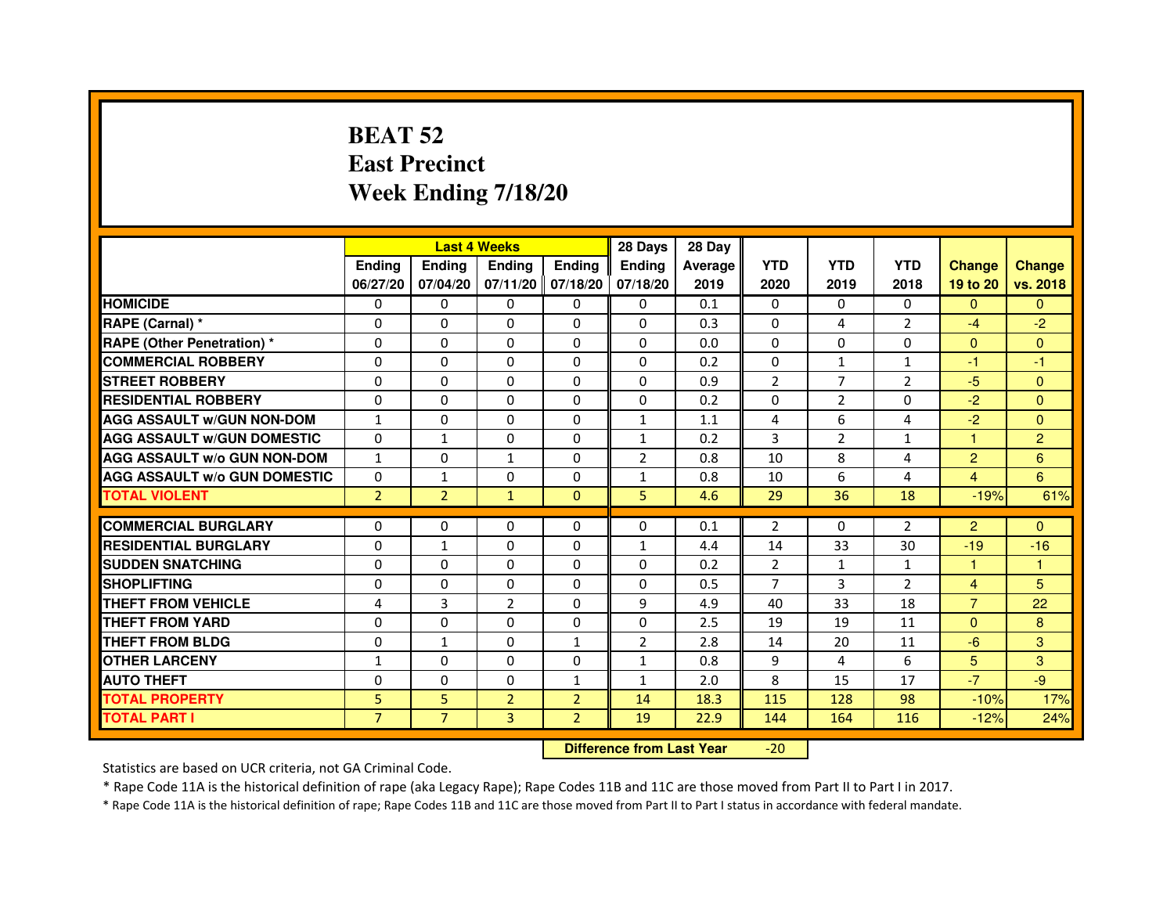# **BEAT 52 East PrecinctWeek Ending 7/18/20**

|                                     |                | <b>Last 4 Weeks</b> |                |                   | 28 Days        | 28 Day         |                |                |                |                |                |
|-------------------------------------|----------------|---------------------|----------------|-------------------|----------------|----------------|----------------|----------------|----------------|----------------|----------------|
|                                     | <b>Endina</b>  | Ending              | <b>Endina</b>  | <b>Endina</b>     | <b>Endina</b>  | <b>Average</b> | <b>YTD</b>     | <b>YTD</b>     | <b>YTD</b>     | <b>Change</b>  | <b>Change</b>  |
|                                     | 06/27/20       | 07/04/20            |                | 07/11/20 07/18/20 | 07/18/20       | 2019           | 2020           | 2019           | 2018           | 19 to 20       | vs. 2018       |
| <b>HOMICIDE</b>                     | 0              | $\Omega$            | $\Omega$       | 0                 | 0              | 0.1            | 0              | 0              | 0              | $\mathbf{0}$   | $\Omega$       |
| RAPE (Carnal) *                     | $\Omega$       | $\Omega$            | $\Omega$       | $\Omega$          | $\Omega$       | 0.3            | $\Omega$       | 4              | $\overline{2}$ | $-4$           | $-2$           |
| RAPE (Other Penetration) *          | $\Omega$       | $\Omega$            | $\Omega$       | $\Omega$          | $\Omega$       | 0.0            | $\Omega$       | $\Omega$       | $\Omega$       | $\Omega$       | $\Omega$       |
| <b>COMMERCIAL ROBBERY</b>           | $\Omega$       | $\Omega$            | $\Omega$       | $\Omega$          | $\Omega$       | 0.2            | $\Omega$       | $\mathbf{1}$   | 1              | $-1$           | $-1$           |
| <b>STREET ROBBERY</b>               | $\Omega$       | $\Omega$            | $\Omega$       | $\Omega$          | $\Omega$       | 0.9            | $\overline{2}$ | 7              | $\overline{2}$ | $-5$           | $\Omega$       |
| <b>RESIDENTIAL ROBBERY</b>          | 0              | $\Omega$            | $\Omega$       | $\Omega$          | $\Omega$       | 0.2            | $\Omega$       | $\overline{2}$ | $\Omega$       | $-2$           | $\Omega$       |
| <b>AGG ASSAULT W/GUN NON-DOM</b>    | $\mathbf{1}$   | $\Omega$            | $\Omega$       | $\Omega$          | $\mathbf{1}$   | 1.1            | 4              | 6              | 4              | $-2$           | $\mathbf{0}$   |
| <b>AGG ASSAULT W/GUN DOMESTIC</b>   | $\Omega$       | $\mathbf{1}$        | $\Omega$       | 0                 | $\mathbf{1}$   | 0.2            | 3              | $\overline{2}$ | $\mathbf{1}$   | 1              | $\overline{2}$ |
| <b>AGG ASSAULT W/o GUN NON-DOM</b>  | $\mathbf{1}$   | $\Omega$            | 1              | $\Omega$          | $\overline{2}$ | 0.8            | 10             | 8              | 4              | $\overline{2}$ | 6              |
| <b>AGG ASSAULT W/o GUN DOMESTIC</b> | $\Omega$       | $\mathbf{1}$        | $\Omega$       | $\Omega$          | 1              | 0.8            | 10             | 6              | 4              | 4              | $6\phantom{a}$ |
| <b>TOTAL VIOLENT</b>                | $\overline{2}$ | $\overline{2}$      | $\mathbf{1}$   | $\Omega$          | 5.             | 4.6            | 29             | 36             | 18             | $-19%$         | 61%            |
|                                     |                |                     |                |                   |                |                |                |                |                |                |                |
| <b>COMMERCIAL BURGLARY</b>          | $\Omega$       | $\Omega$            | $\Omega$       | $\Omega$          | $\Omega$       | 0.1            | 2              | $\Omega$       | $\overline{2}$ | $\overline{2}$ | $\Omega$       |
| <b>RESIDENTIAL BURGLARY</b>         | $\Omega$       | $\mathbf{1}$        | $\Omega$       | $\Omega$          | $\mathbf{1}$   | 4.4            | 14             | 33             | 30             | $-19$          | $-16$          |
| <b>SUDDEN SNATCHING</b>             | $\Omega$       | $\Omega$            | $\Omega$       | $\Omega$          | $\Omega$       | 0.2            | $\overline{2}$ | $\mathbf{1}$   | $\mathbf{1}$   | 1              | 1              |
| <b>SHOPLIFTING</b>                  | $\Omega$       | 0                   | 0              | 0                 | 0              | 0.5            | 7              | 3              | $\overline{2}$ | $\overline{4}$ | 5              |
| <b>THEFT FROM VEHICLE</b>           | 4              | 3                   | $\overline{2}$ | $\Omega$          | 9              | 4.9            | 40             | 33             | 18             | $\overline{7}$ | 22             |
| <b>THEFT FROM YARD</b>              | $\Omega$       | $\Omega$            | $\Omega$       | $\Omega$          | $\Omega$       | 2.5            | 19             | 19             | 11             | $\Omega$       | 8              |
| <b>THEFT FROM BLDG</b>              | 0              | 1                   | 0              | 1                 | $\overline{2}$ | 2.8            | 14             | 20             | 11             | -6             | 3              |
| <b>OTHER LARCENY</b>                | $\mathbf{1}$   | $\Omega$            | $\Omega$       | $\Omega$          | $\mathbf{1}$   | 0.8            | 9              | 4              | 6              | 5              | 3              |
| <b>AUTO THEFT</b>                   | $\Omega$       | $\Omega$            | $\Omega$       | $\mathbf{1}$      | $\mathbf{1}$   | 2.0            | 8              | 15             | 17             | $-7$           | $-9$           |
| <b>TOTAL PROPERTY</b>               | 5              | 5                   | $\overline{2}$ | $\overline{2}$    | 14             | 18.3           | 115            | 128            | 98             | $-10%$         | 17%            |
| <b>TOTAL PART I</b>                 | $\overline{7}$ | $\overline{7}$      | $\overline{3}$ | $\overline{2}$    | 19             | 22.9           | 144            | 164            | 116            | $-12%$         | 24%            |

 **Difference from Last Year**-20

Statistics are based on UCR criteria, not GA Criminal Code.

\* Rape Code 11A is the historical definition of rape (aka Legacy Rape); Rape Codes 11B and 11C are those moved from Part II to Part I in 2017.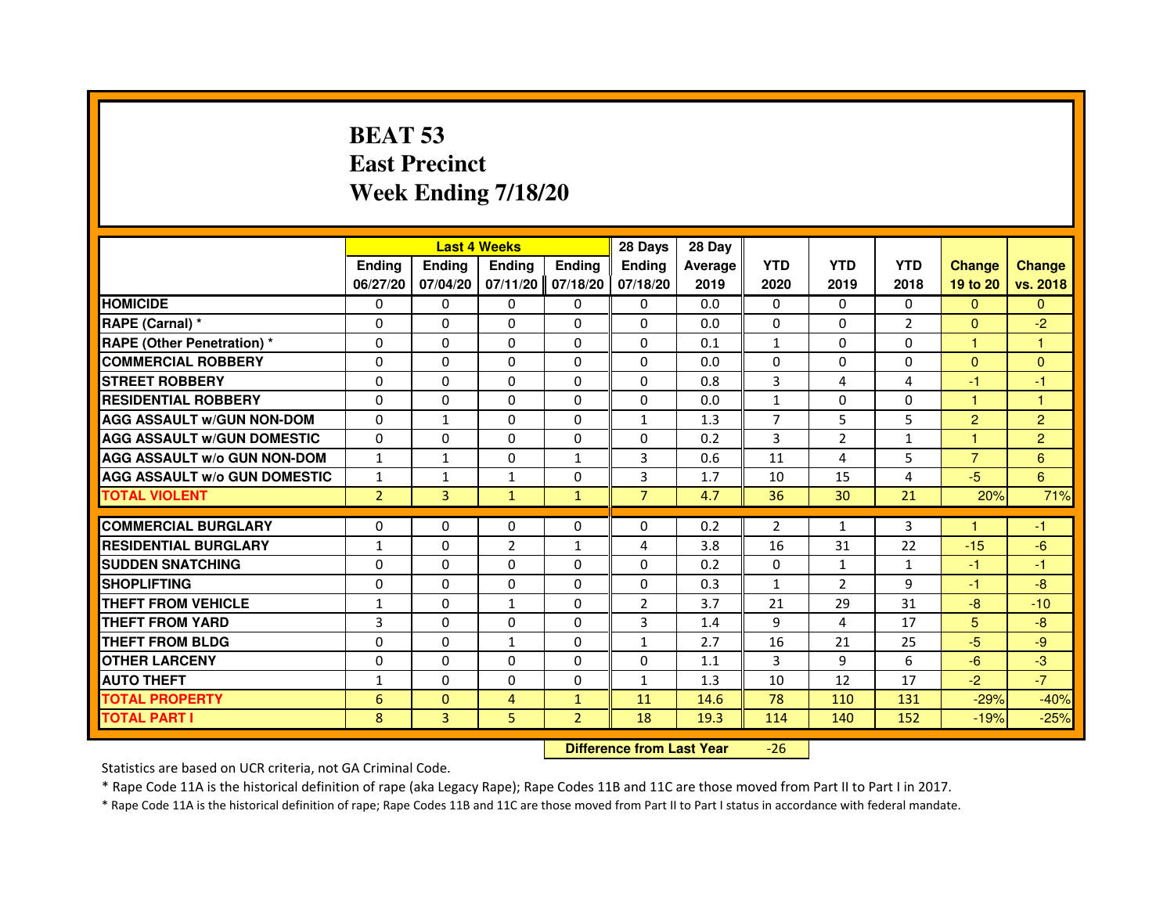# **BEAT 53 East PrecinctWeek Ending 7/18/20**

|                                     |                |               | <b>Last 4 Weeks</b> |                | 28 Days        | 28 Day  |                |                |                |                |                |
|-------------------------------------|----------------|---------------|---------------------|----------------|----------------|---------|----------------|----------------|----------------|----------------|----------------|
|                                     | <b>Ending</b>  | <b>Endina</b> | <b>Ending</b>       | <b>Ending</b>  | <b>Endina</b>  | Average | <b>YTD</b>     | <b>YTD</b>     | <b>YTD</b>     | <b>Change</b>  | <b>Change</b>  |
|                                     | 06/27/20       | 07/04/20      | $07/11/20$ 07/18/20 |                | 07/18/20       | 2019    | 2020           | 2019           | 2018           | 19 to 20       | vs. 2018       |
| <b>HOMICIDE</b>                     | 0              | $\Omega$      | 0                   | $\Omega$       | $\mathbf{0}$   | 0.0     | $\Omega$       | 0              | 0              | $\Omega$       | $\Omega$       |
| RAPE (Carnal) *                     | $\Omega$       | $\Omega$      | $\Omega$            | $\Omega$       | $\Omega$       | 0.0     | $\Omega$       | $\Omega$       | $\overline{2}$ | $\Omega$       | $-2$           |
| <b>RAPE (Other Penetration) *</b>   | 0              | 0             | 0                   | $\mathbf{0}$   | $\mathbf{0}$   | 0.1     | $\mathbf{1}$   | 0              | 0              | $\mathbf{1}$   | 1              |
| <b>COMMERCIAL ROBBERY</b>           | 0              | $\Omega$      | 0                   | $\Omega$       | $\Omega$       | 0.0     | $\Omega$       | 0              | $\Omega$       | $\Omega$       | $\Omega$       |
| <b>STREET ROBBERY</b>               | $\Omega$       | $\Omega$      | $\Omega$            | $\Omega$       | $\Omega$       | 0.8     | 3              | 4              | 4              | $-1$           | $-1$           |
| <b>RESIDENTIAL ROBBERY</b>          | $\Omega$       | $\Omega$      | 0                   | $\Omega$       | $\Omega$       | 0.0     | $\mathbf{1}$   | $\Omega$       | $\Omega$       | $\mathbf{1}$   | $\mathbf{1}$   |
| <b>AGG ASSAULT w/GUN NON-DOM</b>    | $\Omega$       | $\mathbf{1}$  | $\Omega$            | $\Omega$       | $\mathbf{1}$   | 1.3     | $\overline{7}$ | 5              | 5              | $\overline{2}$ | $\overline{2}$ |
| <b>AGG ASSAULT W/GUN DOMESTIC</b>   | $\Omega$       | $\Omega$      | 0                   | $\Omega$       | $\Omega$       | 0.2     | 3              | 2              | $\mathbf{1}$   | $\mathbf{1}$   | $\overline{2}$ |
| <b>AGG ASSAULT w/o GUN NON-DOM</b>  | 1              | $\mathbf{1}$  | 0                   | 1              | 3              | 0.6     | 11             | 4              | 5              | $\overline{7}$ | 6              |
| <b>AGG ASSAULT W/o GUN DOMESTIC</b> | $\mathbf{1}$   | $\mathbf{1}$  | 1                   | 0              | 3              | 1.7     | 10             | 15             | $\overline{a}$ | $-5$           | 6              |
| <b>TOTAL VIOLENT</b>                | $\overline{2}$ | 3             | $\mathbf{1}$        | $\mathbf{1}$   | $\overline{7}$ | 4.7     | 36             | 30             | 21             | 20%            | 71%            |
|                                     |                |               |                     |                |                |         |                |                |                |                |                |
| <b>COMMERCIAL BURGLARY</b>          | 0              | 0             | 0                   | 0              | 0              | 0.2     | $\overline{2}$ | $\mathbf{1}$   | 3              |                | $-1$           |
| <b>RESIDENTIAL BURGLARY</b>         | 1              | $\Omega$      | $\overline{2}$      | $\mathbf{1}$   | 4              | 3.8     | 16             | 31             | 22             | $-15$          | $-6$           |
| <b>SUDDEN SNATCHING</b>             | 0              | $\Omega$      | 0                   | $\Omega$       | $\Omega$       | 0.2     | 0              | $\mathbf{1}$   | $\mathbf{1}$   | $-1$           | $-1$           |
| <b>SHOPLIFTING</b>                  | $\Omega$       | $\Omega$      | $\Omega$            | $\Omega$       | $\Omega$       | 0.3     | $\mathbf{1}$   | $\overline{2}$ | 9              | $-1$           | $-8$           |
| THEFT FROM VEHICLE                  | 1              | $\Omega$      | $\mathbf{1}$        | $\Omega$       | $\overline{2}$ | 3.7     | 21             | 29             | 31             | $-8$           | $-10$          |
| <b>THEFT FROM YARD</b>              | 3              | 0             | $\Omega$            | 0              | 3              | 1.4     | 9              | 4              | 17             | 5              | $-8$           |
| THEFT FROM BLDG                     | $\Omega$       | $\Omega$      | $\mathbf{1}$        | $\Omega$       | $\mathbf{1}$   | 2.7     | 16             | 21             | 25             | $-5$           | $-9$           |
| <b>OTHER LARCENY</b>                | $\Omega$       | $\Omega$      | 0                   | $\Omega$       | $\Omega$       | 1.1     | 3              | 9              | 6              | $-6$           | $-3$           |
| <b>AUTO THEFT</b>                   | $\mathbf{1}$   | $\Omega$      | $\Omega$            | $\Omega$       | $\mathbf{1}$   | 1.3     | 10             | 12             | 17             | $-2$           | $-7$           |
| <b>TOTAL PROPERTY</b>               | 6              | $\mathbf{0}$  | 4                   | $\mathbf{1}$   | 11             | 14.6    | 78             | 110            | 131            | $-29%$         | $-40%$         |
| <b>TOTAL PART I</b>                 | 8              | 3             | 5                   | $\overline{2}$ | 18             | 19.3    | 114            | 140            | 152            | $-19%$         | $-25%$         |

 **Difference from Last Year**-26

Statistics are based on UCR criteria, not GA Criminal Code.

\* Rape Code 11A is the historical definition of rape (aka Legacy Rape); Rape Codes 11B and 11C are those moved from Part II to Part I in 2017.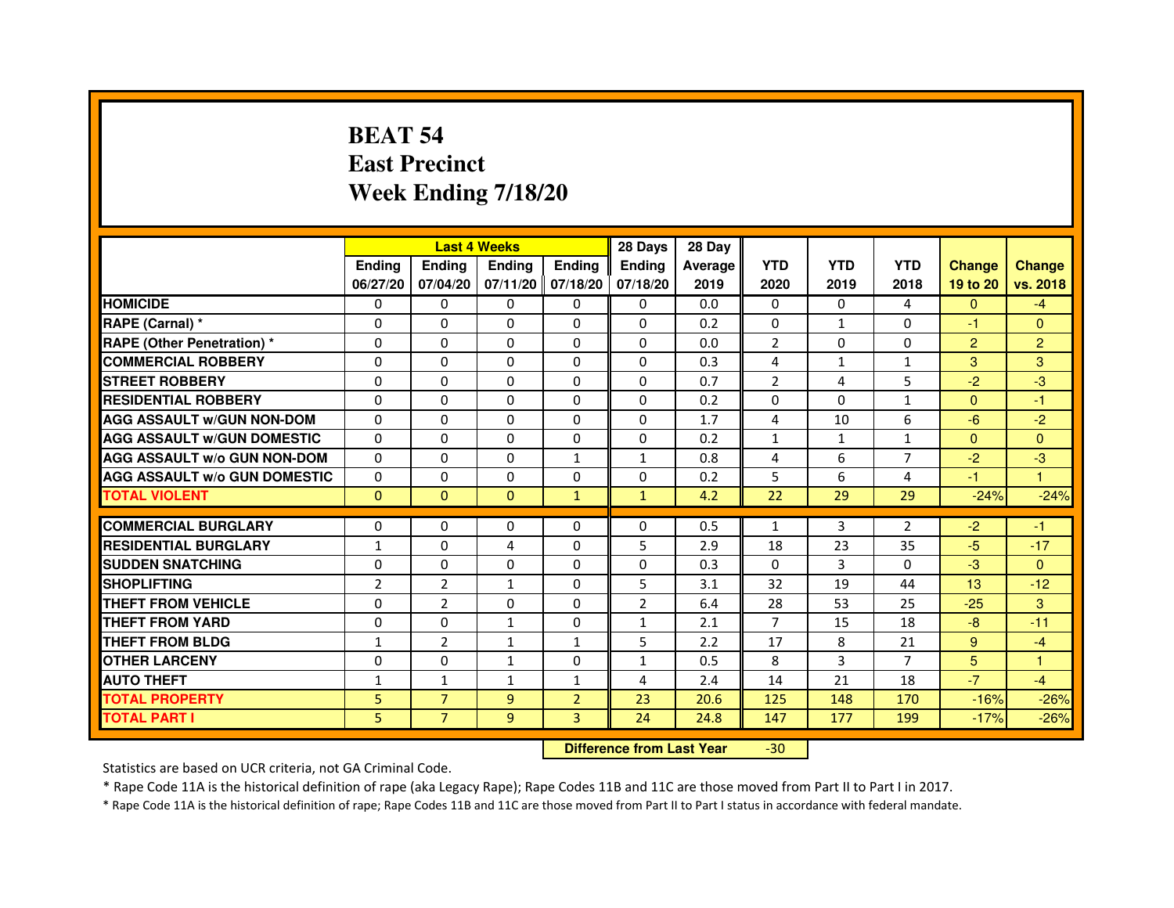# **BEAT 54 East PrecinctWeek Ending 7/18/20**

|                                     |                | <b>Last 4 Weeks</b> |               |                     | 28 Days        | 28 Day  |                |                |                |                |                |
|-------------------------------------|----------------|---------------------|---------------|---------------------|----------------|---------|----------------|----------------|----------------|----------------|----------------|
|                                     | <b>Ending</b>  | <b>Endina</b>       | <b>Ending</b> | <b>Ending</b>       | <b>Ending</b>  | Average | <b>YTD</b>     | <b>YTD</b>     | <b>YTD</b>     | <b>Change</b>  | <b>Change</b>  |
|                                     | 06/27/20       | 07/04/20            |               | $07/11/20$ 07/18/20 | 07/18/20       | 2019    | 2020           | 2019           | 2018           | 19 to 20       | vs. 2018       |
| <b>HOMICIDE</b>                     | $\Omega$       | $\Omega$            | $\mathbf{0}$  | $\Omega$            | 0              | 0.0     | $\mathbf{0}$   | $\mathbf{0}$   | 4              | $\mathbf{0}$   | $-4$           |
| RAPE (Carnal) *                     | 0              | $\Omega$            | $\Omega$      | $\Omega$            | $\Omega$       | 0.2     | $\Omega$       | $\mathbf{1}$   | $\Omega$       | $-1$           | $\Omega$       |
| <b>RAPE (Other Penetration)*</b>    | 0              | $\mathbf{0}$        | $\Omega$      | $\mathbf{0}$        | $\mathbf{0}$   | 0.0     | 2              | 0              | 0              | $\overline{2}$ | $\overline{2}$ |
| <b>COMMERCIAL ROBBERY</b>           | 0              | 0                   | 0             | $\Omega$            | $\Omega$       | 0.3     | 4              | $\mathbf{1}$   | 1              | 3              | 3              |
| <b>STREET ROBBERY</b>               | 0              | 0                   | 0             | 0                   | 0              | 0.7     | $\overline{2}$ | $\overline{4}$ | 5              | $-2$           | -3             |
| <b>RESIDENTIAL ROBBERY</b>          | 0              | $\Omega$            | $\Omega$      | $\Omega$            | $\Omega$       | 0.2     | $\Omega$       | $\Omega$       | $\mathbf{1}$   | $\Omega$       | $-1$           |
| <b>AGG ASSAULT W/GUN NON-DOM</b>    | $\Omega$       | $\Omega$            | $\Omega$      | $\Omega$            | $\Omega$       | 1.7     | $\overline{4}$ | 10             | 6              | $-6$           | $-2$           |
| <b>AGG ASSAULT W/GUN DOMESTIC</b>   | $\Omega$       | 0                   | 0             | 0                   | 0              | 0.2     | $\mathbf{1}$   | $\mathbf{1}$   | $\mathbf{1}$   | $\Omega$       | $\Omega$       |
| <b>AGG ASSAULT W/o GUN NON-DOM</b>  | 0              | 0                   | 0             | $\mathbf{1}$        | $\mathbf{1}$   | 0.8     | 4              | 6              | 7              | $-2$           | -3             |
| <b>AGG ASSAULT W/o GUN DOMESTIC</b> | 0              | 0                   | 0             | 0                   | 0              | 0.2     | 5              | 6              | $\overline{4}$ | $-1$           | 1              |
| <b>TOTAL VIOLENT</b>                | $\mathbf{0}$   | $\mathbf{0}$        | $\mathbf{0}$  | $\mathbf{1}$        | $\mathbf{1}$   | 4.2     | 22             | 29             | 29             | $-24%$         | $-24%$         |
|                                     |                |                     |               |                     |                |         |                |                |                |                |                |
| <b>COMMERCIAL BURGLARY</b>          | 0              | 0                   | 0             | 0                   | 0              | 0.5     | $\mathbf{1}$   | 3              | 2              | $-2$           | -1             |
| <b>RESIDENTIAL BURGLARY</b>         | $\mathbf{1}$   | 0                   | 4             | 0                   | 5              | 2.9     | 18             | 23             | 35             | $-5$           | $-17$          |
| <b>SUDDEN SNATCHING</b>             | 0              | $\Omega$            | 0             | $\Omega$            | 0              | 0.3     | $\Omega$       | 3              | $\Omega$       | $-3$           | $\Omega$       |
| <b>SHOPLIFTING</b>                  | $\overline{2}$ | $\overline{2}$      | $\mathbf{1}$  | $\Omega$            | 5              | 3.1     | 32             | 19             | 44             | 13             | $-12$          |
| THEFT FROM VEHICLE                  | 0              | $\overline{2}$      | 0             | 0                   | $\overline{2}$ | 6.4     | 28             | 53             | 25             | $-25$          | 3              |
| THEFT FROM YARD                     | 0              | 0                   | 1             | $\Omega$            | $\mathbf{1}$   | 2.1     | 7              | 15             | 18             | $-8$           | $-11$          |
| <b>THEFT FROM BLDG</b>              | $\mathbf{1}$   | $\overline{2}$      | 1             | $\mathbf{1}$        | 5              | 2.2     | 17             | 8              | 21             | 9              | $-4$           |
| <b>OTHER LARCENY</b>                | 0              | 0                   | 1             | 0                   | $\mathbf{1}$   | 0.5     | 8              | 3              | 7              | 5              | 1              |
| <b>AUTO THEFT</b>                   | $\mathbf{1}$   | 1                   | $\mathbf{1}$  | 1                   | 4              | 2.4     | 14             | 21             | 18             | $-7$           | $-4$           |
| <b>TOTAL PROPERTY</b>               | 5              | $\overline{7}$      | 9             | $\overline{2}$      | 23             | 20.6    | 125            | 148            | 170            | $-16%$         | $-26%$         |
| <b>TOTAL PART I</b>                 | 5              | $\overline{7}$      | 9             | 3                   | 24             | 24.8    | 147            | 177            | 199            | $-17%$         | $-26%$         |

 **Difference from Last Year**-30

Statistics are based on UCR criteria, not GA Criminal Code.

\* Rape Code 11A is the historical definition of rape (aka Legacy Rape); Rape Codes 11B and 11C are those moved from Part II to Part I in 2017.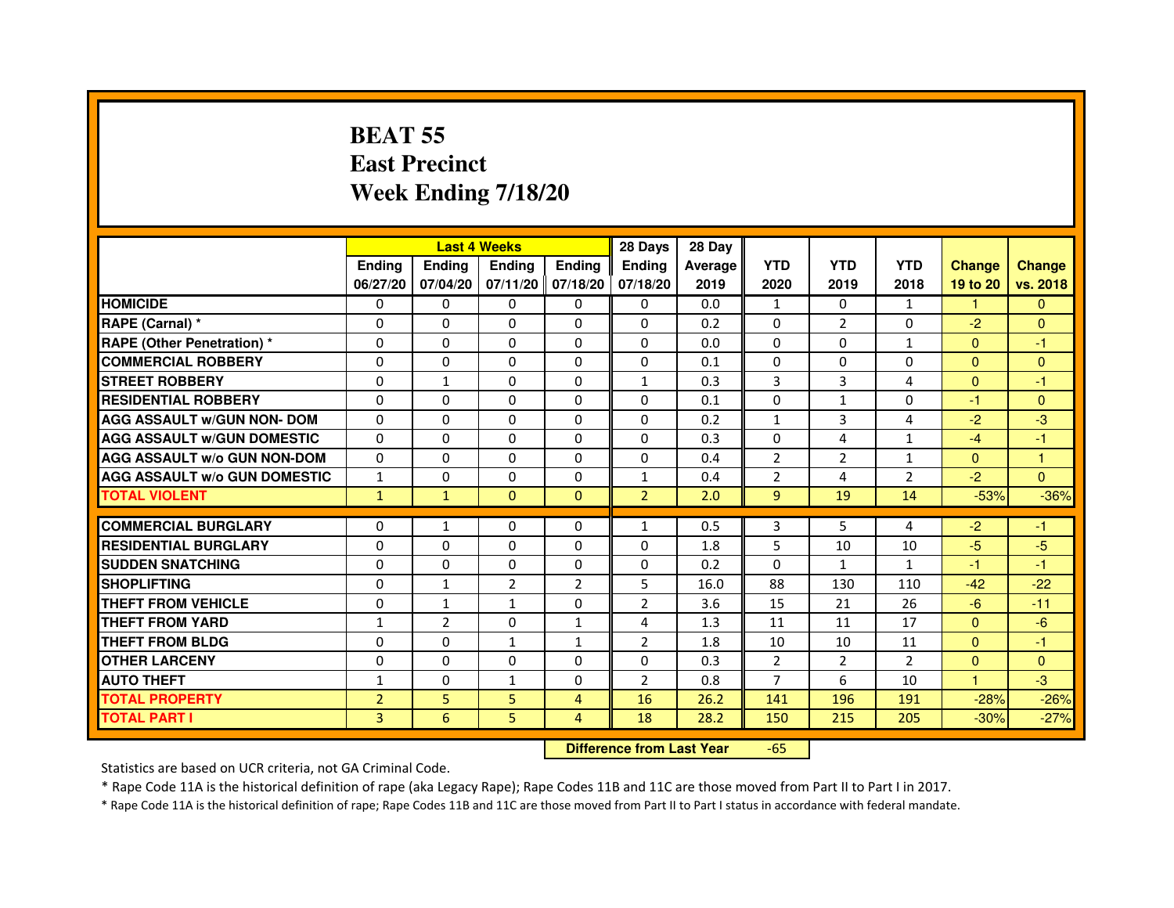# **BEAT 55 East PrecinctWeek Ending 7/18/20**

|                                     |                |                                  | <b>Last 4 Weeks</b> |                | 28 Days        | 28 Day  |                |                |                |                |               |
|-------------------------------------|----------------|----------------------------------|---------------------|----------------|----------------|---------|----------------|----------------|----------------|----------------|---------------|
|                                     | <b>Ending</b>  | <b>Ending</b>                    | <b>Ending</b>       | <b>Ending</b>  | <b>Ending</b>  | Average | <b>YTD</b>     | <b>YTD</b>     | <b>YTD</b>     | <b>Change</b>  | <b>Change</b> |
|                                     | 06/27/20       | 07/04/20                         | 07/11/20            | 07/18/20       | 07/18/20       | 2019    | 2020           | 2019           | 2018           | 19 to 20       | vs. 2018      |
| <b>HOMICIDE</b>                     | $\Omega$       | $\Omega$                         | $\Omega$            | 0              | $\mathbf{0}$   | 0.0     | $\mathbf{1}$   | $\Omega$       | $\mathbf{1}$   | 1.             | $\mathbf{0}$  |
| RAPE (Carnal) *                     | 0              | $\Omega$                         | $\Omega$            | $\Omega$       | $\Omega$       | 0.2     | $\Omega$       | $\overline{2}$ | $\Omega$       | $-2$           | $\Omega$      |
| <b>RAPE (Other Penetration) *</b>   | $\mathbf{0}$   | $\Omega$                         | $\Omega$            | $\Omega$       | $\Omega$       | 0.0     | $\Omega$       | $\Omega$       | $\mathbf{1}$   | $\Omega$       | $-1$          |
| <b>COMMERCIAL ROBBERY</b>           | $\mathbf{0}$   | $\Omega$                         | $\Omega$            | $\Omega$       | $\Omega$       | 0.1     | $\Omega$       | $\Omega$       | $\Omega$       | $\Omega$       | $\mathbf{0}$  |
| <b>STREET ROBBERY</b>               | $\Omega$       | $\mathbf{1}$                     | $\Omega$            | $\Omega$       | $\mathbf{1}$   | 0.3     | 3              | 3              | 4              | $\Omega$       | $-1$          |
| <b>RESIDENTIAL ROBBERY</b>          | $\mathbf{0}$   | $\Omega$                         | $\Omega$            | $\Omega$       | $\Omega$       | 0.1     | $\Omega$       | $\mathbf{1}$   | $\Omega$       | $-1$           | $\mathbf{0}$  |
| <b>AGG ASSAULT w/GUN NON- DOM</b>   | $\Omega$       | $\Omega$                         | $\Omega$            | $\Omega$       | $\Omega$       | 0.2     | $\mathbf{1}$   | 3              | 4              | $-2$           | $-3$          |
| <b>AGG ASSAULT w/GUN DOMESTIC</b>   | $\Omega$       | $\Omega$                         | $\Omega$            | $\Omega$       | $\Omega$       | 0.3     | $\Omega$       | 4              | $\mathbf{1}$   | $-4$           | $-1$          |
| <b>AGG ASSAULT w/o GUN NON-DOM</b>  | $\Omega$       | 0                                | $\Omega$            | $\Omega$       | 0              | 0.4     | $\overline{2}$ | $\overline{2}$ | $\mathbf{1}$   | $\Omega$       | 1             |
| <b>AGG ASSAULT W/o GUN DOMESTIC</b> | 1              | $\Omega$                         | $\Omega$            | $\Omega$       | $\mathbf{1}$   | 0.4     | $\overline{2}$ | 4              | $\overline{2}$ | $-2$           | $\Omega$      |
| <b>TOTAL VIOLENT</b>                | $\mathbf{1}$   | $\mathbf{1}$                     | $\mathbf{0}$        | $\mathbf{0}$   | $\overline{2}$ | 2.0     | $\overline{9}$ | 19             | 14             | $-53%$         | $-36%$        |
| <b>COMMERCIAL BURGLARY</b>          | $\Omega$       | $\mathbf{1}$                     | $\Omega$            | $\Omega$       | $\mathbf{1}$   | 0.5     | 3              | 5              | 4              | $-2$           | $-1$          |
| <b>RESIDENTIAL BURGLARY</b>         | $\Omega$       | $\Omega$                         | $\Omega$            | $\Omega$       | $\Omega$       | 1.8     | 5              | 10             | 10             | $-5$           | $-5$          |
| <b>SUDDEN SNATCHING</b>             | $\Omega$       | $\Omega$                         | $\Omega$            | $\Omega$       | $\Omega$       | 0.2     | $\Omega$       | $\mathbf{1}$   | $\mathbf{1}$   | $-1$           | $-1$          |
| <b>SHOPLIFTING</b>                  | 0              | $\mathbf{1}$                     | $\overline{2}$      | $\overline{2}$ | 5              | 16.0    | 88             | 130            | 110            | $-42$          | $-22$         |
| <b>THEFT FROM VEHICLE</b>           | $\mathbf{0}$   | $\mathbf{1}$                     | $\mathbf{1}$        | $\Omega$       | $\overline{2}$ | 3.6     | 15             | 21             | 26             | $-6$           | $-11$         |
| <b>THEFT FROM YARD</b>              | $\mathbf{1}$   | $\overline{2}$                   | $\Omega$            | $\mathbf{1}$   | 4              | 1.3     | 11             | 11             | 17             | $\overline{0}$ | $-6$          |
| <b>THEFT FROM BLDG</b>              | $\Omega$       | $\Omega$                         | $\mathbf{1}$        | $\mathbf{1}$   | $\overline{2}$ | 1.8     | 10             | 10             | 11             | $\Omega$       | $-1$          |
| <b>OTHER LARCENY</b>                | $\mathbf{0}$   | $\Omega$                         | $\Omega$            | $\Omega$       | $\Omega$       | 0.3     | $\overline{2}$ | $\overline{2}$ | $\overline{2}$ | $\Omega$       | $\mathbf{0}$  |
| <b>AUTO THEFT</b>                   | $\mathbf{1}$   | $\Omega$                         | $\mathbf{1}$        | $\Omega$       | $\overline{2}$ | 0.8     | $\overline{7}$ | 6              | 10             | $\mathbf{1}$   | $-3$          |
| <b>TOTAL PROPERTY</b>               | $\overline{2}$ | 5                                | 5                   | $\overline{4}$ | 16             | 26.2    | 141            | 196            | 191            | $-28%$         | $-26%$        |
| <b>TOTAL PART I</b>                 | $\overline{3}$ | 6                                | 5                   | $\overline{4}$ | 18             | 28.2    | 150            | 215            | 205            | $-30%$         | $-27%$        |
|                                     |                | <b>Difference from Last Year</b> |                     | $-65$          |                |         |                |                |                |                |               |

Statistics are based on UCR criteria, not GA Criminal Code.

\* Rape Code 11A is the historical definition of rape (aka Legacy Rape); Rape Codes 11B and 11C are those moved from Part II to Part I in 2017.